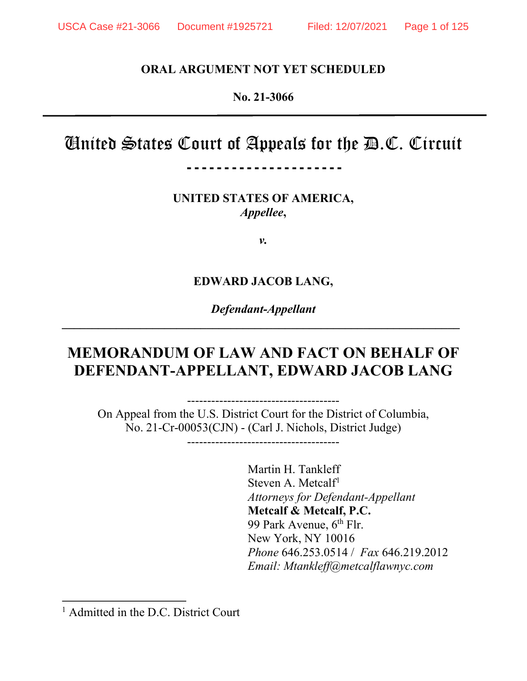## **ORAL ARGUMENT NOT YET SCHEDULED**

#### **No. 21-3066**

# Cinited States Court of Appeals for the  $\mathbf{\mathcal{D}}.\mathbb{C}.$  Circuit

---------------------

**UNITED STATES OF AMERICA,** *Appellee***,** 

*v.*

#### **EDWARD JACOB LANG,**

*Defendant-Appellant* **\_\_\_\_\_\_\_\_\_\_\_\_\_\_\_\_\_\_\_\_\_\_\_\_\_\_\_\_\_\_\_\_\_\_\_\_\_\_\_\_\_\_\_\_\_\_\_\_\_\_\_\_\_\_\_\_\_\_\_\_\_\_\_\_\_\_**

# **MEMORANDUM OF LAW AND FACT ON BEHALF OF DEFENDANT-APPELLANT, EDWARD JACOB LANG**

-------------------------------------- On Appeal from the U.S. District Court for the District of Columbia, No. 21-Cr-00053(CJN) - (Carl J. Nichols, District Judge)

--------------------------------------

Martin H. Tankleff Steven A. Metcal $f<sup>1</sup>$ *Attorneys for Defendant-Appellant* **Metcalf & Metcalf, P.C.** 99 Park Avenue, 6<sup>th</sup> Flr. New York, NY 10016 *Phone* 646.253.0514 / *Fax* 646.219.2012 *Email: Mtankleff@metcalflawnyc.com*

<sup>&</sup>lt;sup>1</sup> Admitted in the D.C. District Court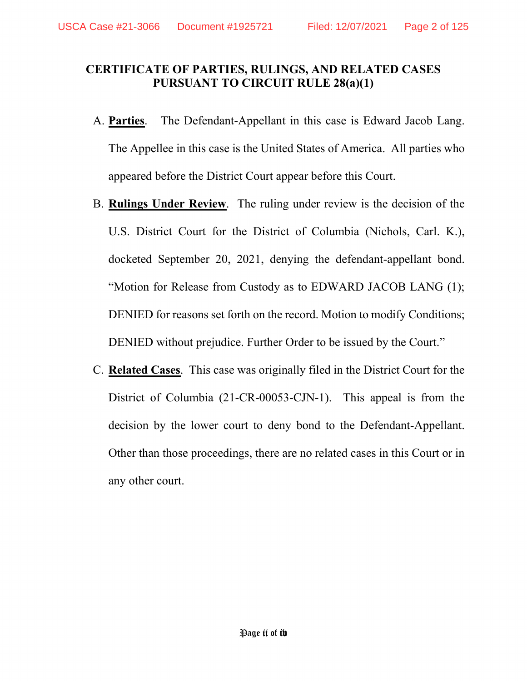## **CERTIFICATE OF PARTIES, RULINGS, AND RELATED CASES PURSUANT TO CIRCUIT RULE 28(a)(1)**

- A. **Parties**. The Defendant-Appellant in this case is Edward Jacob Lang. The Appellee in this case is the United States of America. All parties who appeared before the District Court appear before this Court.
- B. **Rulings Under Review**. The ruling under review is the decision of the U.S. District Court for the District of Columbia (Nichols, Carl. K.), docketed September 20, 2021, denying the defendant-appellant bond. "Motion for Release from Custody as to EDWARD JACOB LANG (1); DENIED for reasons set forth on the record. Motion to modify Conditions; DENIED without prejudice. Further Order to be issued by the Court."
- C. **Related Cases**. This case was originally filed in the District Court for the District of Columbia (21-CR-00053-CJN-1). This appeal is from the decision by the lower court to deny bond to the Defendant-Appellant. Other than those proceedings, there are no related cases in this Court or in any other court.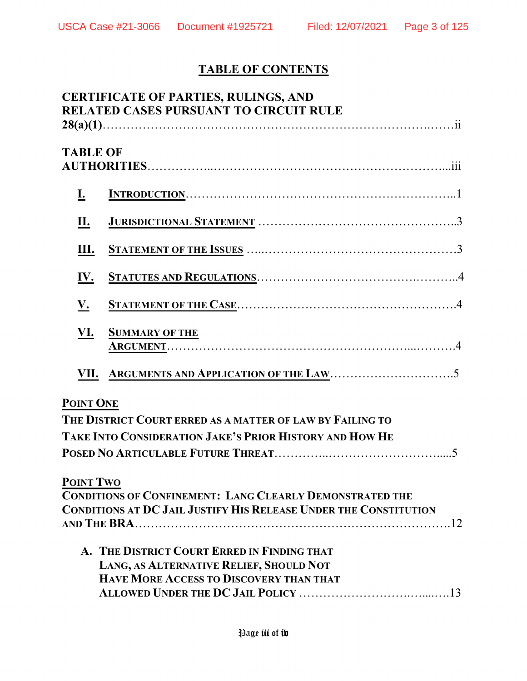# **TABLE OF CONTENTS**

|                  | <b>CERTIFICATE OF PARTIES, RULINGS, AND</b><br><b>RELATED CASES PURSUANT TO CIRCUIT RULE</b> |
|------------------|----------------------------------------------------------------------------------------------|
| <b>TABLE OF</b>  |                                                                                              |
| <u>I.</u>        |                                                                                              |
| П.               |                                                                                              |
| Ш.               |                                                                                              |
| <u>IV.</u>       |                                                                                              |
| V.               |                                                                                              |
| VI.              | <b>SUMMARY OF THE</b>                                                                        |
| VII.             |                                                                                              |
| POINT ONE        | THE DISTRICT COURT ERRED AS A MATTER OF LAW BY FAILING TO                                    |
|                  | TAKE INTO CONSIDERATION JAKE'S PRIOR HISTORY AND HOW HE                                      |
|                  |                                                                                              |
| <b>POINT TWO</b> |                                                                                              |
|                  | <b>CONDITIONS OF CONFINEMENT: LANG CLEARLY DEMONSTRATED THE</b>                              |
|                  | <b>CONDITIONS AT DC JAIL JUSTIFY HIS RELEASE UNDER THE CONSTITUTION</b>                      |
|                  |                                                                                              |
|                  | A. THE DISTRICT COURT ERRED IN FINDING THAT                                                  |
|                  | LANG, AS ALTERNATIVE RELIEF, SHOULD NOT                                                      |
|                  | <b>HAVE MORE ACCESS TO DISCOVERY THAN THAT</b>                                               |
|                  |                                                                                              |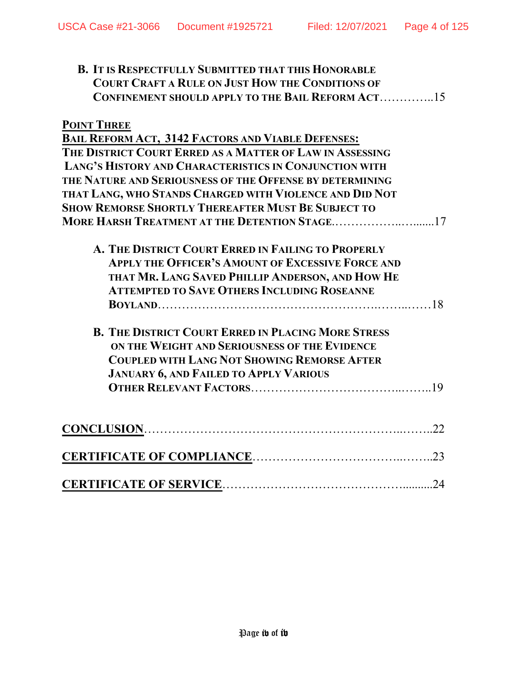| <b>B. IT IS RESPECTFULLY SUBMITTED THAT THIS HONORABLE</b><br><b>COURT CRAFT A RULE ON JUST HOW THE CONDITIONS OF</b><br>CONFINEMENT SHOULD APPLY TO THE BAIL REFORM ACT15                                               |
|--------------------------------------------------------------------------------------------------------------------------------------------------------------------------------------------------------------------------|
| <b>POINT THREE</b>                                                                                                                                                                                                       |
| <b>BAIL REFORM ACT, 3142 FACTORS AND VIABLE DEFENSES:</b>                                                                                                                                                                |
| THE DISTRICT COURT ERRED AS A MATTER OF LAW IN ASSESSING                                                                                                                                                                 |
| LANG'S HISTORY AND CHARACTERISTICS IN CONJUNCTION WITH                                                                                                                                                                   |
| THE NATURE AND SERIOUSNESS OF THE OFFENSE BY DETERMINING                                                                                                                                                                 |
| THAT LANG, WHO STANDS CHARGED WITH VIOLENCE AND DID NOT                                                                                                                                                                  |
| <b>SHOW REMORSE SHORTLY THEREAFTER MUST BE SUBJECT TO</b>                                                                                                                                                                |
| MORE HARSH TREATMENT AT THE DETENTION STAGE17                                                                                                                                                                            |
| A. THE DISTRICT COURT ERRED IN FAILING TO PROPERLY<br><b>APPLY THE OFFICER'S AMOUNT OF EXCESSIVE FORCE AND</b><br>THAT MR. LANG SAVED PHILLIP ANDERSON, AND HOW HE<br><b>ATTEMPTED TO SAVE OTHERS INCLUDING ROSEANNE</b> |
| <b>B. THE DISTRICT COURT ERRED IN PLACING MORE STRESS</b><br>ON THE WEIGHT AND SERIOUSNESS OF THE EVIDENCE                                                                                                               |
| <b>COUPLED WITH LANG NOT SHOWING REMORSE AFTER</b>                                                                                                                                                                       |
| <b>JANUARY 6, AND FAILED TO APPLY VARIOUS</b>                                                                                                                                                                            |
|                                                                                                                                                                                                                          |
|                                                                                                                                                                                                                          |
|                                                                                                                                                                                                                          |
|                                                                                                                                                                                                                          |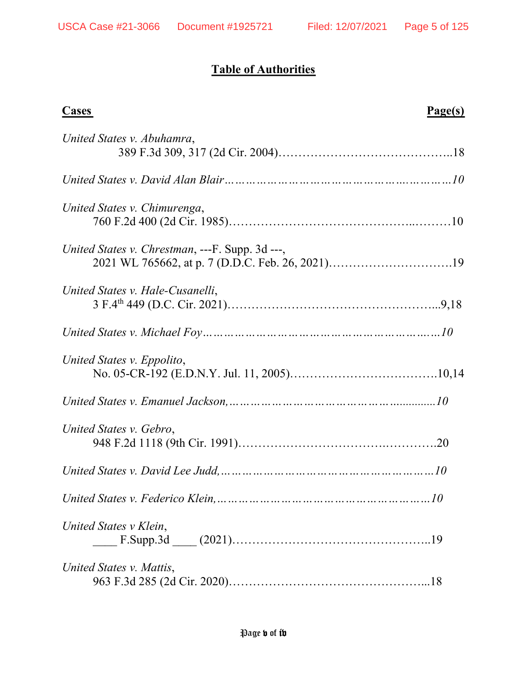# **Table of Authorities**

| <b>Cases</b><br>Page(s)                         |  |
|-------------------------------------------------|--|
| United States v. Abuhamra,                      |  |
|                                                 |  |
| United States v. Chimurenga,                    |  |
| United States v. Chrestman, ---F. Supp. 3d ---, |  |
| United States v. Hale-Cusanelli,                |  |
|                                                 |  |
| United States v. Eppolito,                      |  |
|                                                 |  |
| United States v. Gebro,                         |  |
|                                                 |  |
|                                                 |  |
| United States v Klein,                          |  |
| United States v. Mattis,                        |  |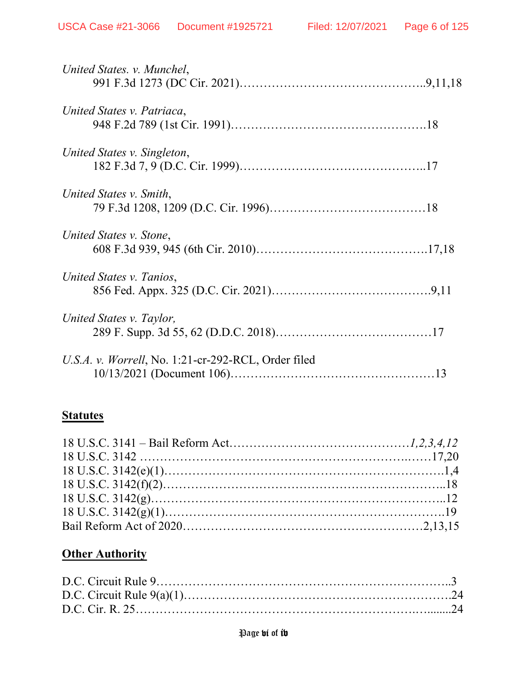| United States. v. Munchel,                          |  |
|-----------------------------------------------------|--|
| United States v. Patriaca,                          |  |
| United States v. Singleton,                         |  |
| United States v. Smith,                             |  |
| United States v. Stone,                             |  |
| United States v. Tanios,                            |  |
| United States v. Taylor,                            |  |
| U.S.A. v. Worrell, No. 1:21-cr-292-RCL, Order filed |  |

# **Statutes**

# **Other Authority**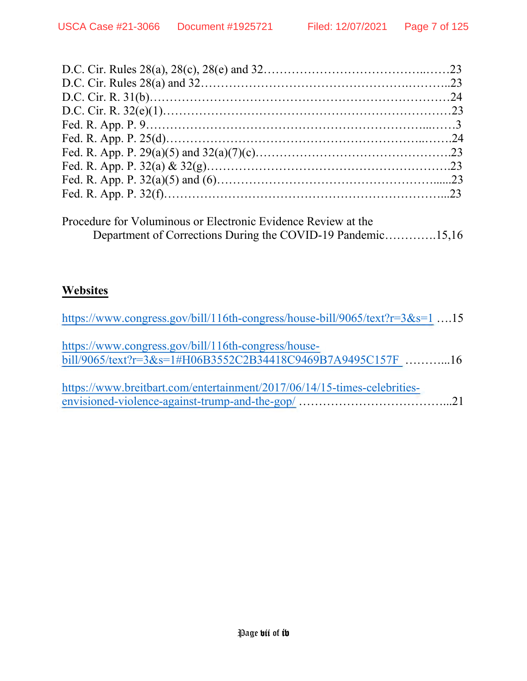| Procedure for Voluminous or Electronic Evidence Review at the<br>Department of Corrections During the COVID-19 Pandemic15,16 |  |
|------------------------------------------------------------------------------------------------------------------------------|--|

# **Websites**

| https://www.congress.gov/bill/116th-congress/house-bill/9065/text?r=3&s=1 15                                       |  |
|--------------------------------------------------------------------------------------------------------------------|--|
| https://www.congress.gov/bill/116th-congress/house-<br>bill/9065/text?r=3&s=1#H06B3552C2B34418C9469B7A9495C157F 16 |  |
| https://www.breitbart.com/entertainment/2017/06/14/15-times-celebrities-                                           |  |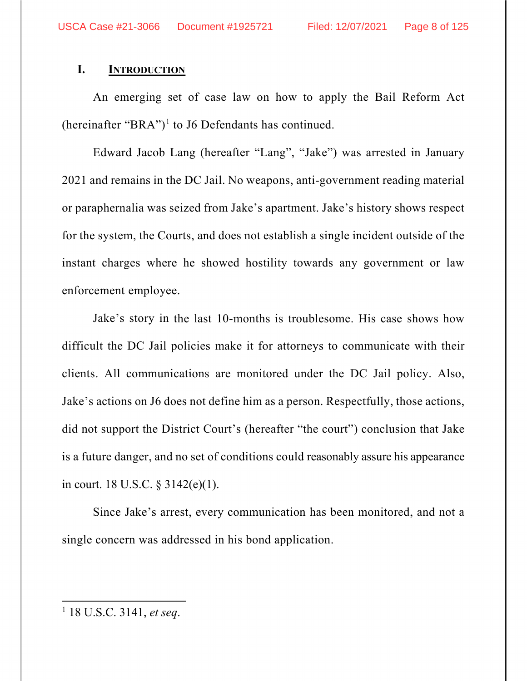#### **I. INTRODUCTION**

An emerging set of case law on how to apply the Bail Reform Act (hereinafter "BRA")<sup>1</sup> to J6 Defendants has continued.

Edward Jacob Lang (hereafter "Lang", "Jake") was arrested in January 2021 and remains in the DC Jail. No weapons, anti-government reading material or paraphernalia was seized from Jake's apartment. Jake's history shows respect for the system, the Courts, and does not establish a single incident outside of the instant charges where he showed hostility towards any government or law enforcement employee.

Jake's story in the last 10-months is troublesome. His case shows how difficult the DC Jail policies make it for attorneys to communicate with their clients. All communications are monitored under the DC Jail policy. Also, Jake's actions on J6 does not define him as a person. Respectfully, those actions, did not support the District Court's (hereafter "the court") conclusion that Jake is a future danger, and no set of conditions could reasonably assure his appearance in court. 18 U.S.C. § 3142(e)(1).

Since Jake's arrest, every communication has been monitored, and not a single concern was addressed in his bond application.

<sup>1</sup> 18 U.S.C. 3141, *et seq*.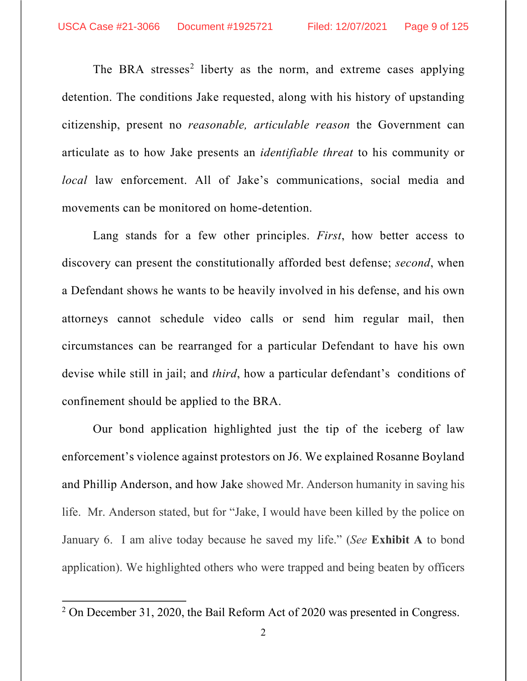The BRA stresses<sup>2</sup> liberty as the norm, and extreme cases applying detention. The conditions Jake requested, along with his history of upstanding citizenship, present no *reasonable, articulable reason* the Government can articulate as to how Jake presents an *identifiable threat* to his community or *local* law enforcement. All of Jake's communications, social media and movements can be monitored on home-detention.

Lang stands for a few other principles. *First*, how better access to discovery can present the constitutionally afforded best defense; *second*, when a Defendant shows he wants to be heavily involved in his defense, and his own attorneys cannot schedule video calls or send him regular mail, then circumstances can be rearranged for a particular Defendant to have his own devise while still in jail; and *third*, how a particular defendant's conditions of confinement should be applied to the BRA.

Our bond application highlighted just the tip of the iceberg of law enforcement's violence against protestors on J6. We explained Rosanne Boyland and Phillip Anderson, and how Jake showed Mr. Anderson humanity in saving his life. Mr. Anderson stated, but for "Jake, I would have been killed by the police on January 6. I am alive today because he saved my life." (*See* **Exhibit A** to bond application). We highlighted others who were trapped and being beaten by officers

<sup>&</sup>lt;sup>2</sup> On December 31, 2020, the Bail Reform Act of 2020 was presented in Congress.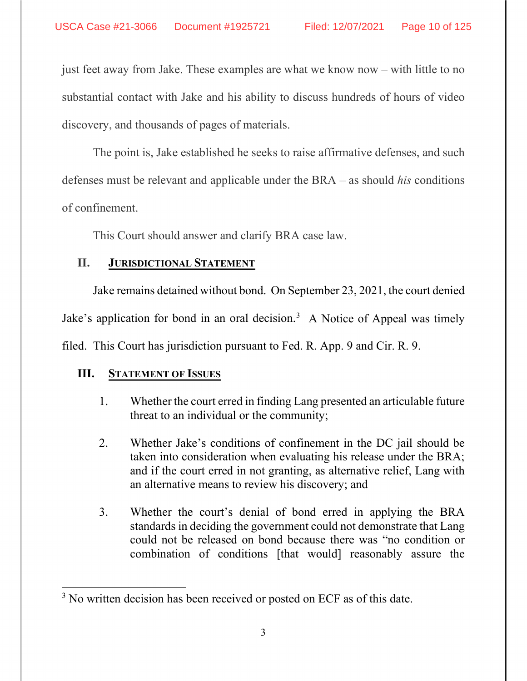just feet away from Jake. These examples are what we know now – with little to no substantial contact with Jake and his ability to discuss hundreds of hours of video discovery, and thousands of pages of materials.

The point is, Jake established he seeks to raise affirmative defenses, and such defenses must be relevant and applicable under the BRA – as should *his* conditions of confinement.

This Court should answer and clarify BRA case law.

## **II. JURISDICTIONAL STATEMENT**

Jake remains detained without bond. On September 23, 2021, the court denied Jake's application for bond in an oral decision.<sup>3</sup> A Notice of Appeal was timely filed. This Court has jurisdiction pursuant to Fed. R. App. 9 and Cir. R. 9.

# **III. STATEMENT OF ISSUES**

- 1. Whether the court erred in finding Lang presented an articulable future threat to an individual or the community;
- 2. Whether Jake's conditions of confinement in the DC jail should be taken into consideration when evaluating his release under the BRA; and if the court erred in not granting, as alternative relief, Lang with an alternative means to review his discovery; and
- 3. Whether the court's denial of bond erred in applying the BRA standards in deciding the government could not demonstrate that Lang could not be released on bond because there was "no condition or combination of conditions [that would] reasonably assure the

<sup>&</sup>lt;sup>3</sup> No written decision has been received or posted on ECF as of this date.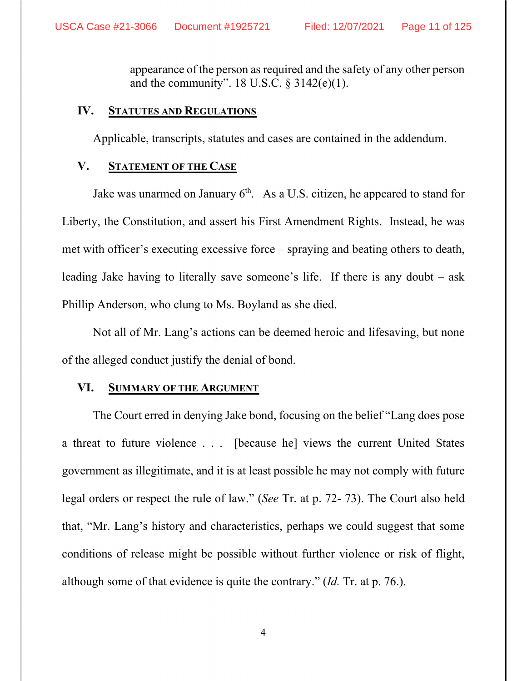appearance of the person as required and the safety of any other person and the community". 18 U.S.C.  $\S$  3142(e)(1).

#### **IV. STATUTES AND REGULATIONS**

Applicable, transcripts, statutes and cases are contained in the addendum.

#### **V. STATEMENT OF THE CASE**

Jake was unarmed on January  $6<sup>th</sup>$ . As a U.S. citizen, he appeared to stand for Liberty, the Constitution, and assert his First Amendment Rights. Instead, he was met with officer's executing excessive force – spraying and beating others to death, leading Jake having to literally save someone's life. If there is any doubt – ask Phillip Anderson, who clung to Ms. Boyland as she died.

Not all of Mr. Lang's actions can be deemed heroic and lifesaving, but none of the alleged conduct justify the denial of bond.

#### **VI. SUMMARY OF THE ARGUMENT**

The Court erred in denying Jake bond, focusing on the belief "Lang does pose a threat to future violence . . . [because he] views the current United States government as illegitimate, and it is at least possible he may not comply with future legal orders or respect the rule of law." (*See* Tr. at p. 72- 73). The Court also held that, "Mr. Lang's history and characteristics, perhaps we could suggest that some conditions of release might be possible without further violence or risk of flight, although some of that evidence is quite the contrary." (*Id.* Tr. at p. 76.).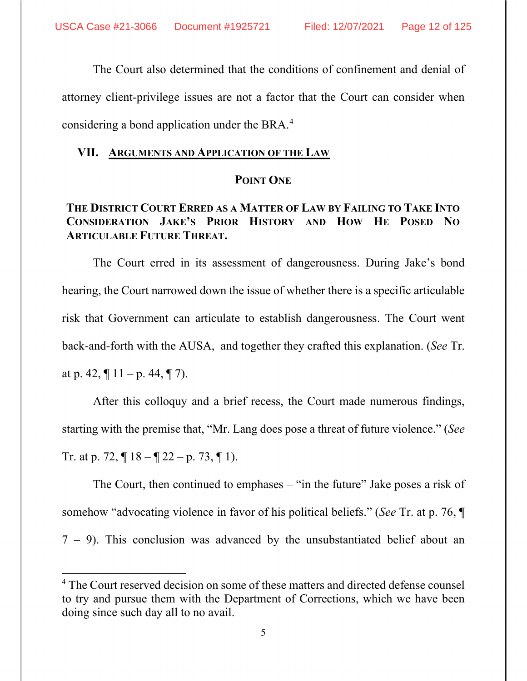The Court also determined that the conditions of confinement and denial of attorney client-privilege issues are not a factor that the Court can consider when considering a bond application under the BRA.<sup>4</sup>

#### **VII. ARGUMENTS AND APPLICATION OF THE LAW**

#### **POINT ONE**

# **THE DISTRICT COURT ERRED AS A MATTER OF LAW BY FAILING TO TAKE INTO CONSIDERATION JAKE'S PRIOR HISTORY AND HOW HE POSED NO ARTICULABLE FUTURE THREAT.**

The Court erred in its assessment of dangerousness. During Jake's bond hearing, the Court narrowed down the issue of whether there is a specific articulable risk that Government can articulate to establish dangerousness. The Court went back-and-forth with the AUSA, and together they crafted this explanation. (*See* Tr. at p. 42,  $\P$  11 – p. 44,  $\P$  7).

After this colloquy and a brief recess, the Court made numerous findings, starting with the premise that, "Mr. Lang does pose a threat of future violence." (*See* Tr. at p. 72,  $\P$  18 –  $\P$  22 – p. 73,  $\P$  1).

The Court, then continued to emphases – "in the future" Jake poses a risk of somehow "advocating violence in favor of his political beliefs." (*See* Tr. at p. 76, ¶ 7 – 9). This conclusion was advanced by the unsubstantiated belief about an

<sup>&</sup>lt;sup>4</sup> The Court reserved decision on some of these matters and directed defense counsel to try and pursue them with the Department of Corrections, which we have been doing since such day all to no avail.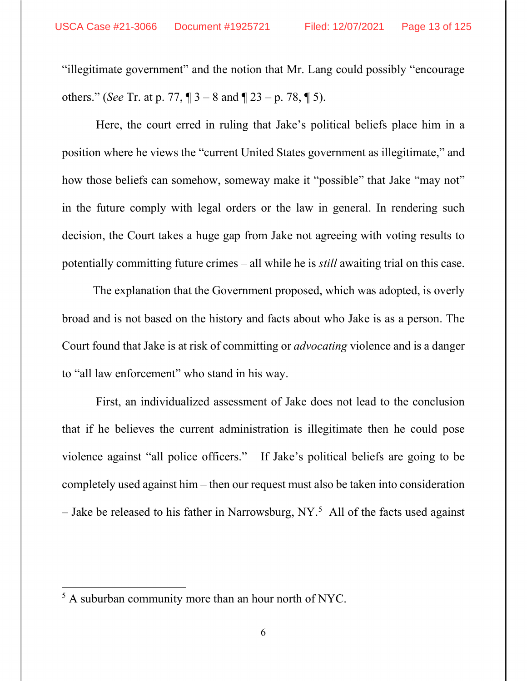"illegitimate government" and the notion that Mr. Lang could possibly "encourage others." (*See* Tr. at p. 77, ¶ 3 – 8 and ¶ 23 – p. 78, ¶ 5).

Here, the court erred in ruling that Jake's political beliefs place him in a position where he views the "current United States government as illegitimate," and how those beliefs can somehow, someway make it "possible" that Jake "may not" in the future comply with legal orders or the law in general. In rendering such decision, the Court takes a huge gap from Jake not agreeing with voting results to potentially committing future crimes – all while he is *still* awaiting trial on this case.

The explanation that the Government proposed, which was adopted, is overly broad and is not based on the history and facts about who Jake is as a person. The Court found that Jake is at risk of committing or *advocating* violence and is a danger to "all law enforcement" who stand in his way.

First, an individualized assessment of Jake does not lead to the conclusion that if he believes the current administration is illegitimate then he could pose violence against "all police officers." If Jake's political beliefs are going to be completely used against him – then our request must also be taken into consideration – Jake be released to his father in Narrowsburg, NY.<sup>5</sup> All of the facts used against

<sup>&</sup>lt;sup>5</sup> A suburban community more than an hour north of NYC.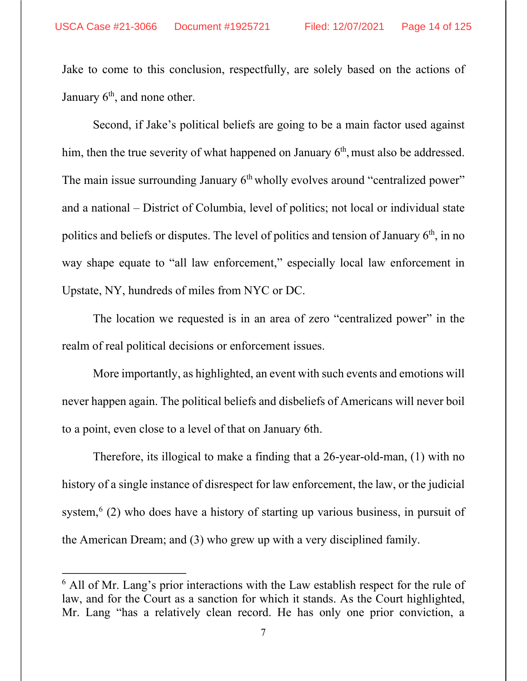Jake to come to this conclusion, respectfully, are solely based on the actions of January  $6<sup>th</sup>$ , and none other.

Second, if Jake's political beliefs are going to be a main factor used against him, then the true severity of what happened on January  $6<sup>th</sup>$ , must also be addressed. The main issue surrounding January  $6<sup>th</sup>$  wholly evolves around "centralized power" and a national – District of Columbia, level of politics; not local or individual state politics and beliefs or disputes. The level of politics and tension of January  $6<sup>th</sup>$ , in no way shape equate to "all law enforcement," especially local law enforcement in Upstate, NY, hundreds of miles from NYC or DC.

The location we requested is in an area of zero "centralized power" in the realm of real political decisions or enforcement issues.

More importantly, as highlighted, an event with such events and emotions will never happen again. The political beliefs and disbeliefs of Americans will never boil to a point, even close to a level of that on January 6th.

Therefore, its illogical to make a finding that a 26-year-old-man, (1) with no history of a single instance of disrespect for law enforcement, the law, or the judicial system, $^{6}$  (2) who does have a history of starting up various business, in pursuit of the American Dream; and (3) who grew up with a very disciplined family.

<sup>&</sup>lt;sup>6</sup> All of Mr. Lang's prior interactions with the Law establish respect for the rule of law, and for the Court as a sanction for which it stands. As the Court highlighted, Mr. Lang "has a relatively clean record. He has only one prior conviction, a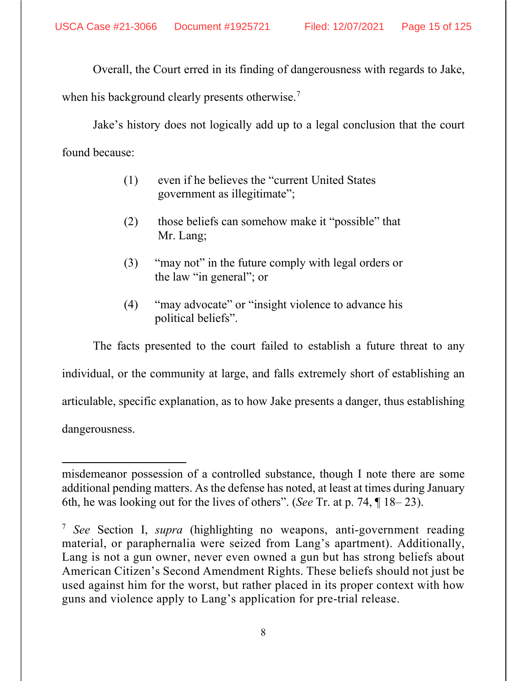Overall, the Court erred in its finding of dangerousness with regards to Jake,

when his background clearly presents otherwise.<sup>7</sup>

Jake's history does not logically add up to a legal conclusion that the court found because:

- (1) even if he believes the "current United States government as illegitimate";
- (2) those beliefs can somehow make it "possible" that Mr. Lang;
- (3) "may not" in the future comply with legal orders or the law "in general"; or
- (4) "may advocate" or "insight violence to advance his political beliefs".

The facts presented to the court failed to establish a future threat to any individual, or the community at large, and falls extremely short of establishing an articulable, specific explanation, as to how Jake presents a danger, thus establishing dangerousness.

misdemeanor possession of a controlled substance, though I note there are some additional pending matters. As the defense has noted, at least at times during January 6th, he was looking out for the lives of others". (*See* Tr. at p. 74, ¶ 18– 23).

<sup>7</sup> *See* Section I, *supra* (highlighting no weapons, anti-government reading material, or paraphernalia were seized from Lang's apartment). Additionally, Lang is not a gun owner, never even owned a gun but has strong beliefs about American Citizen's Second Amendment Rights. These beliefs should not just be used against him for the worst, but rather placed in its proper context with how guns and violence apply to Lang's application for pre-trial release.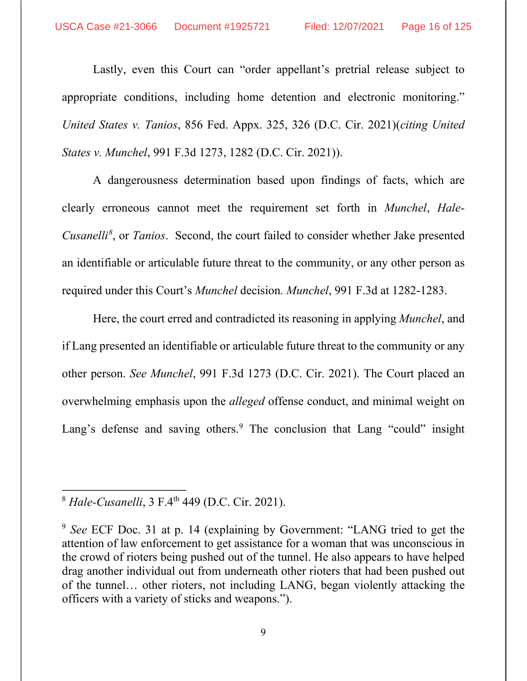Lastly, even this Court can "order appellant's pretrial release subject to appropriate conditions, including home detention and electronic monitoring." *United States v. Tanios*, 856 Fed. Appx. 325, 326 (D.C. Cir. 2021)(*citing United States v. Munchel*, 991 F.3d 1273, 1282 (D.C. Cir. 2021)).

A dangerousness determination based upon findings of facts, which are clearly erroneous cannot meet the requirement set forth in *Munchel*, *Hale-Cusanelli 8* , or *Tanios*. Second, the court failed to consider whether Jake presented an identifiable or articulable future threat to the community, or any other person as required under this Court's *Munchel* decision*. Munchel*, 991 F.3d at 1282-1283.

Here, the court erred and contradicted its reasoning in applying *Munchel*, and if Lang presented an identifiable or articulable future threat to the community or any other person. *See Munchel*, 991 F.3d 1273 (D.C. Cir. 2021). The Court placed an overwhelming emphasis upon the *alleged* offense conduct, and minimal weight on Lang's defense and saving others.<sup>9</sup> The conclusion that Lang "could" insight

<sup>8</sup> *Hale-Cusanelli*, 3 F.4th 449 (D.C. Cir. 2021).

<sup>9</sup> *See* ECF Doc. 31 at p. 14 (explaining by Government: "LANG tried to get the attention of law enforcement to get assistance for a woman that was unconscious in the crowd of rioters being pushed out of the tunnel. He also appears to have helped drag another individual out from underneath other rioters that had been pushed out of the tunnel… other rioters, not including LANG, began violently attacking the officers with a variety of sticks and weapons.").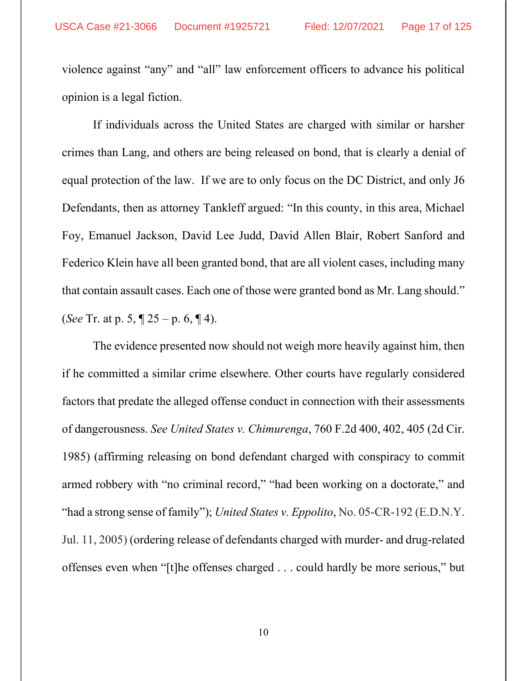violence against "any" and "all" law enforcement officers to advance his political opinion is a legal fiction.

If individuals across the United States are charged with similar or harsher crimes than Lang, and others are being released on bond, that is clearly a denial of equal protection of the law. If we are to only focus on the DC District, and only J6 Defendants, then as attorney Tankleff argued: "In this county, in this area, Michael Foy, Emanuel Jackson, David Lee Judd, David Allen Blair, Robert Sanford and Federico Klein have all been granted bond, that are all violent cases, including many that contain assault cases. Each one of those were granted bond as Mr. Lang should." (*See* Tr. at p. 5, ¶ 25 – p. 6, ¶ 4).

The evidence presented now should not weigh more heavily against him, then if he committed a similar crime elsewhere. Other courts have regularly considered factors that predate the alleged offense conduct in connection with their assessments of dangerousness. *See United States v. Chimurenga*, 760 F.2d 400, 402, 405 (2d Cir. 1985) (affirming releasing on bond defendant charged with conspiracy to commit armed robbery with "no criminal record," "had been working on a doctorate," and "had a strong sense of family"); *United States v. Eppolito*, No. 05-CR-192 (E.D.N.Y. Jul. 11, 2005) (ordering release of defendants charged with murder- and drug-related offenses even when "[t]he offenses charged . . . could hardly be more serious," but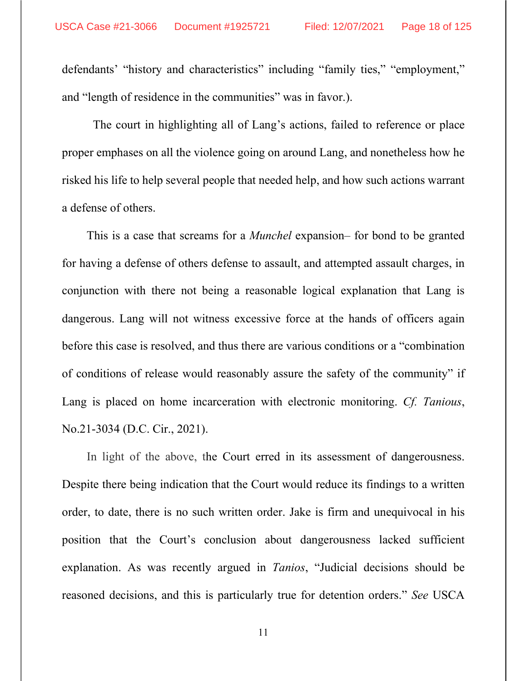defendants' "history and characteristics" including "family ties," "employment," and "length of residence in the communities" was in favor.).

 The court in highlighting all of Lang's actions, failed to reference or place proper emphases on all the violence going on around Lang, and nonetheless how he risked his life to help several people that needed help, and how such actions warrant a defense of others.

This is a case that screams for a *Munchel* expansion– for bond to be granted for having a defense of others defense to assault, and attempted assault charges, in conjunction with there not being a reasonable logical explanation that Lang is dangerous. Lang will not witness excessive force at the hands of officers again before this case is resolved, and thus there are various conditions or a "combination of conditions of release would reasonably assure the safety of the community" if Lang is placed on home incarceration with electronic monitoring. *Cf. Tanious*, No.21-3034 (D.C. Cir., 2021).

In light of the above, the Court erred in its assessment of dangerousness. Despite there being indication that the Court would reduce its findings to a written order, to date, there is no such written order. Jake is firm and unequivocal in his position that the Court's conclusion about dangerousness lacked sufficient explanation. As was recently argued in *Tanios*, "Judicial decisions should be reasoned decisions, and this is particularly true for detention orders." *See* USCA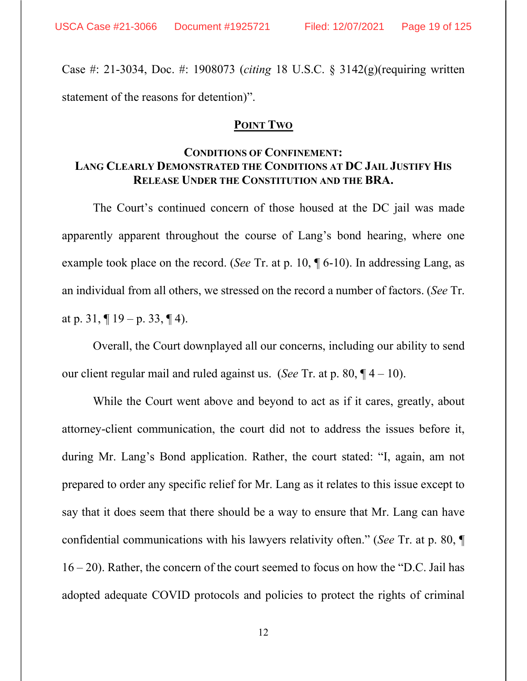Case #: 21-3034, Doc. #: 1908073 (*citing* 18 U.S.C. § 3142(g)(requiring written statement of the reasons for detention)".

#### **POINT TWO**

### **CONDITIONS OF CONFINEMENT: LANG CLEARLY DEMONSTRATED THE CONDITIONS AT DC JAIL JUSTIFY HIS RELEASE UNDER THE CONSTITUTION AND THE BRA.**

The Court's continued concern of those housed at the DC jail was made apparently apparent throughout the course of Lang's bond hearing, where one example took place on the record. (*See* Tr. at p. 10, ¶ 6-10). In addressing Lang, as an individual from all others, we stressed on the record a number of factors. (*See* Tr. at p. 31,  $\P$  19 – p. 33,  $\P$  4).

Overall, the Court downplayed all our concerns, including our ability to send our client regular mail and ruled against us. (*See* Tr. at p. 80, ¶ 4 – 10).

While the Court went above and beyond to act as if it cares, greatly, about attorney-client communication, the court did not to address the issues before it, during Mr. Lang's Bond application. Rather, the court stated: "I, again, am not prepared to order any specific relief for Mr. Lang as it relates to this issue except to say that it does seem that there should be a way to ensure that Mr. Lang can have confidential communications with his lawyers relativity often." (*See* Tr. at p. 80, ¶ 16 – 20). Rather, the concern of the court seemed to focus on how the "D.C. Jail has adopted adequate COVID protocols and policies to protect the rights of criminal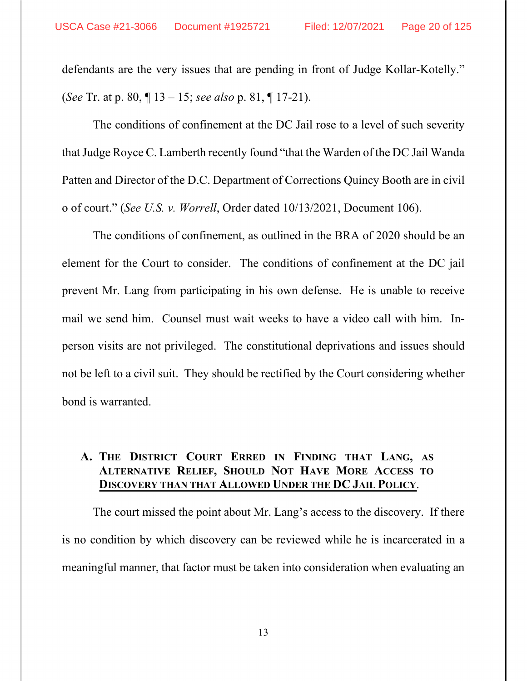defendants are the very issues that are pending in front of Judge Kollar-Kotelly." (*See* Tr. at p. 80, ¶ 13 – 15; *see also* p. 81, ¶ 17-21).

The conditions of confinement at the DC Jail rose to a level of such severity that Judge Royce C. Lamberth recently found "that the Warden of the DC Jail Wanda Patten and Director of the D.C. Department of Corrections Quincy Booth are in civil o of court." (*See U.S. v. Worrell*, Order dated 10/13/2021, Document 106).

The conditions of confinement, as outlined in the BRA of 2020 should be an element for the Court to consider. The conditions of confinement at the DC jail prevent Mr. Lang from participating in his own defense. He is unable to receive mail we send him. Counsel must wait weeks to have a video call with him. Inperson visits are not privileged. The constitutional deprivations and issues should not be left to a civil suit. They should be rectified by the Court considering whether bond is warranted.

## **A. THE DISTRICT COURT ERRED IN FINDING THAT LANG, AS ALTERNATIVE RELIEF, SHOULD NOT HAVE MORE ACCESS TO DISCOVERY THAN THAT ALLOWED UNDER THE DC JAIL POLICY**.

The court missed the point about Mr. Lang's access to the discovery. If there is no condition by which discovery can be reviewed while he is incarcerated in a meaningful manner, that factor must be taken into consideration when evaluating an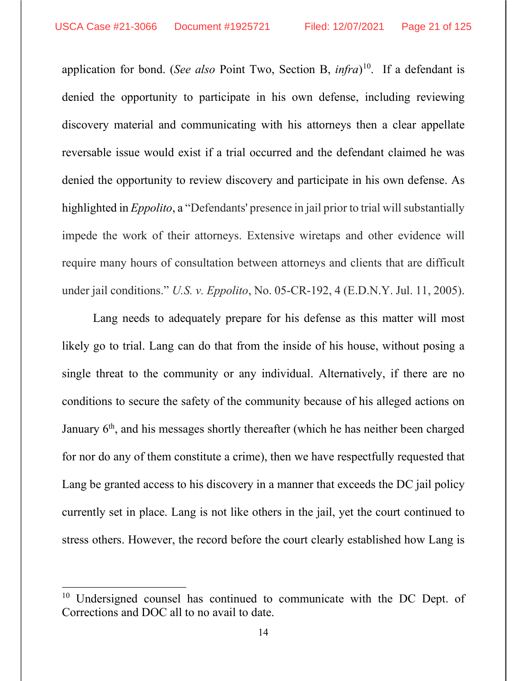application for bond. (*See also* Point Two, Section B, *infra*) 10. If a defendant is denied the opportunity to participate in his own defense, including reviewing discovery material and communicating with his attorneys then a clear appellate reversable issue would exist if a trial occurred and the defendant claimed he was denied the opportunity to review discovery and participate in his own defense. As highlighted in *Eppolito*, a "Defendants' presence in jail prior to trial will substantially impede the work of their attorneys. Extensive wiretaps and other evidence will require many hours of consultation between attorneys and clients that are difficult under jail conditions." *U.S. v. Eppolito*, No. 05-CR-192, 4 (E.D.N.Y. Jul. 11, 2005).

Lang needs to adequately prepare for his defense as this matter will most likely go to trial. Lang can do that from the inside of his house, without posing a single threat to the community or any individual. Alternatively, if there are no conditions to secure the safety of the community because of his alleged actions on January 6th, and his messages shortly thereafter (which he has neither been charged for nor do any of them constitute a crime), then we have respectfully requested that Lang be granted access to his discovery in a manner that exceeds the DC jail policy currently set in place. Lang is not like others in the jail, yet the court continued to stress others. However, the record before the court clearly established how Lang is

<sup>&</sup>lt;sup>10</sup> Undersigned counsel has continued to communicate with the DC Dept. of Corrections and DOC all to no avail to date.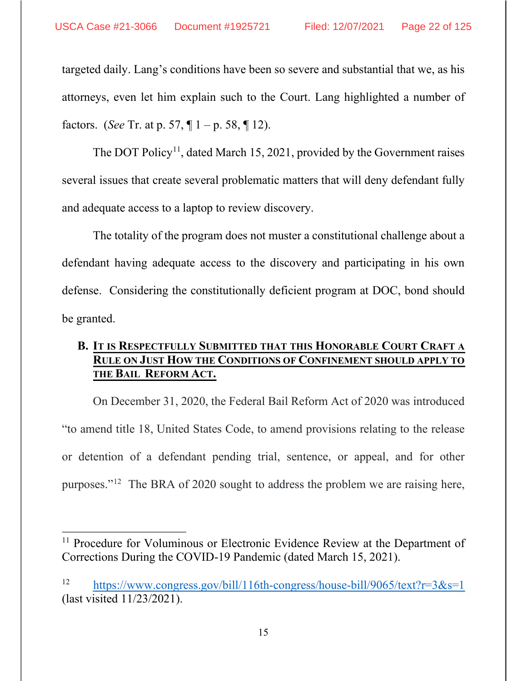targeted daily. Lang's conditions have been so severe and substantial that we, as his attorneys, even let him explain such to the Court. Lang highlighted a number of factors. (*See* Tr. at p. 57, ¶ 1 – p. 58, ¶ 12).

The DOT Policy<sup>11</sup>, dated March 15, 2021, provided by the Government raises several issues that create several problematic matters that will deny defendant fully and adequate access to a laptop to review discovery.

The totality of the program does not muster a constitutional challenge about a defendant having adequate access to the discovery and participating in his own defense. Considering the constitutionally deficient program at DOC, bond should be granted.

# **B. IT IS RESPECTFULLY SUBMITTED THAT THIS HONORABLE COURT CRAFT A RULE ON JUST HOW THE CONDITIONS OF CONFINEMENT SHOULD APPLY TO THE BAIL REFORM ACT.**

On December 31, 2020, the Federal Bail Reform Act of 2020 was introduced "to amend title 18, United States Code, to amend provisions relating to the release or detention of a defendant pending trial, sentence, or appeal, and for other purposes."12 The BRA of 2020 sought to address the problem we are raising here,

<sup>&</sup>lt;sup>11</sup> Procedure for Voluminous or Electronic Evidence Review at the Department of Corrections During the COVID-19 Pandemic (dated March 15, 2021).

<sup>12</sup> https://www.congress.gov/bill/116th-congress/house-bill/9065/text?r=3&s=1 (last visited 11/23/2021).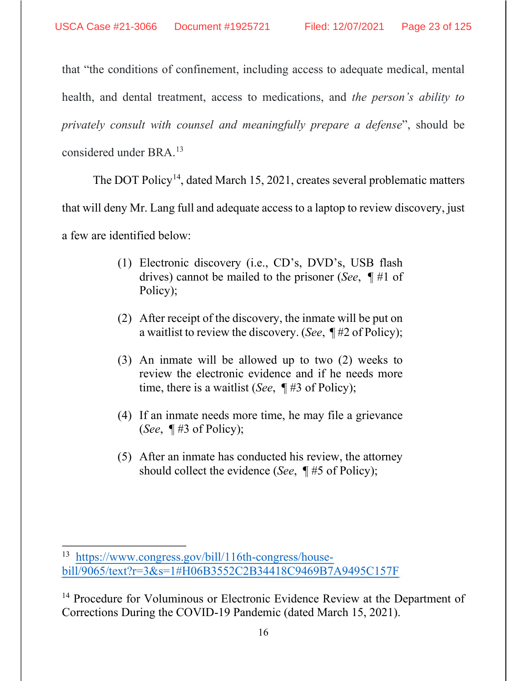that "the conditions of confinement, including access to adequate medical, mental health, and dental treatment, access to medications, and *the person's ability to privately consult with counsel and meaningfully prepare a defense*", should be considered under BRA.13

The DOT Policy<sup>14</sup>, dated March 15, 2021, creates several problematic matters

that will deny Mr. Lang full and adequate access to a laptop to review discovery, just

a few are identified below:

- (1) Electronic discovery (i.e., CD's, DVD's, USB flash drives) cannot be mailed to the prisoner (*See*, ¶ #1 of Policy);
- (2) After receipt of the discovery, the inmate will be put on a waitlist to review the discovery. (*See*, ¶ #2 of Policy);
- (3) An inmate will be allowed up to two (2) weeks to review the electronic evidence and if he needs more time, there is a waitlist (*See*, ¶ #3 of Policy);
- (4) If an inmate needs more time, he may file a grievance (*See*, ¶ #3 of Policy);
- (5) After an inmate has conducted his review, the attorney should collect the evidence (*See*, ¶ #5 of Policy);

<sup>13</sup> https://www.congress.gov/bill/116th-congress/housebill/9065/text?r=3&s=1#H06B3552C2B34418C9469B7A9495C157F

<sup>&</sup>lt;sup>14</sup> Procedure for Voluminous or Electronic Evidence Review at the Department of Corrections During the COVID-19 Pandemic (dated March 15, 2021).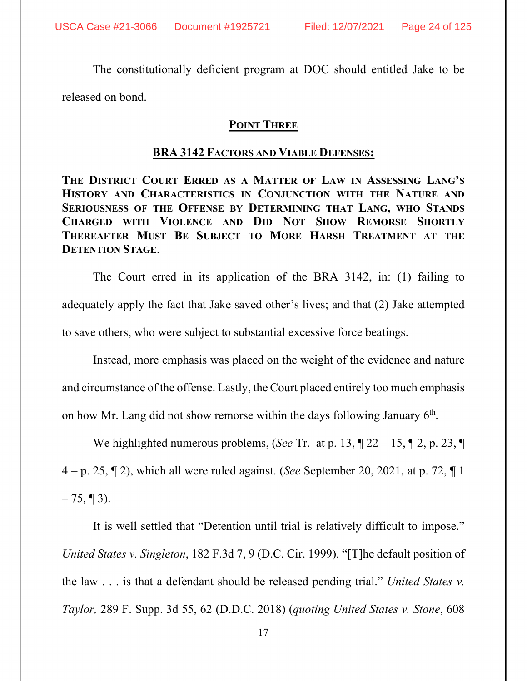The constitutionally deficient program at DOC should entitled Jake to be released on bond.

## **POINT THREE**

#### **BRA 3142 FACTORS AND VIABLE DEFENSES:**

**THE DISTRICT COURT ERRED AS A MATTER OF LAW IN ASSESSING LANG'S HISTORY AND CHARACTERISTICS IN CONJUNCTION WITH THE NATURE AND SERIOUSNESS OF THE OFFENSE BY DETERMINING THAT LANG, WHO STANDS CHARGED WITH VIOLENCE AND DID NOT SHOW REMORSE SHORTLY THEREAFTER MUST BE SUBJECT TO MORE HARSH TREATMENT AT THE DETENTION STAGE**.

The Court erred in its application of the BRA 3142, in: (1) failing to adequately apply the fact that Jake saved other's lives; and that (2) Jake attempted to save others, who were subject to substantial excessive force beatings.

Instead, more emphasis was placed on the weight of the evidence and nature and circumstance of the offense. Lastly, the Court placed entirely too much emphasis on how Mr. Lang did not show remorse within the days following January  $6<sup>th</sup>$ .

We highlighted numerous problems, (*See* Tr. at p. 13, ¶ 22 – 15, ¶ 2, p. 23, ¶ 4 – p. 25, ¶ 2), which all were ruled against. (*See* September 20, 2021, at p. 72, ¶ 1  $-75, \P 3$ ).

It is well settled that "Detention until trial is relatively difficult to impose." *United States v. Singleton*, 182 F.3d 7, 9 (D.C. Cir. 1999). "[T]he default position of the law . . . is that a defendant should be released pending trial." *United States v. Taylor,* 289 F. Supp. 3d 55, 62 (D.D.C. 2018) (*quoting United States v. Stone*, 608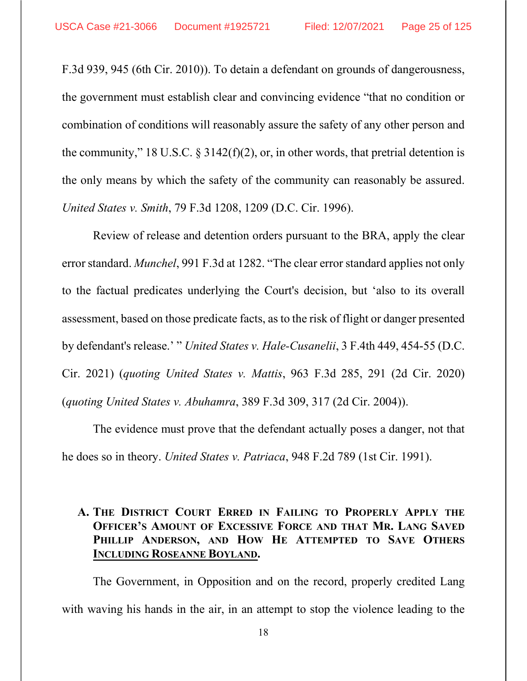F.3d 939, 945 (6th Cir. 2010)). To detain a defendant on grounds of dangerousness, the government must establish clear and convincing evidence "that no condition or combination of conditions will reasonably assure the safety of any other person and the community," 18 U.S.C.  $\S 3142(f)(2)$ , or, in other words, that pretrial detention is the only means by which the safety of the community can reasonably be assured. *United States v. Smith*, 79 F.3d 1208, 1209 (D.C. Cir. 1996).

Review of release and detention orders pursuant to the BRA, apply the clear error standard. *Munchel*, 991 F.3d at 1282. "The clear error standard applies not only to the factual predicates underlying the Court's decision, but 'also to its overall assessment, based on those predicate facts, as to the risk of flight or danger presented by defendant's release.' " *United States v. Hale-Cusanelii*, 3 F.4th 449, 454-55 (D.C. Cir. 2021) (*quoting United States v. Mattis*, 963 F.3d 285, 291 (2d Cir. 2020) (*quoting United States v. Abuhamra*, 389 F.3d 309, 317 (2d Cir. 2004)).

The evidence must prove that the defendant actually poses a danger, not that he does so in theory. *United States v. Patriaca*, 948 F.2d 789 (1st Cir. 1991).

## **A. THE DISTRICT COURT ERRED IN FAILING TO PROPERLY APPLY THE OFFICER'S AMOUNT OF EXCESSIVE FORCE AND THAT MR. LANG SAVED PHILLIP ANDERSON, AND HOW HE ATTEMPTED TO SAVE OTHERS INCLUDING ROSEANNE BOYLAND.**

The Government, in Opposition and on the record, properly credited Lang with waving his hands in the air, in an attempt to stop the violence leading to the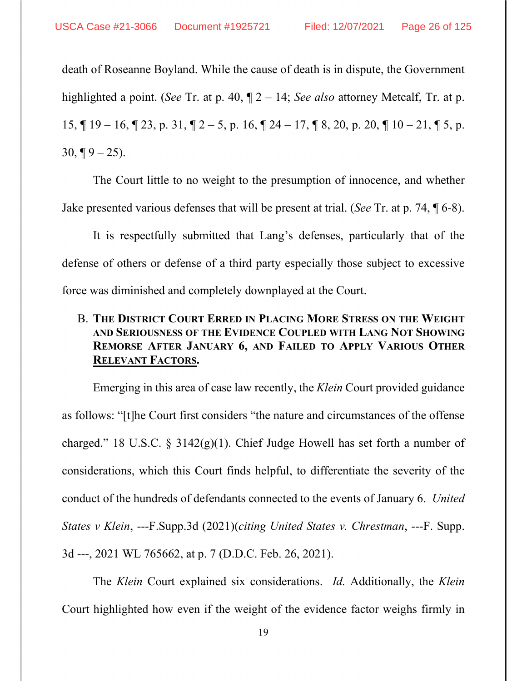death of Roseanne Boyland. While the cause of death is in dispute, the Government highlighted a point. (*See* Tr. at p. 40, ¶ 2 – 14; *See also* attorney Metcalf, Tr. at p. 15,  $\P$  19 – 16,  $\P$  23, p. 31,  $\P$  2 – 5, p. 16,  $\P$  24 – 17,  $\P$  8, 20, p. 20,  $\P$  10 – 21,  $\P$  5, p.  $30, \P 9 - 25$ ).

The Court little to no weight to the presumption of innocence, and whether Jake presented various defenses that will be present at trial. (*See* Tr. at p. 74, ¶ 6-8).

It is respectfully submitted that Lang's defenses, particularly that of the defense of others or defense of a third party especially those subject to excessive force was diminished and completely downplayed at the Court.

# B. **THE DISTRICT COURT ERRED IN PLACING MORE STRESS ON THE WEIGHT AND SERIOUSNESS OF THE EVIDENCE COUPLED WITH LANG NOT SHOWING REMORSE AFTER JANUARY 6, AND FAILED TO APPLY VARIOUS OTHER RELEVANT FACTORS.**

Emerging in this area of case law recently, the *Klein* Court provided guidance as follows: "[t]he Court first considers "the nature and circumstances of the offense charged." 18 U.S.C. § 3142(g)(1). Chief Judge Howell has set forth a number of considerations, which this Court finds helpful, to differentiate the severity of the conduct of the hundreds of defendants connected to the events of January 6. *United States v Klein*, ---F.Supp.3d (2021)(*citing United States v. Chrestman*, ---F. Supp. 3d ---, 2021 WL 765662, at p. 7 (D.D.C. Feb. 26, 2021).

The *Klein* Court explained six considerations. *Id.* Additionally, the *Klein* Court highlighted how even if the weight of the evidence factor weighs firmly in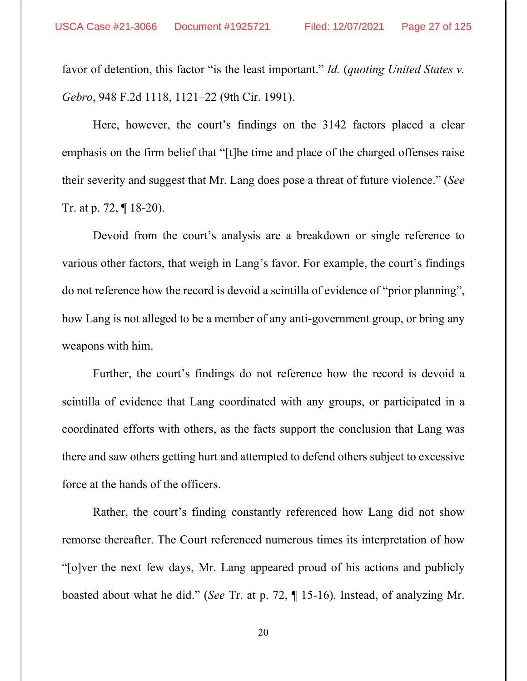favor of detention, this factor "is the least important." *Id.* (*quoting United States v. Gebro*, 948 F.2d 1118, 1121–22 (9th Cir. 1991).

Here, however, the court's findings on the 3142 factors placed a clear emphasis on the firm belief that "[t]he time and place of the charged offenses raise their severity and suggest that Mr. Lang does pose a threat of future violence." (*See* Tr. at p. 72, ¶ 18-20).

Devoid from the court's analysis are a breakdown or single reference to various other factors, that weigh in Lang's favor. For example, the court's findings do not reference how the record is devoid a scintilla of evidence of "prior planning", how Lang is not alleged to be a member of any anti-government group, or bring any weapons with him.

Further, the court's findings do not reference how the record is devoid a scintilla of evidence that Lang coordinated with any groups, or participated in a coordinated efforts with others, as the facts support the conclusion that Lang was there and saw others getting hurt and attempted to defend others subject to excessive force at the hands of the officers.

Rather, the court's finding constantly referenced how Lang did not show remorse thereafter. The Court referenced numerous times its interpretation of how "[o]ver the next few days, Mr. Lang appeared proud of his actions and publicly boasted about what he did." (*See* Tr. at p. 72, ¶ 15-16). Instead, of analyzing Mr.

20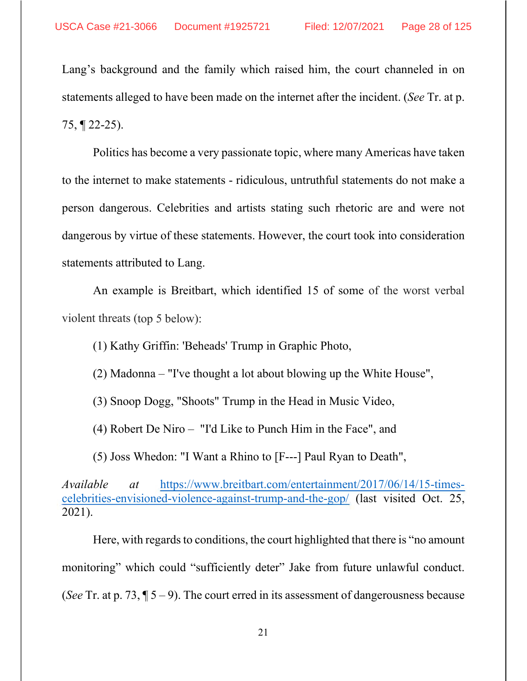Lang's background and the family which raised him, the court channeled in on statements alleged to have been made on the internet after the incident. (*See* Tr. at p. 75, ¶ 22-25).

Politics has become a very passionate topic, where many Americas have taken to the internet to make statements - ridiculous, untruthful statements do not make a person dangerous. Celebrities and artists stating such rhetoric are and were not dangerous by virtue of these statements. However, the court took into consideration statements attributed to Lang.

An example is Breitbart, which identified 15 of some of the worst verbal violent threats (top 5 below):

(1) Kathy Griffin: 'Beheads' Trump in Graphic Photo,

(2) Madonna – "I've thought a lot about blowing up the White House",

(3) Snoop Dogg, "Shoots" Trump in the Head in Music Video,

(4) Robert De Niro – "I'd Like to Punch Him in the Face", and

(5) Joss Whedon: "I Want a Rhino to [F---] Paul Ryan to Death",

*Available at* https://www.breitbart.com/entertainment/2017/06/14/15-timescelebrities-envisioned-violence-against-trump-and-the-gop/ (last visited Oct. 25, 2021).

Here, with regards to conditions, the court highlighted that there is "no amount monitoring" which could "sufficiently deter" Jake from future unlawful conduct. (*See* Tr. at p. 73,  $\sqrt{5} - 9$ ). The court erred in its assessment of dangerousness because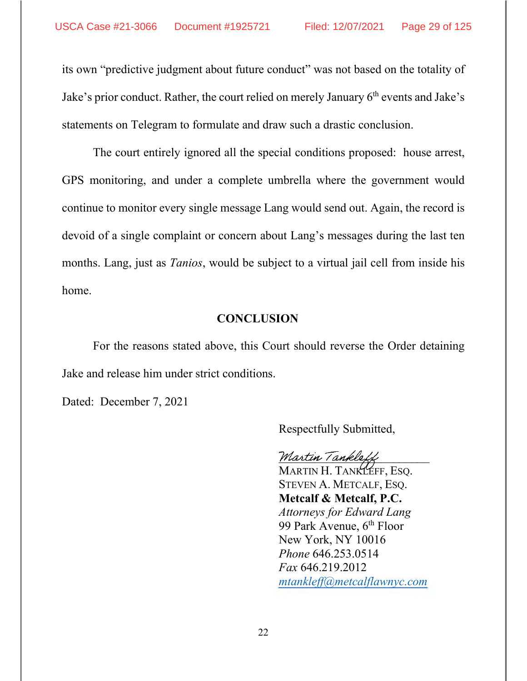its own "predictive judgment about future conduct" was not based on the totality of Jake's prior conduct. Rather, the court relied on merely January  $6<sup>th</sup>$  events and Jake's statements on Telegram to formulate and draw such a drastic conclusion.

The court entirely ignored all the special conditions proposed: house arrest, GPS monitoring, and under a complete umbrella where the government would continue to monitor every single message Lang would send out. Again, the record is devoid of a single complaint or concern about Lang's messages during the last ten months. Lang, just as *Tanios*, would be subject to a virtual jail cell from inside his home.

#### **CONCLUSION**

For the reasons stated above, this Court should reverse the Order detaining Jake and release him under strict conditions.

Dated: December 7, 2021

Respectfully Submitted,

Martin Tankle

MARTIN H. TANKLEFF, ESQ. STEVEN A. METCALF, ESQ. **Metcalf & Metcalf, P.C.** *Attorneys for Edward Lang* 99 Park Avenue, 6<sup>th</sup> Floor New York, NY 10016 *Phone* 646.253.0514 *Fax* 646.219.2012 *mtankleff@metcalflawnyc.com*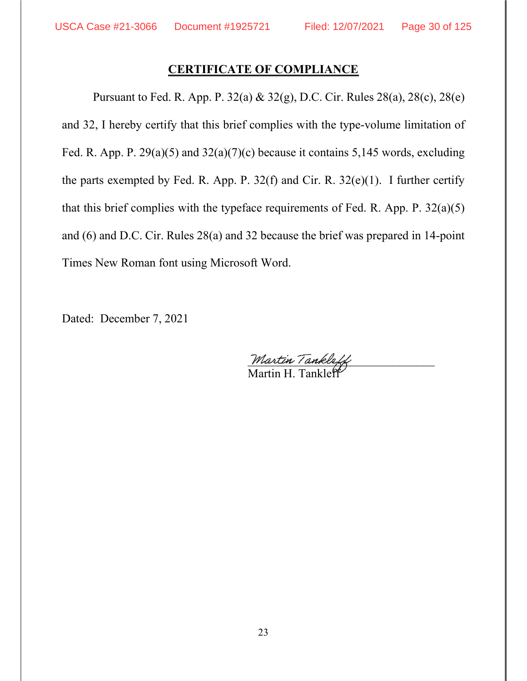### **CERTIFICATE OF COMPLIANCE**

Pursuant to Fed. R. App. P. 32(a) & 32(g), D.C. Cir. Rules 28(a), 28(c), 28(e) and 32, I hereby certify that this brief complies with the type-volume limitation of Fed. R. App. P. 29(a)(5) and  $32(a)(7)(c)$  because it contains 5,145 words, excluding the parts exempted by Fed. R. App. P.  $32(f)$  and Cir. R.  $32(e)(1)$ . I further certify that this brief complies with the typeface requirements of Fed. R. App. P.  $32(a)(5)$ and (6) and D.C. Cir. Rules 28(a) and 32 because the brief was prepared in 14-point Times New Roman font using Microsoft Word.

Dated: December 7, 2021

Martin Tankleff Martin H. Tankle<sup>f</sup>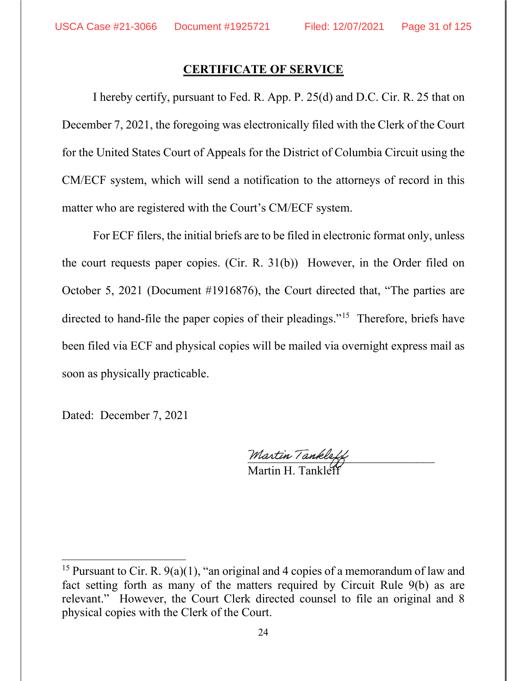#### **CERTIFICATE OF SERVICE**

I hereby certify, pursuant to Fed. R. App. P. 25(d) and D.C. Cir. R. 25 that on December 7, 2021, the foregoing was electronically filed with the Clerk of the Court for the United States Court of Appeals for the District of Columbia Circuit using the CM/ECF system, which will send a notification to the attorneys of record in this matter who are registered with the Court's CM/ECF system.

For ECF filers, the initial briefs are to be filed in electronic format only, unless the court requests paper copies. (Cir. R. 31(b)) However, in the Order filed on October 5, 2021 (Document #1916876), the Court directed that, "The parties are directed to hand-file the paper copies of their pleadings."15 Therefore, briefs have been filed via ECF and physical copies will be mailed via overnight express mail as soon as physically practicable.

Dated: December 7, 2021

Martin Tankl Martin H. Tanklef

<sup>&</sup>lt;sup>15</sup> Pursuant to Cir. R.  $9(a)(1)$ , "an original and 4 copies of a memorandum of law and fact setting forth as many of the matters required by Circuit Rule 9(b) as are relevant." However, the Court Clerk directed counsel to file an original and 8 physical copies with the Clerk of the Court.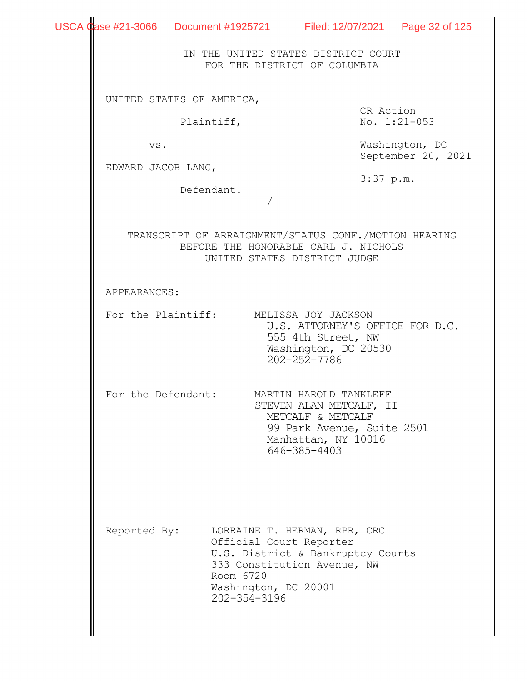|                    | USCA Case #21-3066 Document #1925721 Filed: 12/07/2021 Page 32 of 125                         |                                                                                                                   |                                      |
|--------------------|-----------------------------------------------------------------------------------------------|-------------------------------------------------------------------------------------------------------------------|--------------------------------------|
|                    |                                                                                               | IN THE UNITED STATES DISTRICT COURT<br>FOR THE DISTRICT OF COLUMBIA                                               |                                      |
|                    | UNITED STATES OF AMERICA,                                                                     |                                                                                                                   |                                      |
|                    | Plaintiff,                                                                                    | CR Action                                                                                                         | No. 1:21-053                         |
| VS.                |                                                                                               |                                                                                                                   | Washington, DC<br>September 20, 2021 |
| EDWARD JACOB LANG, |                                                                                               | $3:37$ p.m.                                                                                                       |                                      |
|                    | Defendant.                                                                                    |                                                                                                                   |                                      |
|                    | TRANSCRIPT OF ARRAIGNMENT/STATUS CONF./MOTION HEARING<br>BEFORE THE HONORABLE CARL J. NICHOLS | UNITED STATES DISTRICT JUDGE                                                                                      |                                      |
| APPEARANCES:       |                                                                                               |                                                                                                                   |                                      |
|                    | For the Plaintiff: MELISSA JOY JACKSON                                                        | U.S. ATTORNEY'S OFFICE FOR D.C.<br>555 4th Street, NW<br>Washington, DC 20530<br>202-252-7786                     |                                      |
|                    | For the Defendant: MARTIN HAROLD TANKLEFF                                                     | STEVEN ALAN METCALF, II<br>METCALF & METCALF<br>99 Park Avenue, Suite 2501<br>Manhattan, NY 10016<br>646-385-4403 |                                      |
| Reported By:       | Official Court Reporter<br>Room 6720<br>Washington, DC 20001<br>202-354-3196                  | LORRAINE T. HERMAN, RPR, CRC<br>U.S. District & Bankruptcy Courts<br>333 Constitution Avenue, NW                  |                                      |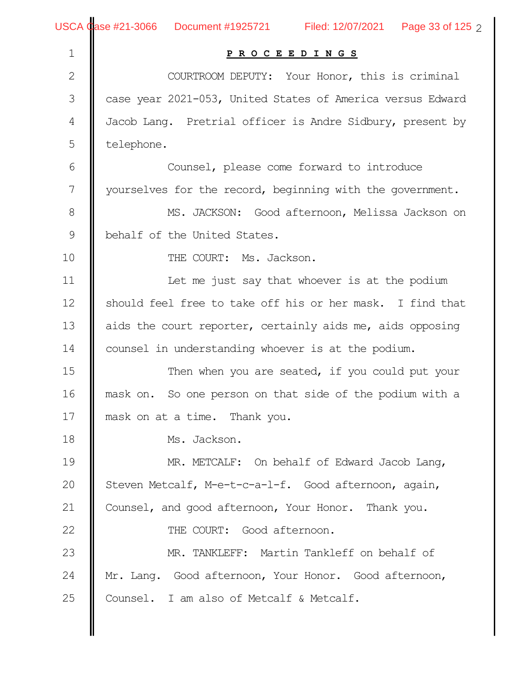| $\mathbf 1$    | PROCEEDINGS                                                |
|----------------|------------------------------------------------------------|
| $\mathbf{2}$   | COURTROOM DEPUTY: Your Honor, this is criminal             |
| 3              | case year 2021-053, United States of America versus Edward |
| $\overline{4}$ | Jacob Lang. Pretrial officer is Andre Sidbury, present by  |
| 5              | telephone.                                                 |
| 6              | Counsel, please come forward to introduce                  |
| 7              | yourselves for the record, beginning with the government.  |
| $\,8\,$        | MS. JACKSON: Good afternoon, Melissa Jackson on            |
| $\mathsf 9$    | behalf of the United States.                               |
| 10             | THE COURT: Ms. Jackson.                                    |
| 11             | Let me just say that whoever is at the podium              |
| 12             | should feel free to take off his or her mask. I find that  |
| 13             | aids the court reporter, certainly aids me, aids opposing  |
| 14             | counsel in understanding whoever is at the podium.         |
| 15             | Then when you are seated, if you could put your            |
| 16             | mask on. So one person on that side of the podium with a   |
| 17             | mask on at a time. Thank you.                              |
| 18             | Ms. Jackson.                                               |
| 19             | MR. METCALF: On behalf of Edward Jacob Lang,               |
| 20             | Steven Metcalf, M-e-t-c-a-l-f. Good afternoon, again,      |
| 21             | Counsel, and good afternoon, Your Honor. Thank you.        |
| 22             | THE COURT: Good afternoon.                                 |
| 23             | MR. TANKLEFF: Martin Tankleff on behalf of                 |
| 24             | Mr. Lang. Good afternoon, Your Honor. Good afternoon,      |
| 25             | Counsel. I am also of Metcalf & Metcalf.                   |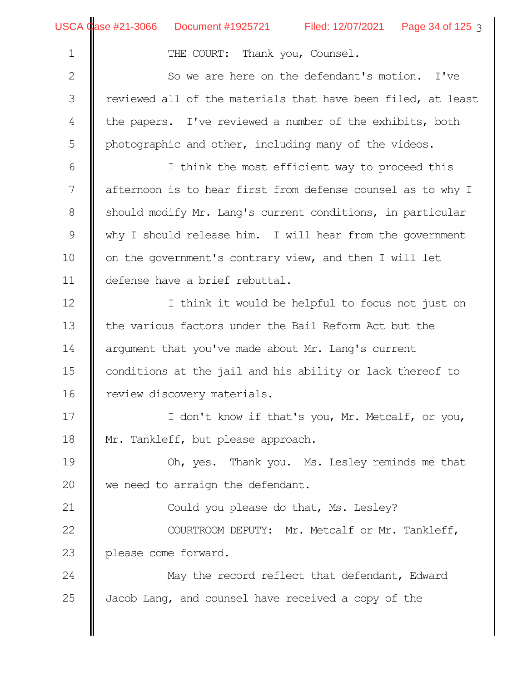|  | USCA <i>Qase #21-3066</i> |  |
|--|---------------------------|--|
|--|---------------------------|--|

Ĥ.

1

21

THE COURT: Thank you, Counsel.

So we are here on the defendant's motion. I've reviewed all of the materials that have been filed, at least the papers. I've reviewed a number of the exhibits, both photographic and other, including many of the videos. 2 3 4 5

I think the most efficient way to proceed this afternoon is to hear first from defense counsel as to why I should modify Mr. Lang's current conditions, in particular why I should release him. I will hear from the government on the government's contrary view, and then I will let defense have a brief rebuttal. 6 7 8 9 10 11

I think it would be helpful to focus not just on the various factors under the Bail Reform Act but the argument that you've made about Mr. Lang's current conditions at the jail and his ability or lack thereof to review discovery materials. 12 13 14 15 16

I don't know if that's you, Mr. Metcalf, or you, Mr. Tankleff, but please approach. 17 18

Oh, yes. Thank you. Ms. Lesley reminds me that we need to arraign the defendant. 19 20

Could you please do that, Ms. Lesley?

COURTROOM DEPUTY: Mr. Metcalf or Mr. Tankleff, please come forward. 22 23

May the record reflect that defendant, Edward Jacob Lang, and counsel have received a copy of the 24 25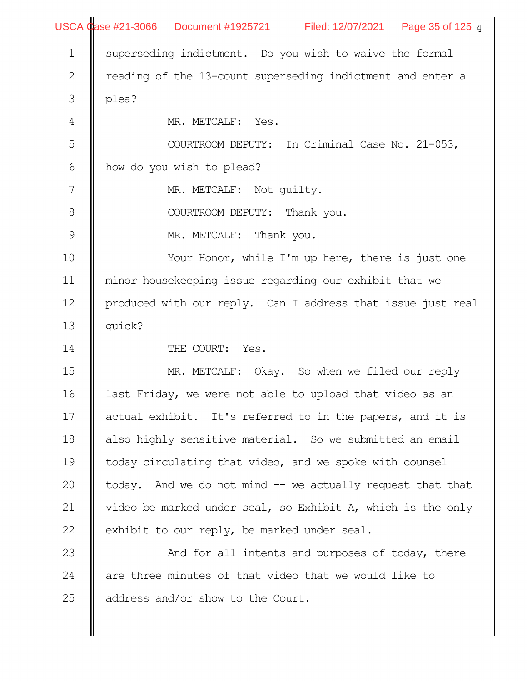|                  | USCA Case #21-3066 Document #1925721 Filed: 12/07/2021 Page 35 of 125 4 |
|------------------|-------------------------------------------------------------------------|
| $1\,$            | superseding indictment. Do you wish to waive the formal                 |
| $\mathbf{2}$     | reading of the 13-count superseding indictment and enter a              |
| $\mathfrak{Z}$   | plea?                                                                   |
| $\overline{4}$   | MR. METCALF: Yes.                                                       |
| 5                | COURTROOM DEPUTY: In Criminal Case No. 21-053,                          |
| $\sqrt{6}$       | how do you wish to plead?                                               |
| $\boldsymbol{7}$ | MR. METCALF: Not quilty.                                                |
| $\,8\,$          | COURTROOM DEPUTY: Thank you.                                            |
| $\mathsf 9$      | MR. METCALF: Thank you.                                                 |
| 10               | Your Honor, while I'm up here, there is just one                        |
| 11               | minor housekeeping issue regarding our exhibit that we                  |
| 12               | produced with our reply. Can I address that issue just real             |
| 13               | quick?                                                                  |
| 14               | THE COURT: Yes.                                                         |
| 15               | MR. METCALF: Okay. So when we filed our reply                           |
| 16               | last Friday, we were not able to upload that video as an                |
| 17               | actual exhibit. It's referred to in the papers, and it is               |
| 18               | also highly sensitive material. So we submitted an email                |
| 19               | today circulating that video, and we spoke with counsel                 |
| 20               | today. And we do not mind -- we actually request that that              |
| 21               | video be marked under seal, so Exhibit A, which is the only             |
| 22               | exhibit to our reply, be marked under seal.                             |
| 23               | And for all intents and purposes of today, there                        |
| 24               | are three minutes of that video that we would like to                   |
| 25               | address and/or show to the Court.                                       |
|                  |                                                                         |
|                  |                                                                         |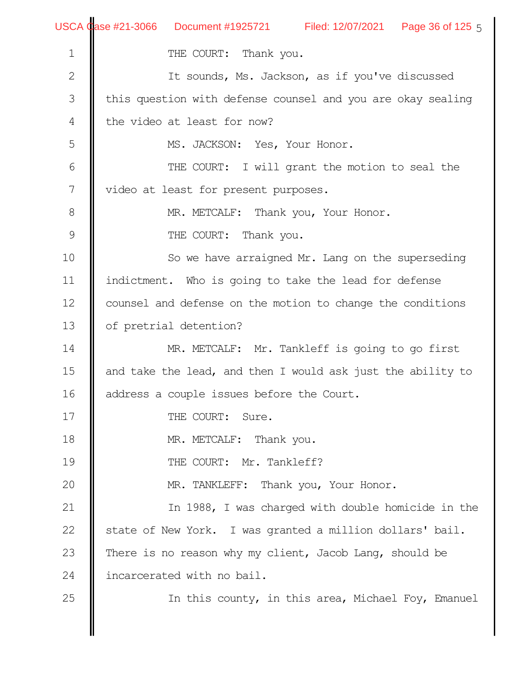|                  | USCA Case #21-3066 Document #1925721 Filed: 12/07/2021 Page 36 of 125 5 |
|------------------|-------------------------------------------------------------------------|
| $\mathbf 1$      | THE COURT: Thank you.                                                   |
| $\mathbf{2}$     | It sounds, Ms. Jackson, as if you've discussed                          |
| 3                | this question with defense counsel and you are okay sealing             |
| 4                | the video at least for now?                                             |
| 5                | MS. JACKSON: Yes, Your Honor.                                           |
| 6                | THE COURT: I will grant the motion to seal the                          |
| $\boldsymbol{7}$ | video at least for present purposes.                                    |
| 8                | MR. METCALF: Thank you, Your Honor.                                     |
| $\mathcal{G}$    | THE COURT: Thank you.                                                   |
| 10               | So we have arraigned Mr. Lang on the superseding                        |
| 11               | indictment. Who is going to take the lead for defense                   |
| 12               | counsel and defense on the motion to change the conditions              |
| 13               | of pretrial detention?                                                  |
| 14               | MR. METCALF: Mr. Tankleff is going to go first                          |
| 15               | and take the lead, and then I would ask just the ability to             |
| 16               | address a couple issues before the Court.                               |
| 17               | THE COURT: Sure.                                                        |
| 18               | MR. METCALF: Thank you.                                                 |
| 19               | THE COURT: Mr. Tankleff?                                                |
| 20               | MR. TANKLEFF: Thank you, Your Honor.                                    |
| 21               | In 1988, I was charged with double homicide in the                      |
| 22               | state of New York. I was granted a million dollars' bail.               |
| 23               | There is no reason why my client, Jacob Lang, should be                 |
| 24               | incarcerated with no bail.                                              |
| 25               | In this county, in this area, Michael Foy, Emanuel                      |
|                  |                                                                         |
|                  |                                                                         |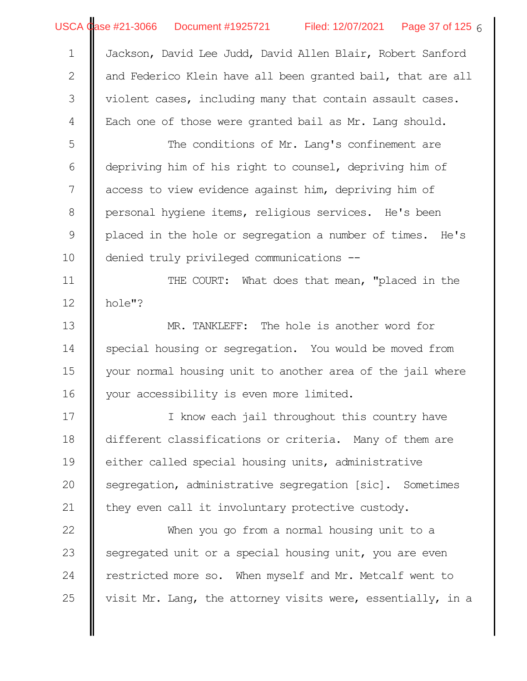|  | USCA Case #21-3066  Document #1925721 | Filed: 12/07/2021 | Page 37 of 125 $6$ |
|--|---------------------------------------|-------------------|--------------------|
|--|---------------------------------------|-------------------|--------------------|

Jackson, David Lee Judd, David Allen Blair, Robert Sanford and Federico Klein have all been granted bail, that are all violent cases, including many that contain assault cases. Each one of those were granted bail as Mr. Lang should. 1 2 3 4

The conditions of Mr. Lang's confinement are depriving him of his right to counsel, depriving him of access to view evidence against him, depriving him of personal hygiene items, religious services. He's been placed in the hole or segregation a number of times. He's denied truly privileged communications -- 5 6 7 8 9 10

THE COURT: What does that mean, "placed in the hole"? 11 12

MR. TANKLEFF: The hole is another word for special housing or segregation. You would be moved from your normal housing unit to another area of the jail where your accessibility is even more limited. 13 14 15 16

I know each jail throughout this country have different classifications or criteria. Many of them are either called special housing units, administrative segregation, administrative segregation [sic]. Sometimes they even call it involuntary protective custody. 17 18 19 20 21

When you go from a normal housing unit to a segregated unit or a special housing unit, you are even restricted more so. When myself and Mr. Metcalf went to visit Mr. Lang, the attorney visits were, essentially, in a 22 23 24 25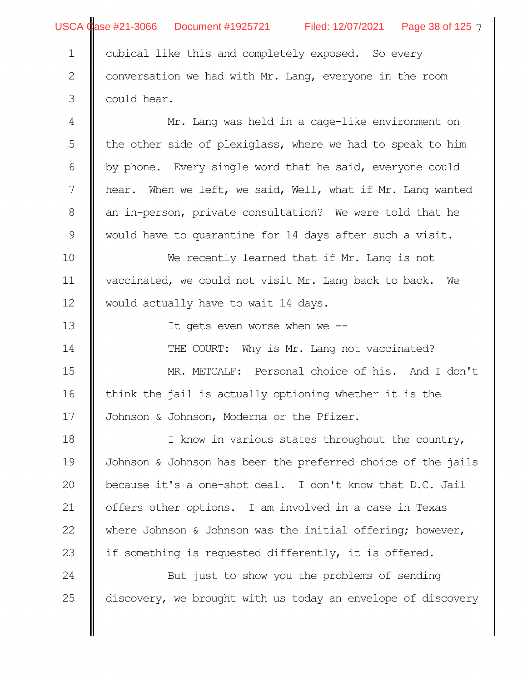|                | USCA Case #21-3066 Document #1925721 Filed: 12/07/2021 Page 38 of 125 7 |  |  |  |  |
|----------------|-------------------------------------------------------------------------|--|--|--|--|
| $\mathbf 1$    | cubical like this and completely exposed. So every                      |  |  |  |  |
| $\mathbf{2}$   | conversation we had with Mr. Lang, everyone in the room                 |  |  |  |  |
| 3              | could hear.                                                             |  |  |  |  |
| $\overline{4}$ | Mr. Lang was held in a cage-like environment on                         |  |  |  |  |
| 5              | the other side of plexiglass, where we had to speak to him              |  |  |  |  |
| 6              | by phone. Every single word that he said, everyone could                |  |  |  |  |
| 7              | hear. When we left, we said, Well, what if Mr. Lang wanted              |  |  |  |  |
| 8              | an in-person, private consultation? We were told that he                |  |  |  |  |
| $\mathsf 9$    | would have to quarantine for 14 days after such a visit.                |  |  |  |  |
| 10             | We recently learned that if Mr. Lang is not                             |  |  |  |  |
| 11             | vaccinated, we could not visit Mr. Lang back to back. We                |  |  |  |  |
| 12             | would actually have to wait 14 days.                                    |  |  |  |  |
| 13             | It gets even worse when we --                                           |  |  |  |  |
| 14             | THE COURT: Why is Mr. Lang not vaccinated?                              |  |  |  |  |
| 15             | MR. METCALF: Personal choice of his. And I don't                        |  |  |  |  |
| 16             | think the jail is actually optioning whether it is the                  |  |  |  |  |
| 17             | Johnson & Johnson, Moderna or the Pfizer.                               |  |  |  |  |
| 18             | I know in various states throughout the country,                        |  |  |  |  |
| 19             | Johnson & Johnson has been the preferred choice of the jails            |  |  |  |  |
| 20             | because it's a one-shot deal. I don't know that D.C. Jail               |  |  |  |  |
| 21             | offers other options. I am involved in a case in Texas                  |  |  |  |  |
| 22             | where Johnson & Johnson was the initial offering; however,              |  |  |  |  |
| 23             | if something is requested differently, it is offered.                   |  |  |  |  |
| 24             | But just to show you the problems of sending                            |  |  |  |  |
| 25             | discovery, we brought with us today an envelope of discovery            |  |  |  |  |
|                |                                                                         |  |  |  |  |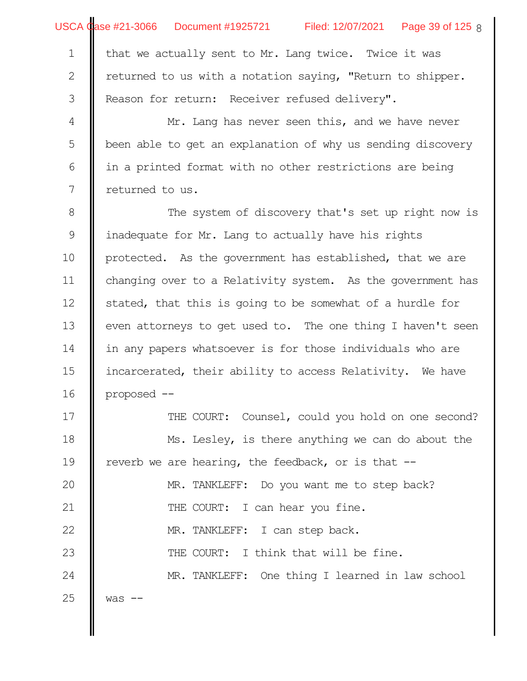|              | USCA Case #21-3066 Document #1925721 Filed: 12/07/2021 Page 39 of 125 8 |  |  |  |  |  |
|--------------|-------------------------------------------------------------------------|--|--|--|--|--|
| $\mathbf{1}$ | that we actually sent to Mr. Lang twice. Twice it was                   |  |  |  |  |  |
| $\mathbf{2}$ | returned to us with a notation saying, "Return to shipper.              |  |  |  |  |  |
| 3            | Reason for return: Receiver refused delivery".                          |  |  |  |  |  |
| 4            | Mr. Lang has never seen this, and we have never                         |  |  |  |  |  |
| 5            | been able to get an explanation of why us sending discovery             |  |  |  |  |  |
| 6            | in a printed format with no other restrictions are being                |  |  |  |  |  |
| 7            | returned to us.                                                         |  |  |  |  |  |
| $8\,$        | The system of discovery that's set up right now is                      |  |  |  |  |  |
| $\mathsf 9$  | inadequate for Mr. Lang to actually have his rights                     |  |  |  |  |  |
| 10           | protected. As the government has established, that we are               |  |  |  |  |  |
| 11           | changing over to a Relativity system. As the government has             |  |  |  |  |  |
| 12           | stated, that this is going to be somewhat of a hurdle for               |  |  |  |  |  |
| 13           | even attorneys to get used to. The one thing I haven't seen             |  |  |  |  |  |
| 14           | in any papers whatsoever is for those individuals who are               |  |  |  |  |  |
| 15           | incarcerated, their ability to access Relativity. We have               |  |  |  |  |  |
| 16           | proposed --                                                             |  |  |  |  |  |
| 17           | THE COURT: Counsel, could you hold on one second?                       |  |  |  |  |  |
| 18           | Ms. Lesley, is there anything we can do about the                       |  |  |  |  |  |
| 19           | reverb we are hearing, the feedback, or is that --                      |  |  |  |  |  |
| 20           | MR. TANKLEFF: Do you want me to step back?                              |  |  |  |  |  |
| 21           | THE COURT: I can hear you fine.                                         |  |  |  |  |  |
| 22           | MR. TANKLEFF: I can step back.                                          |  |  |  |  |  |
| 23           | THE COURT: I think that will be fine.                                   |  |  |  |  |  |
| 24           | MR. TANKLEFF: One thing I learned in law school                         |  |  |  |  |  |
| 25           | $was$ $-$                                                               |  |  |  |  |  |
|              |                                                                         |  |  |  |  |  |
|              |                                                                         |  |  |  |  |  |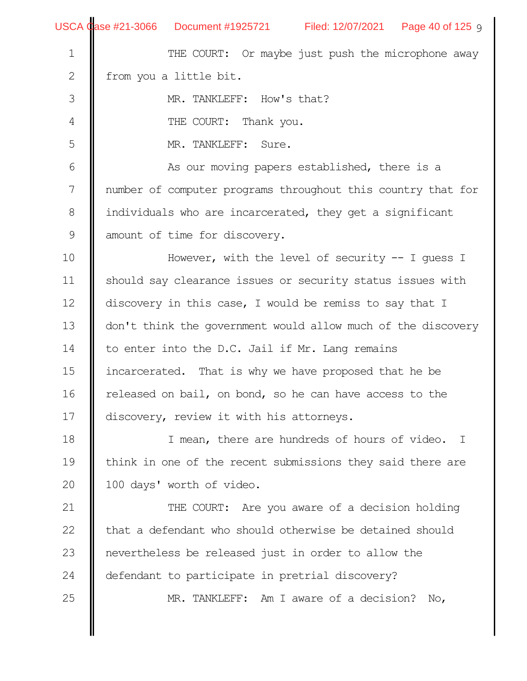|               | USCA Case #21-3066 Document #1925721 Filed: 12/07/2021 Page 40 of 125 9 |  |  |  |  |  |  |
|---------------|-------------------------------------------------------------------------|--|--|--|--|--|--|
| $\mathbf 1$   | THE COURT: Or maybe just push the microphone away                       |  |  |  |  |  |  |
| 2             | from you a little bit.                                                  |  |  |  |  |  |  |
| $\mathfrak S$ | MR. TANKLEFF: How's that?                                               |  |  |  |  |  |  |
| 4             | THE COURT: Thank you.                                                   |  |  |  |  |  |  |
| 5             | MR. TANKLEFF: Sure.                                                     |  |  |  |  |  |  |
| 6             | As our moving papers established, there is a                            |  |  |  |  |  |  |
| 7             | number of computer programs throughout this country that for            |  |  |  |  |  |  |
| $8\,$         | individuals who are incarcerated, they get a significant                |  |  |  |  |  |  |
| $\mathsf 9$   | amount of time for discovery.                                           |  |  |  |  |  |  |
| 10            | However, with the level of security $-$ - I quess I                     |  |  |  |  |  |  |
| 11            | should say clearance issues or security status issues with              |  |  |  |  |  |  |
| 12            | discovery in this case, I would be remiss to say that I                 |  |  |  |  |  |  |
| 13            | don't think the government would allow much of the discovery            |  |  |  |  |  |  |
| 14            | to enter into the D.C. Jail if Mr. Lang remains                         |  |  |  |  |  |  |
| 15            | incarcerated. That is why we have proposed that he be                   |  |  |  |  |  |  |
| 16            | released on bail, on bond, so he can have access to the                 |  |  |  |  |  |  |
| 17            | discovery, review it with his attorneys.                                |  |  |  |  |  |  |
| 18            | I mean, there are hundreds of hours of video. I                         |  |  |  |  |  |  |
| 19            | think in one of the recent submissions they said there are              |  |  |  |  |  |  |
| 20            | 100 days' worth of video.                                               |  |  |  |  |  |  |
| 21            | THE COURT: Are you aware of a decision holding                          |  |  |  |  |  |  |
| 22            | that a defendant who should otherwise be detained should                |  |  |  |  |  |  |
| 23            | nevertheless be released just in order to allow the                     |  |  |  |  |  |  |
| 24            | defendant to participate in pretrial discovery?                         |  |  |  |  |  |  |
| 25            | MR. TANKLEFF: Am I aware of a decision? No,                             |  |  |  |  |  |  |
|               |                                                                         |  |  |  |  |  |  |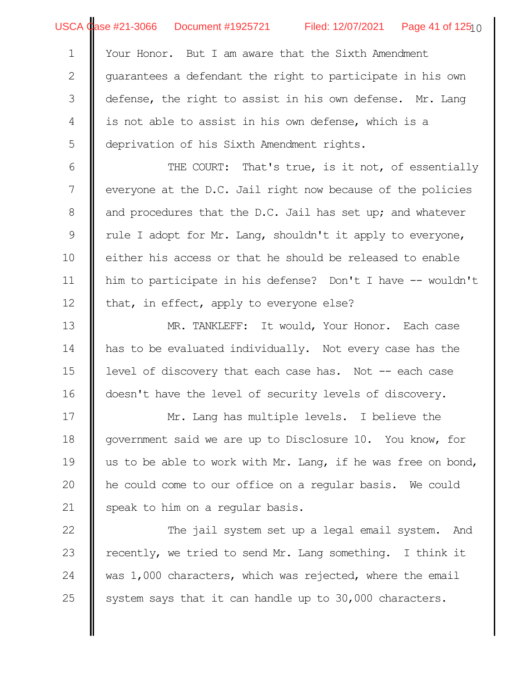USCA Case #21-3066 Document #1925721 Filed: 12/07/2021 Page 41 of 125 $_{\rm l}$  0

Your Honor. But I am aware that the Sixth Amendment uarantees a defendant the right to participate in his own defense, the right to assist in his own defense. Mr. Lang is not able to assist in his own defense, which is a deprivation of his Sixth Amendment rights. 1 2 3 4 5

THE COURT: That's true, is it not, of essentially everyone at the D.C. Jail right now because of the policies and procedures that the D.C. Jail has set up; and whatever rule I adopt for Mr. Lang, shouldn't it apply to everyone, either his access or that he should be released to enable him to participate in his defense? Don't I have -- wouldn't that, in effect, apply to everyone else? 6 7 8 9 10 11 12

MR. TANKLEFF: It would, Your Honor. Each case has to be evaluated individually. Not every case has the level of discovery that each case has. Not -- each case doesn't have the level of security levels of discovery. 13 14 15 16

Mr. Lang has multiple levels. I believe the government said we are up to Disclosure 10. You know, for us to be able to work with Mr. Lang, if he was free on bond, he could come to our office on a regular basis. We could speak to him on a regular basis. 17 18 19 20 21

The jail system set up a legal email system. And recently, we tried to send Mr. Lang something. I think it was 1,000 characters, which was rejected, where the email system says that it can handle up to 30,000 characters. 22 23 24 25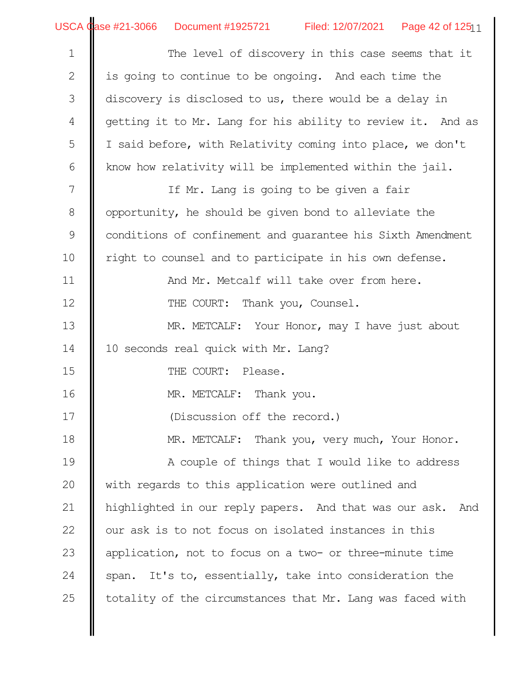The level of discovery in this case seems that it is going to continue to be ongoing. And each time the discovery is disclosed to us, there would be a delay in getting it to Mr. Lang for his ability to review it. And as I said before, with Relativity coming into place, we don't know how relativity will be implemented within the jail. If Mr. Lang is going to be given a fair opportunity, he should be given bond to alleviate the conditions of confinement and guarantee his Sixth Amendment right to counsel and to participate in his own defense. And Mr. Metcalf will take over from here. THE COURT: Thank you, Counsel. MR. METCALF: Your Honor, may I have just about 10 seconds real quick with Mr. Lang? THE COURT: Please. MR. METCALF: Thank you. (Discussion off the record.) MR. METCALF: Thank you, very much, Your Honor. A couple of things that I would like to address with regards to this application were outlined and highlighted in our reply papers. And that was our ask. And our ask is to not focus on isolated instances in this application, not to focus on a two- or three-minute time span. It's to, essentially, take into consideration the totality of the circumstances that Mr. Lang was faced with 1 2 3 4 5 6 7 8 9 10 11 12 13 14 15 16 17 18 19 20 21 22 23 24 25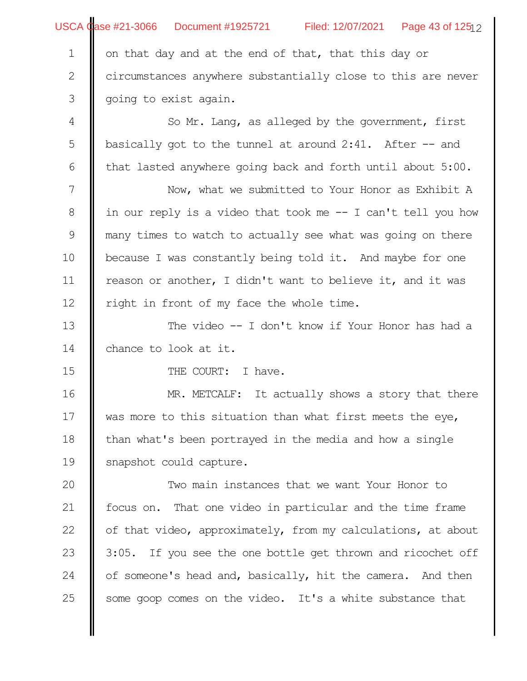|               | USCA Case #21-3066 Document #1925721 Filed: 12/07/2021 Page 43 of 12512 |  |  |  |  |  |
|---------------|-------------------------------------------------------------------------|--|--|--|--|--|
| $\mathbf 1$   | on that day and at the end of that, that this day or                    |  |  |  |  |  |
| $\mathbf{2}$  | circumstances anywhere substantially close to this are never            |  |  |  |  |  |
| $\mathfrak S$ | going to exist again.                                                   |  |  |  |  |  |
| 4             | So Mr. Lang, as alleged by the government, first                        |  |  |  |  |  |
| 5             | basically got to the tunnel at around $2:41$ . After $-$ and            |  |  |  |  |  |
| 6             | that lasted anywhere going back and forth until about 5:00.             |  |  |  |  |  |
| 7             | Now, what we submitted to Your Honor as Exhibit A                       |  |  |  |  |  |
| 8             | in our reply is a video that took me -- I can't tell you how            |  |  |  |  |  |
| 9             | many times to watch to actually see what was going on there             |  |  |  |  |  |
| 10            | because I was constantly being told it. And maybe for one               |  |  |  |  |  |
| 11            | reason or another, I didn't want to believe it, and it was              |  |  |  |  |  |
| 12            | right in front of my face the whole time.                               |  |  |  |  |  |
| 13            | The video $-$ I don't know if Your Honor has had a                      |  |  |  |  |  |
| 14            | chance to look at it.                                                   |  |  |  |  |  |
| 15            | THE COURT: I have.                                                      |  |  |  |  |  |
| 16            | MR. METCALF: It actually shows a story that there                       |  |  |  |  |  |
| $17$          | was more to this situation than what first meets the eye,               |  |  |  |  |  |
| 18            | than what's been portrayed in the media and how a single                |  |  |  |  |  |
| 19            | snapshot could capture.                                                 |  |  |  |  |  |
| 20            | Two main instances that we want Your Honor to                           |  |  |  |  |  |
| 21            | focus on. That one video in particular and the time frame               |  |  |  |  |  |
| 22            | of that video, approximately, from my calculations, at about            |  |  |  |  |  |
| 23            | 3:05. If you see the one bottle get thrown and ricochet off             |  |  |  |  |  |
| 24            | of someone's head and, basically, hit the camera. And then              |  |  |  |  |  |
| 25            | some goop comes on the video. It's a white substance that               |  |  |  |  |  |
|               |                                                                         |  |  |  |  |  |
|               |                                                                         |  |  |  |  |  |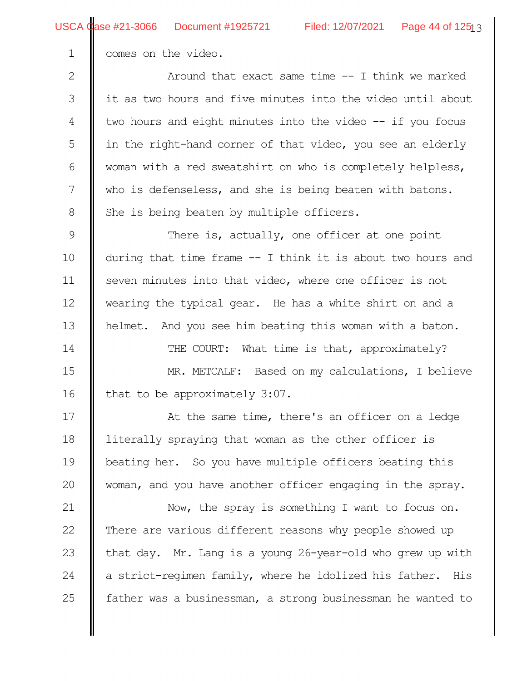comes on the video.

1

Around that exact same time -- I think we marked it as two hours and five minutes into the video until about two hours and eight minutes into the video -- if you focus in the right-hand corner of that video, you see an elderly woman with a red sweatshirt on who is completely helpless, who is defenseless, and she is being beaten with batons. She is being beaten by multiple officers. 2 3 4 5 6 7 8

There is, actually, one officer at one point during that time frame -- I think it is about two hours and seven minutes into that video, where one officer is not wearing the typical gear. He has a white shirt on and a helmet. And you see him beating this woman with a baton. THE COURT: What time is that, approximately? 9 10 11 12 13 14

MR. METCALF: Based on my calculations, I believe that to be approximately 3:07. 15 16

At the same time, there's an officer on a ledge literally spraying that woman as the other officer is beating her. So you have multiple officers beating this woman, and you have another officer engaging in the spray. 17 18 19 20

Now, the spray is something I want to focus on. There are various different reasons why people showed up that day. Mr. Lang is a young 26-year-old who grew up with a strict-regimen family, where he idolized his father. His father was a businessman, a strong businessman he wanted to 21 22 23 24 25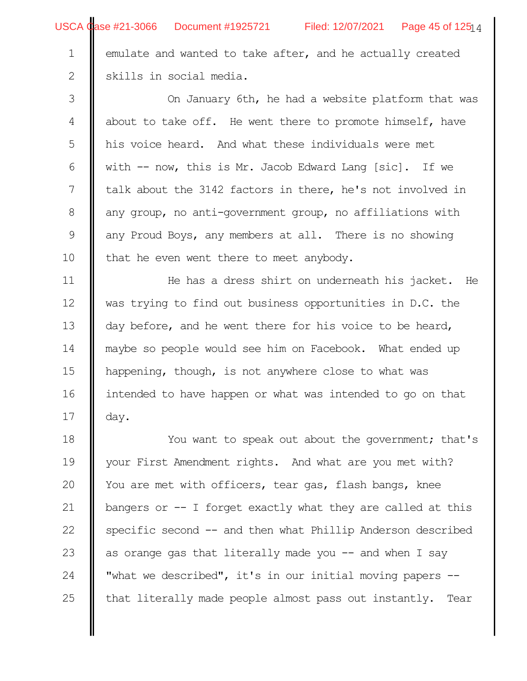2

emulate and wanted to take after, and he actually created skills in social media.

On January 6th, he had a website platform that was about to take off. He went there to promote himself, have his voice heard. And what these individuals were met with -- now, this is Mr. Jacob Edward Lang [sic]. If we talk about the 3142 factors in there, he's not involved in any group, no anti-government group, no affiliations with any Proud Boys, any members at all. There is no showing that he even went there to meet anybody. 3 4 5 6 7 8 9 10

He has a dress shirt on underneath his jacket. He was trying to find out business opportunities in D.C. the day before, and he went there for his voice to be heard, maybe so people would see him on Facebook. What ended up happening, though, is not anywhere close to what was intended to have happen or what was intended to go on that day. 11 12 13 14 15 16 17

You want to speak out about the government; that's your First Amendment rights. And what are you met with? You are met with officers, tear gas, flash bangs, knee bangers or  $-$ - I forget exactly what they are called at this specific second -- and then what Phillip Anderson described as orange gas that literally made you  $-$  and when I say "what we described", it's in our initial moving papers - that literally made people almost pass out instantly. Tear 18 19 20 21 22 23 24 25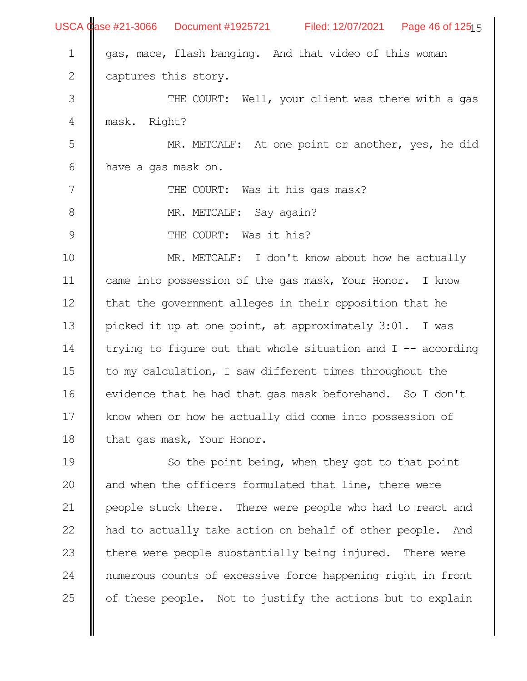|               | USCA Case #21-3066 Document #1925721 Filed: 12/07/2021 Page 46 of 12515 |  |  |  |  |  |
|---------------|-------------------------------------------------------------------------|--|--|--|--|--|
| $1\,$         | gas, mace, flash banging. And that video of this woman                  |  |  |  |  |  |
| $\mathbf{2}$  | captures this story.                                                    |  |  |  |  |  |
| $\mathfrak S$ | THE COURT: Well, your client was there with a gas                       |  |  |  |  |  |
| 4             | mask. Right?                                                            |  |  |  |  |  |
| 5             | MR. METCALF: At one point or another, yes, he did                       |  |  |  |  |  |
| $\sqrt{6}$    | have a gas mask on.                                                     |  |  |  |  |  |
| 7             | THE COURT: Was it his gas mask?                                         |  |  |  |  |  |
| $\,8\,$       | MR. METCALF: Say again?                                                 |  |  |  |  |  |
| $\mathsf 9$   | THE COURT: Was it his?                                                  |  |  |  |  |  |
| 10            | MR. METCALF: I don't know about how he actually                         |  |  |  |  |  |
| 11            | came into possession of the gas mask, Your Honor. I know                |  |  |  |  |  |
| 12            | that the government alleges in their opposition that he                 |  |  |  |  |  |
| 13            | picked it up at one point, at approximately 3:01. I was                 |  |  |  |  |  |
| 14            | trying to figure out that whole situation and I -- according            |  |  |  |  |  |
| 15            | to my calculation, I saw different times throughout the                 |  |  |  |  |  |
| 16            | evidence that he had that gas mask beforehand. So I don't               |  |  |  |  |  |
| 17            | know when or how he actually did come into possession of                |  |  |  |  |  |
| 18            | that gas mask, Your Honor.                                              |  |  |  |  |  |
| 19            | So the point being, when they got to that point                         |  |  |  |  |  |
| 20            | and when the officers formulated that line, there were                  |  |  |  |  |  |
| 21            | people stuck there. There were people who had to react and              |  |  |  |  |  |
| 22            | had to actually take action on behalf of other people.<br>And           |  |  |  |  |  |
| 23            | there were people substantially being injured. There were               |  |  |  |  |  |
| 24            | numerous counts of excessive force happening right in front             |  |  |  |  |  |
| 25            | of these people. Not to justify the actions but to explain              |  |  |  |  |  |
|               |                                                                         |  |  |  |  |  |
|               |                                                                         |  |  |  |  |  |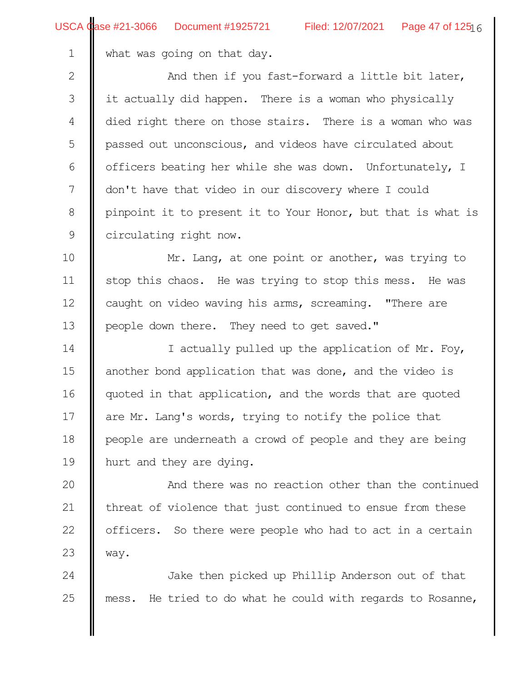what was going on that day.

And then if you fast-forward a little bit later, it actually did happen. There is a woman who physically died right there on those stairs. There is a woman who was passed out unconscious, and videos have circulated about officers beating her while she was down. Unfortunately, I don't have that video in our discovery where I could pinpoint it to present it to Your Honor, but that is what is circulating right now. 2 3 4 5 6 7 8 9

Mr. Lang, at one point or another, was trying to stop this chaos. He was trying to stop this mess. He was caught on video waving his arms, screaming. "There are people down there. They need to get saved." 10 11 12 13

I actually pulled up the application of Mr. Foy, another bond application that was done, and the video is quoted in that application, and the words that are quoted are Mr. Lang's words, trying to notify the police that people are underneath a crowd of people and they are being hurt and they are dying. 14 15 16 17 18 19

And there was no reaction other than the continued threat of violence that just continued to ensue from these officers. So there were people who had to act in a certain way. 20 21 22 23

Jake then picked up Phillip Anderson out of that mess. He tried to do what he could with regards to Rosanne, 24 25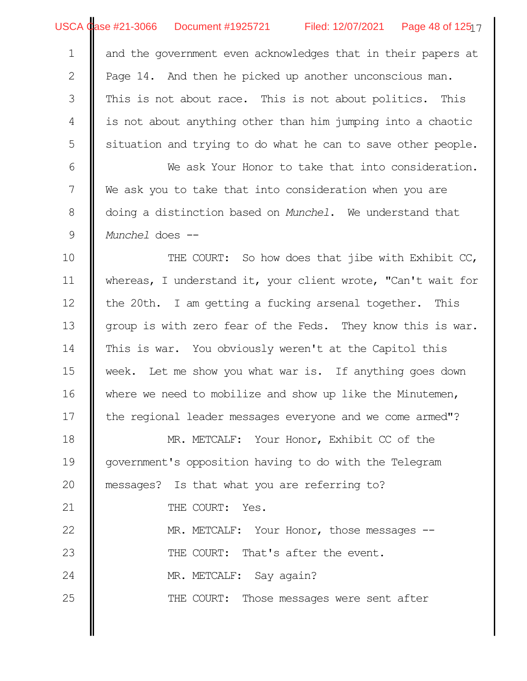and the government even acknowledges that in their papers at Page 14. And then he picked up another unconscious man. This is not about race. This is not about politics. This is not about anything other than him jumping into a chaotic situation and trying to do what he can to save other people. 1 2 3 4 5

We ask Your Honor to take that into consideration. We ask you to take that into consideration when you are doing a distinction based on *Munchel*. We understand that *Munchel* does -- 6 7 8 9

THE COURT: So how does that jibe with Exhibit CC, whereas, I understand it, your client wrote, "Can't wait for the 20th. I am getting a fucking arsenal together. This group is with zero fear of the Feds. They know this is war. This is war. You obviously weren't at the Capitol this week. Let me show you what war is. If anything goes down where we need to mobilize and show up like the Minutemen, the regional leader messages everyone and we come armed"? 10 11 12 13 14 15 16 17

MR. METCALF: Your Honor, Exhibit CC of the government's opposition having to do with the Telegram messages? Is that what you are referring to? THE COURT: Yes. MR. METCALF: Your Honor, those messages --THE COURT: That's after the event. MR. METCALF: Say again? 18 19 20 21 22 23 24

THE COURT: Those messages were sent after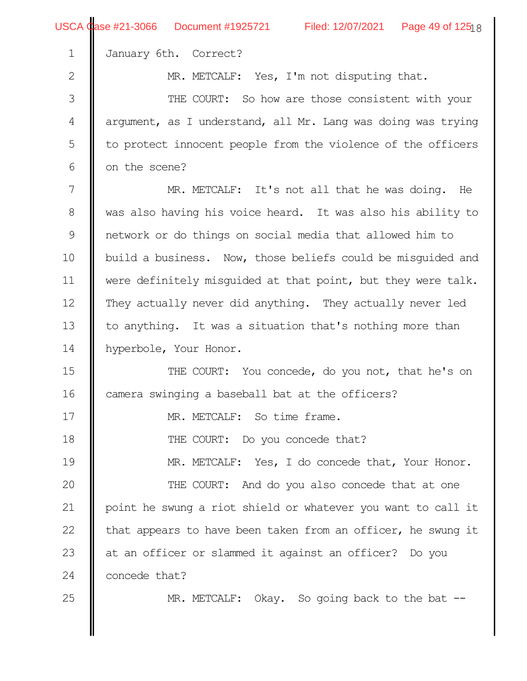|                | USCA Case #21-3066 Document #1925721 Filed: 12/07/2021 Page 49 of 12518 |  |  |  |  |  |
|----------------|-------------------------------------------------------------------------|--|--|--|--|--|
| $\mathbf 1$    | January 6th. Correct?                                                   |  |  |  |  |  |
| $\mathbf{2}$   | MR. METCALF: Yes, I'm not disputing that.                               |  |  |  |  |  |
| 3              | THE COURT: So how are those consistent with your                        |  |  |  |  |  |
| $\sqrt{4}$     | arqument, as I understand, all Mr. Lang was doing was trying            |  |  |  |  |  |
| 5              | to protect innocent people from the violence of the officers            |  |  |  |  |  |
| 6              | on the scene?                                                           |  |  |  |  |  |
| $\overline{7}$ | MR. METCALF: It's not all that he was doing. He                         |  |  |  |  |  |
| $\,8\,$        | was also having his voice heard. It was also his ability to             |  |  |  |  |  |
| $\mathcal{G}$  | network or do things on social media that allowed him to                |  |  |  |  |  |
| 10             | build a business. Now, those beliefs could be misquided and             |  |  |  |  |  |
| 11             | were definitely misguided at that point, but they were talk.            |  |  |  |  |  |
| 12             | They actually never did anything. They actually never led               |  |  |  |  |  |
| 13             | to anything. It was a situation that's nothing more than                |  |  |  |  |  |
| 14             | hyperbole, Your Honor.                                                  |  |  |  |  |  |
| 15             | THE COURT: You concede, do you not, that he's on                        |  |  |  |  |  |
| 16             | camera swinging a baseball bat at the officers?                         |  |  |  |  |  |
| 17             | MR. METCALF: So time frame.                                             |  |  |  |  |  |
| 18             | THE COURT: Do you concede that?                                         |  |  |  |  |  |
| 19             | MR. METCALF: Yes, I do concede that, Your Honor.                        |  |  |  |  |  |
| 20             | THE COURT: And do you also concede that at one                          |  |  |  |  |  |
| 21             | point he swung a riot shield or whatever you want to call it            |  |  |  |  |  |
| 22             | that appears to have been taken from an officer, he swung it            |  |  |  |  |  |
| 23             | at an officer or slammed it against an officer? Do you                  |  |  |  |  |  |
| 24             | concede that?                                                           |  |  |  |  |  |
| 25             | MR. METCALF: Okay. So going back to the bat --                          |  |  |  |  |  |
|                |                                                                         |  |  |  |  |  |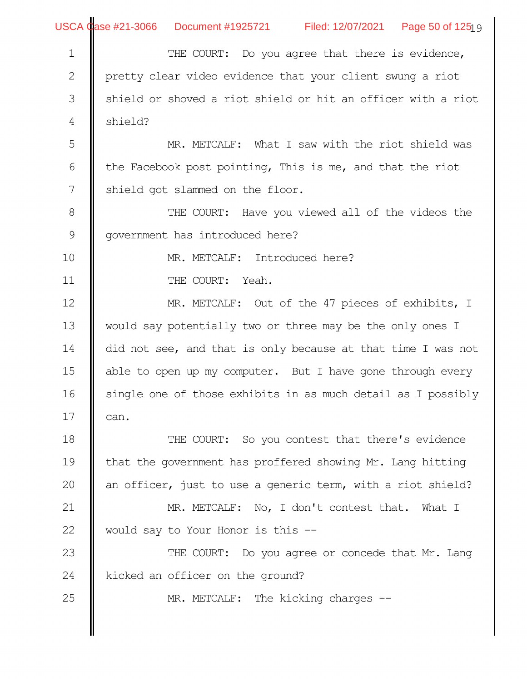|               | USCA Case #21-3066 Document #1925721 Filed: 12/07/2021 Page 50 of 1251 9 |  |  |  |  |  |
|---------------|--------------------------------------------------------------------------|--|--|--|--|--|
| $\mathbf 1$   | THE COURT: Do you agree that there is evidence,                          |  |  |  |  |  |
| $\mathbf{2}$  | pretty clear video evidence that your client swung a riot                |  |  |  |  |  |
| $\mathfrak S$ | shield or shoved a riot shield or hit an officer with a riot             |  |  |  |  |  |
| 4             | shield?                                                                  |  |  |  |  |  |
| 5             | MR. METCALF: What I saw with the riot shield was                         |  |  |  |  |  |
| 6             | the Facebook post pointing, This is me, and that the riot                |  |  |  |  |  |
| 7             | shield got slammed on the floor.                                         |  |  |  |  |  |
| $8\,$         | THE COURT: Have you viewed all of the videos the                         |  |  |  |  |  |
| $\mathcal{G}$ | government has introduced here?                                          |  |  |  |  |  |
| 10            | MR. METCALF: Introduced here?                                            |  |  |  |  |  |
| 11            | THE COURT: Yeah.                                                         |  |  |  |  |  |
| 12            | MR. METCALF: Out of the 47 pieces of exhibits, I                         |  |  |  |  |  |
| 13            | would say potentially two or three may be the only ones I                |  |  |  |  |  |
| 14            | did not see, and that is only because at that time I was not             |  |  |  |  |  |
| 15            | able to open up my computer. But I have gone through every               |  |  |  |  |  |
| 16            | single one of those exhibits in as much detail as I possibly             |  |  |  |  |  |
| 17            | can.                                                                     |  |  |  |  |  |
| 18            | THE COURT: So you contest that there's evidence                          |  |  |  |  |  |
| 19            | that the government has proffered showing Mr. Lang hitting               |  |  |  |  |  |
| 20            | an officer, just to use a generic term, with a riot shield?              |  |  |  |  |  |
| 21            | MR. METCALF: No, I don't contest that. What I                            |  |  |  |  |  |
| 22            | would say to Your Honor is this --                                       |  |  |  |  |  |
| 23            | THE COURT: Do you agree or concede that Mr. Lang                         |  |  |  |  |  |
| 24            | kicked an officer on the ground?                                         |  |  |  |  |  |
| 25            | MR. METCALF: The kicking charges --                                      |  |  |  |  |  |
|               |                                                                          |  |  |  |  |  |
|               |                                                                          |  |  |  |  |  |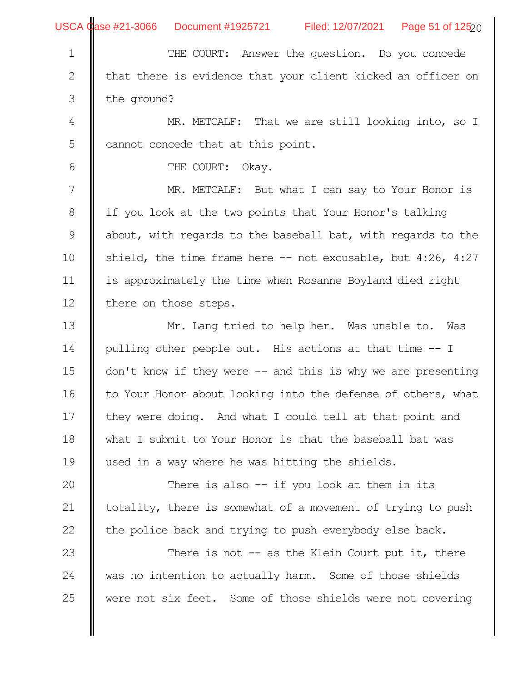|                | USCA Case #21-3066 Document #1925721 Filed: 12/07/2021 Page 51 of 125 $_{20}$ |  |  |  |  |  |
|----------------|-------------------------------------------------------------------------------|--|--|--|--|--|
| $\mathbf 1$    | THE COURT: Answer the question. Do you concede                                |  |  |  |  |  |
| $\sqrt{2}$     | that there is evidence that your client kicked an officer on                  |  |  |  |  |  |
| $\mathfrak{Z}$ | the ground?                                                                   |  |  |  |  |  |
| $\overline{4}$ | MR. METCALF: That we are still looking into, so I                             |  |  |  |  |  |
| 5              | cannot concede that at this point.                                            |  |  |  |  |  |
| 6              | THE COURT: Okay.                                                              |  |  |  |  |  |
| 7              | MR. METCALF: But what I can say to Your Honor is                              |  |  |  |  |  |
| 8              | if you look at the two points that Your Honor's talking                       |  |  |  |  |  |
| 9              | about, with regards to the baseball bat, with regards to the                  |  |  |  |  |  |
| 10             | shield, the time frame here $--$ not excusable, but 4:26, 4:27                |  |  |  |  |  |
| 11             | is approximately the time when Rosanne Boyland died right                     |  |  |  |  |  |
| 12             | there on those steps.                                                         |  |  |  |  |  |
| 13             | Mr. Lang tried to help her. Was unable to. Was                                |  |  |  |  |  |
| 14             | pulling other people out. His actions at that time -- I                       |  |  |  |  |  |
| 15             | don't know if they were $-$ and this is why we are presenting                 |  |  |  |  |  |
| 16             | to Your Honor about looking into the defense of others, what                  |  |  |  |  |  |
| 17             | they were doing. And what I could tell at that point and                      |  |  |  |  |  |
| 18             | what I submit to Your Honor is that the baseball bat was                      |  |  |  |  |  |
| 19             | used in a way where he was hitting the shields.                               |  |  |  |  |  |
| 20             | There is also $-$ if you look at them in its                                  |  |  |  |  |  |
| 21             | totality, there is somewhat of a movement of trying to push                   |  |  |  |  |  |
| 22             | the police back and trying to push everybody else back.                       |  |  |  |  |  |
| 23             | There is not $-$ as the Klein Court put it, there                             |  |  |  |  |  |
| 24             | was no intention to actually harm. Some of those shields                      |  |  |  |  |  |
| 25             | were not six feet. Some of those shields were not covering                    |  |  |  |  |  |
|                |                                                                               |  |  |  |  |  |
|                |                                                                               |  |  |  |  |  |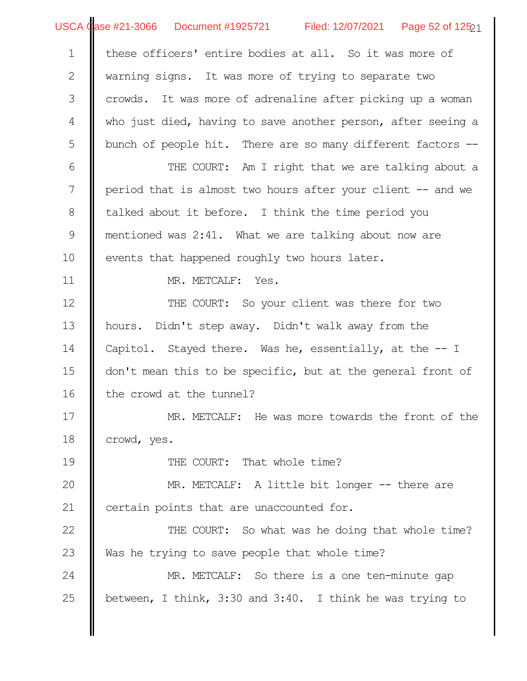USCA Case #21-3066 Document #1925721 Filed: 12/07/2021 Page 52 of 125 $_{21}$ 

| $\mathbf 1$  | these officers' entire bodies at all. So it was more of      |  |  |  |  |  |
|--------------|--------------------------------------------------------------|--|--|--|--|--|
| $\mathbf{2}$ | warning signs. It was more of trying to separate two         |  |  |  |  |  |
| 3            | crowds. It was more of adrenaline after picking up a woman   |  |  |  |  |  |
| 4            | who just died, having to save another person, after seeing a |  |  |  |  |  |
| 5            | bunch of people hit. There are so many different factors --  |  |  |  |  |  |
| 6            | THE COURT: Am I right that we are talking about a            |  |  |  |  |  |
| 7            | period that is almost two hours after your client -- and we  |  |  |  |  |  |
| $8\,$        | talked about it before. I think the time period you          |  |  |  |  |  |
|              |                                                              |  |  |  |  |  |
| $\mathsf 9$  | mentioned was 2:41. What we are talking about now are        |  |  |  |  |  |
| 10           | events that happened roughly two hours later.                |  |  |  |  |  |
| 11           | MR. METCALF: Yes.                                            |  |  |  |  |  |
| 12           | THE COURT: So your client was there for two                  |  |  |  |  |  |
| 13           | hours. Didn't step away. Didn't walk away from the           |  |  |  |  |  |
| 14           | Capitol. Stayed there. Was he, essentially, at the $-1$      |  |  |  |  |  |
| 15           | don't mean this to be specific, but at the general front of  |  |  |  |  |  |
| 16           | the crowd at the tunnel?                                     |  |  |  |  |  |
| 17           | MR. METCALF: He was more towards the front of the            |  |  |  |  |  |
| 18           | crowd, yes.                                                  |  |  |  |  |  |
| 19           | THE COURT: That whole time?                                  |  |  |  |  |  |
| 20           | MR. METCALF: A little bit longer -- there are                |  |  |  |  |  |
| 21           | certain points that are unaccounted for.                     |  |  |  |  |  |
| 22           | THE COURT: So what was he doing that whole time?             |  |  |  |  |  |
| 23           | Was he trying to save people that whole time?                |  |  |  |  |  |
| 24           | MR. METCALF: So there is a one ten-minute gap                |  |  |  |  |  |
| 25           | between, I think, 3:30 and 3:40. I think he was trying to    |  |  |  |  |  |
|              |                                                              |  |  |  |  |  |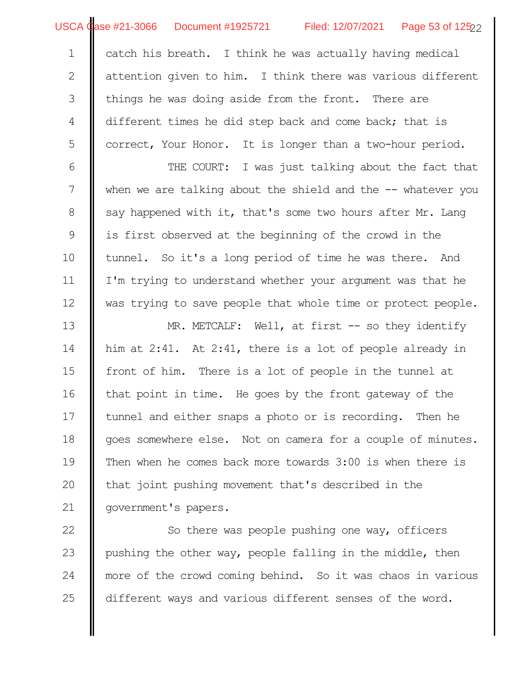USCA Case #21-3066 Document #1925721 Filed: 12/07/2021 Page 53 of 125<sub>22</sub>

catch his breath. I think he was actually having medical attention given to him. I think there was various different things he was doing aside from the front. There are different times he did step back and come back; that is correct, Your Honor. It is longer than a two-hour period. 1 2 3 4 5

THE COURT: I was just talking about the fact that when we are talking about the shield and the  $-$ - whatever you say happened with it, that's some two hours after Mr. Lang is first observed at the beginning of the crowd in the tunnel. So it's a long period of time he was there. And I'm trying to understand whether your argument was that he was trying to save people that whole time or protect people. 6 7 8 9 10 11 12

MR. METCALF: Well, at first -- so they identify him at 2:41. At 2:41, there is a lot of people already in front of him. There is a lot of people in the tunnel at that point in time. He goes by the front gateway of the tunnel and either snaps a photo or is recording. Then he goes somewhere else. Not on camera for a couple of minutes. Then when he comes back more towards 3:00 is when there is that joint pushing movement that's described in the government's papers. 13 14 15 16 17 18 19 20 21

So there was people pushing one way, officers pushing the other way, people falling in the middle, then more of the crowd coming behind. So it was chaos in various different ways and various different senses of the word. 22 23 24 25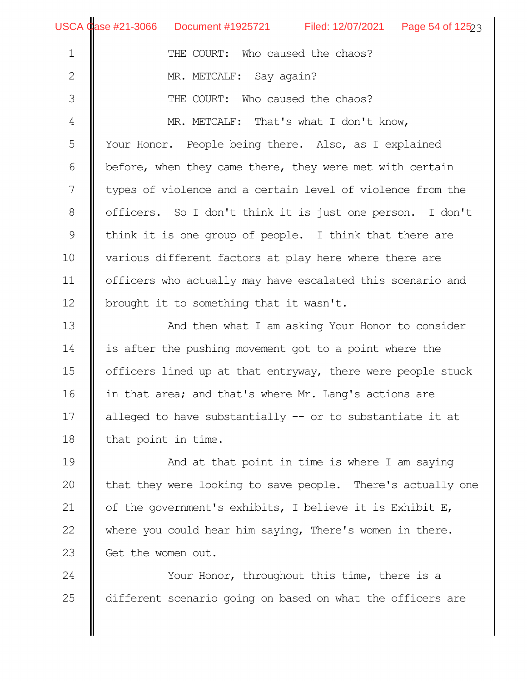|              | USCA Case #21-3066 Document #1925721 Filed: 12/07/2021 Page 54 of $12523$ |  |  |  |  |  |
|--------------|---------------------------------------------------------------------------|--|--|--|--|--|
| $\mathbf 1$  | THE COURT: Who caused the chaos?                                          |  |  |  |  |  |
| $\mathbf{2}$ | MR. METCALF: Say again?                                                   |  |  |  |  |  |
| 3            | THE COURT: Who caused the chaos?                                          |  |  |  |  |  |
| 4            | MR. METCALF: That's what I don't know,                                    |  |  |  |  |  |
| 5            | Your Honor. People being there. Also, as I explained                      |  |  |  |  |  |
| 6            | before, when they came there, they were met with certain                  |  |  |  |  |  |
| 7            | types of violence and a certain level of violence from the                |  |  |  |  |  |
| 8            | officers. So I don't think it is just one person. I don't                 |  |  |  |  |  |
| 9            | think it is one group of people. I think that there are                   |  |  |  |  |  |
| 10           | various different factors at play here where there are                    |  |  |  |  |  |
| 11           | officers who actually may have escalated this scenario and                |  |  |  |  |  |
| 12           | brought it to something that it wasn't.                                   |  |  |  |  |  |
| 13           | And then what I am asking Your Honor to consider                          |  |  |  |  |  |
| 14           | is after the pushing movement got to a point where the                    |  |  |  |  |  |
| 15           | officers lined up at that entryway, there were people stuck               |  |  |  |  |  |
| 16           | in that area; and that's where Mr. Lang's actions are                     |  |  |  |  |  |
| 17           | alleged to have substantially -- or to substantiate it at                 |  |  |  |  |  |
| 18           | that point in time.                                                       |  |  |  |  |  |
| 19           | And at that point in time is where I am saying                            |  |  |  |  |  |
| 20           | that they were looking to save people. There's actually one               |  |  |  |  |  |
| 21           | of the government's exhibits, I believe it is Exhibit E,                  |  |  |  |  |  |
| 22           | where you could hear him saying, There's women in there.                  |  |  |  |  |  |
| 23           | Get the women out.                                                        |  |  |  |  |  |
| 24           | Your Honor, throughout this time, there is a                              |  |  |  |  |  |

different scenario going on based on what the officers are I

25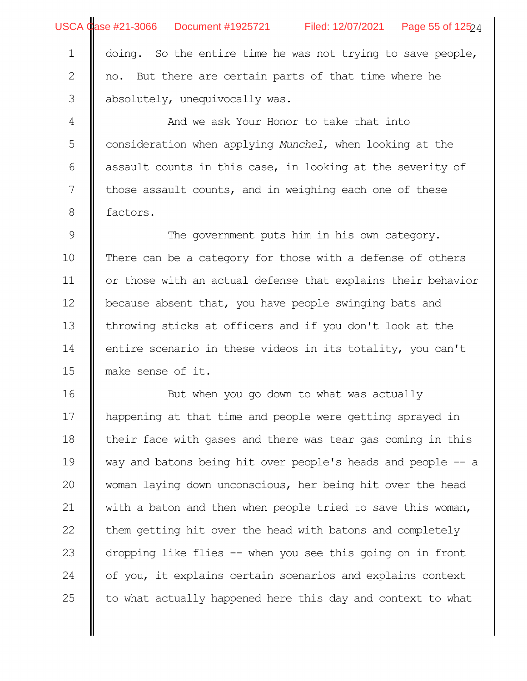|  |  | USCA Case #21-3066 Document #1925721 | Filed: 12/07/2021 | Page 55 of $12524$ |
|--|--|--------------------------------------|-------------------|--------------------|
|--|--|--------------------------------------|-------------------|--------------------|

doing. So the entire time he was not trying to save people, no. But there are certain parts of that time where he absolutely, unequivocally was. 1 2 3

And we ask Your Honor to take that into consideration when applying *Munchel*, when looking at the assault counts in this case, in looking at the severity of those assault counts, and in weighing each one of these factors. 4 5 6 7 8

The government puts him in his own category. There can be a category for those with a defense of others or those with an actual defense that explains their behavior because absent that, you have people swinging bats and throwing sticks at officers and if you don't look at the entire scenario in these videos in its totality, you can't make sense of it. 9 10 11 12 13 14 15

But when you go down to what was actually happening at that time and people were getting sprayed in their face with gases and there was tear gas coming in this way and batons being hit over people's heads and people -- a woman laying down unconscious, her being hit over the head with a baton and then when people tried to save this woman, them getting hit over the head with batons and completely dropping like flies -- when you see this going on in front of you, it explains certain scenarios and explains context to what actually happened here this day and context to what 16 17 18 19 20 21 22 23 24 25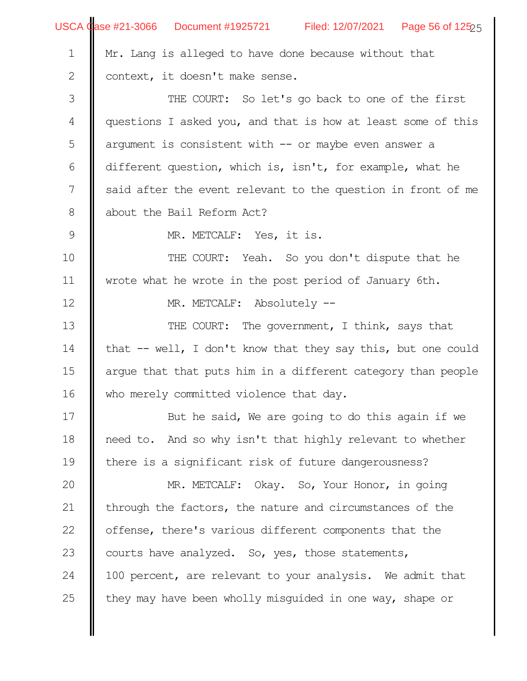|                | USCA Case #21-3066 Document #1925721 Filed: 12/07/2021 Page 56 of 12525 |  |  |  |
|----------------|-------------------------------------------------------------------------|--|--|--|
| $\mathbf 1$    | Mr. Lang is alleged to have done because without that                   |  |  |  |
| $\mathbf{2}$   | context, it doesn't make sense.                                         |  |  |  |
| $\Im$          | THE COURT: So let's go back to one of the first                         |  |  |  |
| $\overline{4}$ | questions I asked you, and that is how at least some of this            |  |  |  |
| 5              | argument is consistent with $--$ or maybe even answer a                 |  |  |  |
| 6              | different question, which is, isn't, for example, what he               |  |  |  |
| 7              | said after the event relevant to the question in front of me            |  |  |  |
| $8\,$          | about the Bail Reform Act?                                              |  |  |  |
| $\mathcal{G}$  | MR. METCALF: Yes, it is.                                                |  |  |  |
| 10             | THE COURT: Yeah. So you don't dispute that he                           |  |  |  |
| 11             | wrote what he wrote in the post period of January 6th.                  |  |  |  |
| 12             | MR. METCALF: Absolutely --                                              |  |  |  |
| 13             | THE COURT: The government, I think, says that                           |  |  |  |
| 14             | that -- well, I don't know that they say this, but one could            |  |  |  |
| 15             | arque that that puts him in a different category than people            |  |  |  |
| 16             | who merely committed violence that day.                                 |  |  |  |
| 17             | But he said, We are going to do this again if we                        |  |  |  |
| 18             | need to. And so why isn't that highly relevant to whether               |  |  |  |
| 19             | there is a significant risk of future dangerousness?                    |  |  |  |
| 20             | MR. METCALF: Okay. So, Your Honor, in going                             |  |  |  |
| 21             | through the factors, the nature and circumstances of the                |  |  |  |
| 22             | offense, there's various different components that the                  |  |  |  |
| 23             | courts have analyzed. So, yes, those statements,                        |  |  |  |
| 24             | 100 percent, are relevant to your analysis. We admit that               |  |  |  |
| 25             | they may have been wholly misquided in one way, shape or                |  |  |  |
|                |                                                                         |  |  |  |
|                |                                                                         |  |  |  |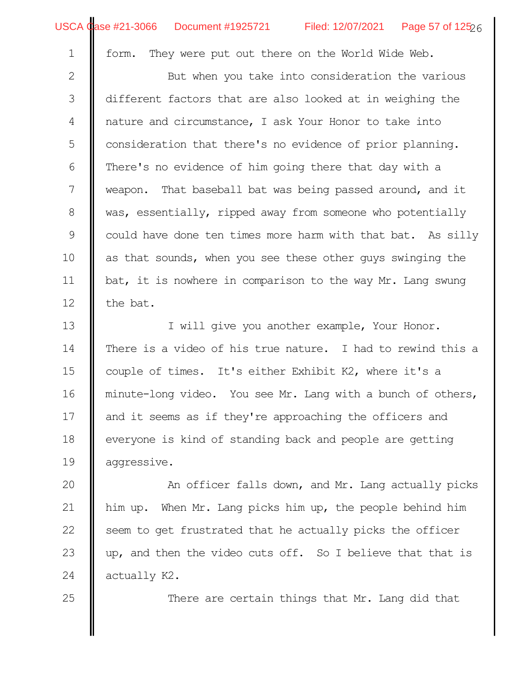25

form. They were put out there on the World Wide Web.

But when you take into consideration the various different factors that are also looked at in weighing the nature and circumstance, I ask Your Honor to take into consideration that there's no evidence of prior planning. There's no evidence of him going there that day with a weapon. That baseball bat was being passed around, and it was, essentially, ripped away from someone who potentially could have done ten times more harm with that bat. As silly as that sounds, when you see these other guys swinging the bat, it is nowhere in comparison to the way Mr. Lang swung the bat. 2 3 4 5 6 7 8 9 10 11 12

I will give you another example, Your Honor. There is a video of his true nature. I had to rewind this a couple of times. It's either Exhibit K2, where it's a minute-long video. You see Mr. Lang with a bunch of others, and it seems as if they're approaching the officers and everyone is kind of standing back and people are getting aggressive. 13 14 15 16 17 18 19

An officer falls down, and Mr. Lang actually picks him up. When Mr. Lang picks him up, the people behind him seem to get frustrated that he actually picks the officer up, and then the video cuts off. So I believe that that is actually K2. 20 21 22 23 24

There are certain things that Mr. Lang did that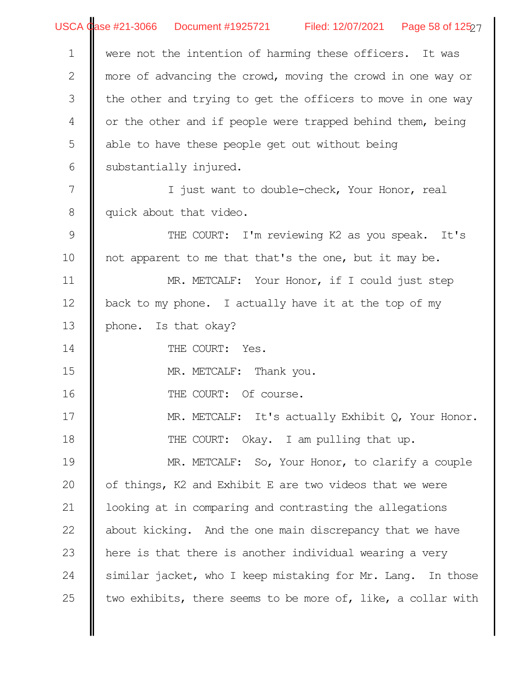|                  | USCA Case #21-3066 Document #1925721 Filed: 12/07/2021 Page 58 of 125 $27$ |  |  |  |
|------------------|----------------------------------------------------------------------------|--|--|--|
| $\mathbf 1$      | were not the intention of harming these officers. It was                   |  |  |  |
| $\mathbf{2}$     | more of advancing the crowd, moving the crowd in one way or                |  |  |  |
| $\mathfrak{Z}$   | the other and trying to get the officers to move in one way                |  |  |  |
| $\overline{4}$   | or the other and if people were trapped behind them, being                 |  |  |  |
| 5                | able to have these people get out without being                            |  |  |  |
| 6                | substantially injured.                                                     |  |  |  |
| $\boldsymbol{7}$ | I just want to double-check, Your Honor, real                              |  |  |  |
| 8                | quick about that video.                                                    |  |  |  |
| $\mathcal{G}$    | THE COURT: I'm reviewing K2 as you speak. It's                             |  |  |  |
| 10               | not apparent to me that that's the one, but it may be.                     |  |  |  |
| 11               | MR. METCALF: Your Honor, if I could just step                              |  |  |  |
| 12               | back to my phone. I actually have it at the top of my                      |  |  |  |
| 13               | phone. Is that okay?                                                       |  |  |  |
| 14               | THE COURT: Yes.                                                            |  |  |  |
| 15               | MR. METCALF: Thank you.                                                    |  |  |  |
| 16               | THE COURT: Of course.                                                      |  |  |  |
| 17               | MR. METCALF: It's actually Exhibit $Q$ , Your Honor.                       |  |  |  |
| 18               | THE COURT: Okay. I am pulling that up.                                     |  |  |  |
| 19               | MR. METCALF: So, Your Honor, to clarify a couple                           |  |  |  |
| 20               | of things, K2 and Exhibit E are two videos that we were                    |  |  |  |
| 21               | looking at in comparing and contrasting the allegations                    |  |  |  |
| 22               | about kicking. And the one main discrepancy that we have                   |  |  |  |
| 23               | here is that there is another individual wearing a very                    |  |  |  |
| 24               | similar jacket, who I keep mistaking for Mr. Lang. In those                |  |  |  |
| 25               | two exhibits, there seems to be more of, like, a collar with               |  |  |  |
|                  |                                                                            |  |  |  |
|                  |                                                                            |  |  |  |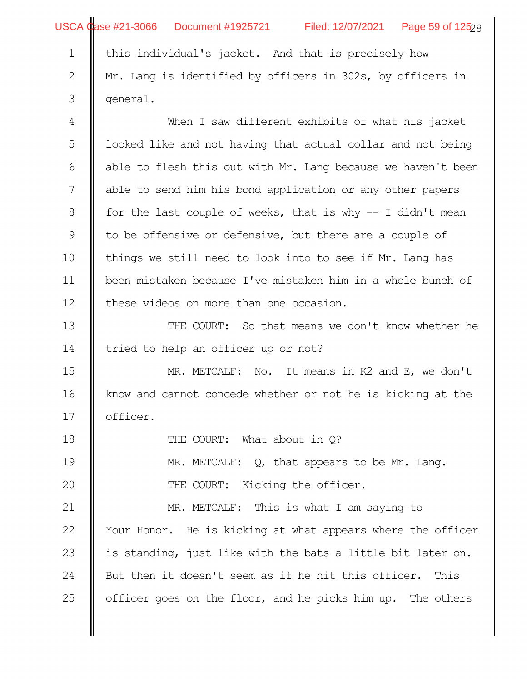|                  | USCA Case #21-3066  Document #1925721<br>Filed: 12/07/2021 Page 59 of 12528 |
|------------------|-----------------------------------------------------------------------------|
| $\mathbf 1$      | this individual's jacket. And that is precisely how                         |
| 2                | Mr. Lang is identified by officers in 302s, by officers in                  |
| $\mathfrak{Z}$   | general.                                                                    |
| $\overline{4}$   | When I saw different exhibits of what his jacket                            |
| $\mathsf S$      | looked like and not having that actual collar and not being                 |
| $\sqrt{6}$       | able to flesh this out with Mr. Lang because we haven't been                |
| $\boldsymbol{7}$ | able to send him his bond application or any other papers                   |
| $\,8\,$          | for the last couple of weeks, that is why $-$ I didn't mean                 |
| $\mathcal{G}$    | to be offensive or defensive, but there are a couple of                     |
| 10               | things we still need to look into to see if Mr. Lang has                    |
| 11               | been mistaken because I've mistaken him in a whole bunch of                 |
| 12               | these videos on more than one occasion.                                     |
| 13               | THE COURT: So that means we don't know whether he                           |
| 14               | tried to help an officer up or not?                                         |
| 15               | MR. METCALF: No. It means in K2 and E, we don't                             |
| 16               | know and cannot concede whether or not he is kicking at the                 |
| 17               | officer.                                                                    |
| 18               | THE COURT: What about in Q?                                                 |
| 19               | MR. METCALF: $Q$ , that appears to be Mr. Lang.                             |
| 20               | THE COURT: Kicking the officer.                                             |
| 21               | MR. METCALF: This is what I am saying to                                    |
| 22               | Your Honor. He is kicking at what appears where the officer                 |
| 23               | is standing, just like with the bats a little bit later on.                 |
| 24               | But then it doesn't seem as if he hit this officer. This                    |
| 25               | officer goes on the floor, and he picks him up. The others                  |
|                  |                                                                             |
|                  |                                                                             |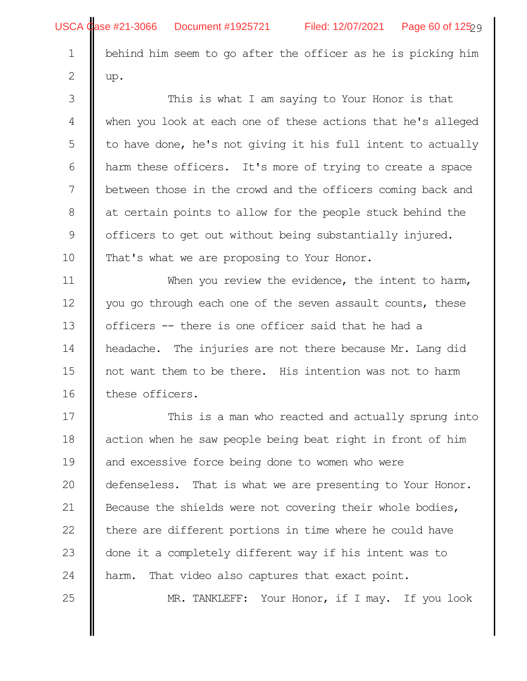25

behind him seem to go after the officer as he is picking him up.

This is what I am saying to Your Honor is that when you look at each one of these actions that he's alleged to have done, he's not giving it his full intent to actually harm these officers. It's more of trying to create a space between those in the crowd and the officers coming back and at certain points to allow for the people stuck behind the officers to get out without being substantially injured. That's what we are proposing to Your Honor. 3 4 5 6 7 8 9 10

When you review the evidence, the intent to harm, you go through each one of the seven assault counts, these officers -- there is one officer said that he had a headache. The injuries are not there because Mr. Lang did not want them to be there. His intention was not to harm these officers. 11 12 13 14 15 16

This is a man who reacted and actually sprung into action when he saw people being beat right in front of him and excessive force being done to women who were defenseless. That is what we are presenting to Your Honor. Because the shields were not covering their whole bodies, there are different portions in time where he could have done it a completely different way if his intent was to harm. That video also captures that exact point. 17 18 19 20 21 22 23 24

MR. TANKLEFF: Your Honor, if I may. If you look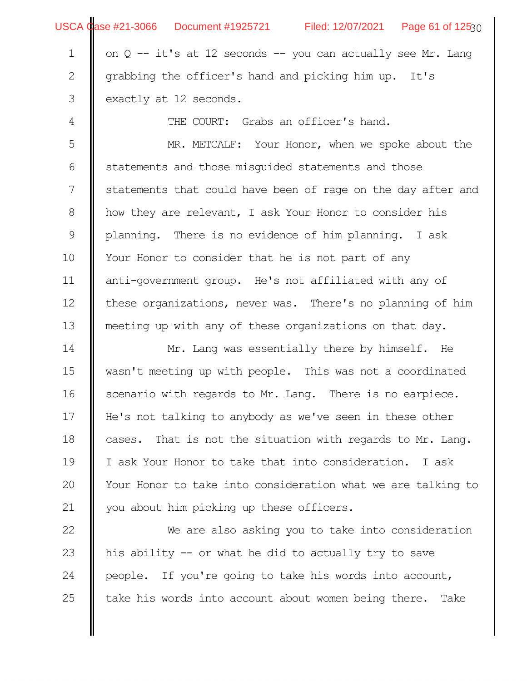|              | USCA Case #21-3066 Document #1925721 Filed: 12/07/2021 Page 61 of 12530 |  |  |  |
|--------------|-------------------------------------------------------------------------|--|--|--|
| $\mathbf 1$  | on $Q$ -- it's at 12 seconds -- you can actually see Mr. Lang           |  |  |  |
| $\mathbf{2}$ | grabbing the officer's hand and picking him up. It's                    |  |  |  |
| 3            | exactly at 12 seconds.                                                  |  |  |  |
| 4            | THE COURT: Grabs an officer's hand.                                     |  |  |  |
| 5            | MR. METCALF: Your Honor, when we spoke about the                        |  |  |  |
| 6            | statements and those misquided statements and those                     |  |  |  |
| 7            | statements that could have been of rage on the day after and            |  |  |  |
| 8            | how they are relevant, I ask Your Honor to consider his                 |  |  |  |
| 9            | planning. There is no evidence of him planning. I ask                   |  |  |  |
| 10           | Your Honor to consider that he is not part of any                       |  |  |  |
| 11           | anti-government group. He's not affiliated with any of                  |  |  |  |
| 12           | these organizations, never was. There's no planning of him              |  |  |  |
| 13           | meeting up with any of these organizations on that day.                 |  |  |  |
| 14           | Mr. Lang was essentially there by himself. He                           |  |  |  |
| 15           | wasn't meeting up with people. This was not a coordinated               |  |  |  |
| 16           | scenario with regards to Mr. Lang. There is no earpiece.                |  |  |  |
| 17           | He's not talking to anybody as we've seen in these other                |  |  |  |
| 18           | That is not the situation with regards to Mr. Lang.<br>cases.           |  |  |  |
| 19           | I ask Your Honor to take that into consideration. I ask                 |  |  |  |
| 20           | Your Honor to take into consideration what we are talking to            |  |  |  |
| 21           | you about him picking up these officers.                                |  |  |  |
| 22           | We are also asking you to take into consideration                       |  |  |  |
| 23           | his ability -- or what he did to actually try to save                   |  |  |  |
| 24           | people. If you're going to take his words into account,                 |  |  |  |
| 25           | take his words into account about women being there. Take               |  |  |  |
|              |                                                                         |  |  |  |
|              |                                                                         |  |  |  |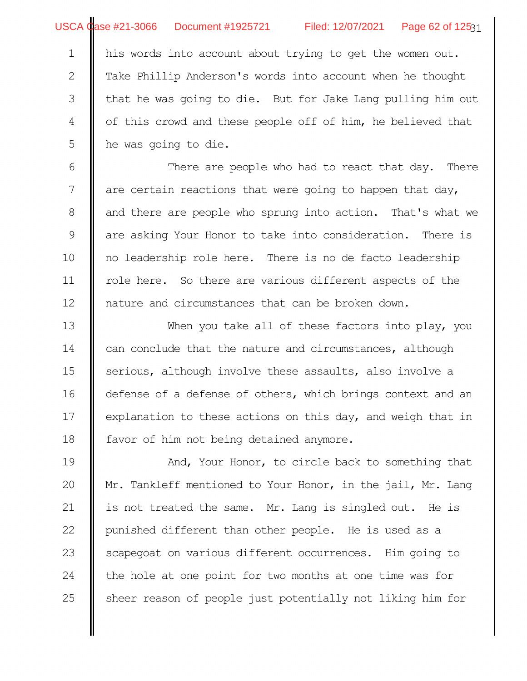his words into account about trying to get the women out. Take Phillip Anderson's words into account when he thought that he was going to die. But for Jake Lang pulling him out of this crowd and these people off of him, he believed that he was going to die. 1 2 3 4 5

There are people who had to react that day. There are certain reactions that were going to happen that day, and there are people who sprung into action. That's what we are asking Your Honor to take into consideration. There is no leadership role here. There is no de facto leadership role here. So there are various different aspects of the nature and circumstances that can be broken down. 6 7 8 9 10 11 12

When you take all of these factors into play, you can conclude that the nature and circumstances, although serious, although involve these assaults, also involve a defense of a defense of others, which brings context and an explanation to these actions on this day, and weigh that in favor of him not being detained anymore. 13 14 15 16 17 18

And, Your Honor, to circle back to something that Mr. Tankleff mentioned to Your Honor, in the jail, Mr. Lang is not treated the same. Mr. Lang is singled out. He is punished different than other people. He is used as a scapegoat on various different occurrences. Him going to the hole at one point for two months at one time was for sheer reason of people just potentially not liking him for 19 20 21 22 23 24 25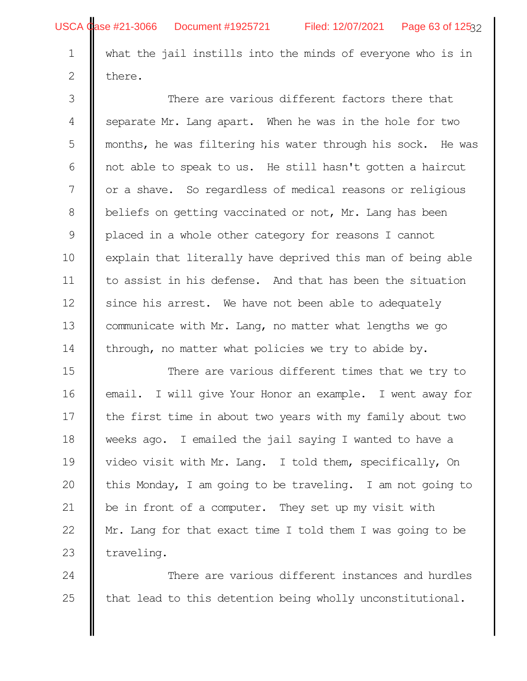2

what the jail instills into the minds of everyone who is in here.

There are various different factors there that separate Mr. Lang apart. When he was in the hole for two months, he was filtering his water through his sock. He was not able to speak to us. He still hasn't gotten a haircut or a shave. So regardless of medical reasons or religious beliefs on getting vaccinated or not, Mr. Lang has been placed in a whole other category for reasons I cannot explain that literally have deprived this man of being able to assist in his defense. And that has been the situation since his arrest. We have not been able to adequately communicate with Mr. Lang, no matter what lengths we go through, no matter what policies we try to abide by. 3 4 5 6 7 8 9 10 11 12 13 14

There are various different times that we try to email. I will give Your Honor an example. I went away for the first time in about two years with my family about two weeks ago. I emailed the jail saying I wanted to have a video visit with Mr. Lang. I told them, specifically, On this Monday, I am going to be traveling. I am not going to be in front of a computer. They set up my visit with Mr. Lang for that exact time I told them I was going to be traveling. 15 16 17 18 19 20 21 22 23

There are various different instances and hurdles that lead to this detention being wholly unconstitutional. 24 25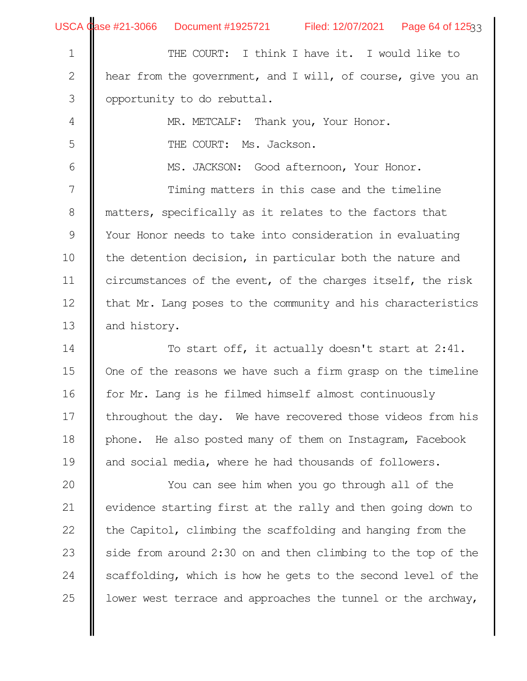|                | USCA Case #21-3066 Document #1925721 Filed: 12/07/2021 Page 64 of 12533 |
|----------------|-------------------------------------------------------------------------|
| $\mathbf 1$    | THE COURT: I think I have it. I would like to                           |
| $\mathbf{2}$   | hear from the government, and I will, of course, give you an            |
| $\mathfrak{Z}$ | opportunity to do rebuttal.                                             |
| $\overline{4}$ | MR. METCALF: Thank you, Your Honor.                                     |
| 5              | THE COURT: Ms. Jackson.                                                 |
| 6              | MS. JACKSON: Good afternoon, Your Honor.                                |
| 7              | Timing matters in this case and the timeline                            |
| 8              | matters, specifically as it relates to the factors that                 |
| 9              | Your Honor needs to take into consideration in evaluating               |
| 10             | the detention decision, in particular both the nature and               |
| 11             | circumstances of the event, of the charges itself, the risk             |
| 12             | that Mr. Lang poses to the community and his characteristics            |
| 13             | and history.                                                            |
| 14             | To start off, it actually doesn't start at 2:41.                        |
| 15             | One of the reasons we have such a firm grasp on the timeline            |
| 16             | for Mr. Lang is he filmed himself almost continuously                   |
| 17             | throughout the day. We have recovered those videos from his             |
| 18             | phone. He also posted many of them on Instagram, Facebook               |
| 19             | and social media, where he had thousands of followers.                  |
| 20             | You can see him when you go through all of the                          |
| 21             | evidence starting first at the rally and then going down to             |
| 22             | the Capitol, climbing the scaffolding and hanging from the              |
| 23             | side from around 2:30 on and then climbing to the top of the            |
| 24             | scaffolding, which is how he gets to the second level of the            |
| 25             | lower west terrace and approaches the tunnel or the archway,            |
|                |                                                                         |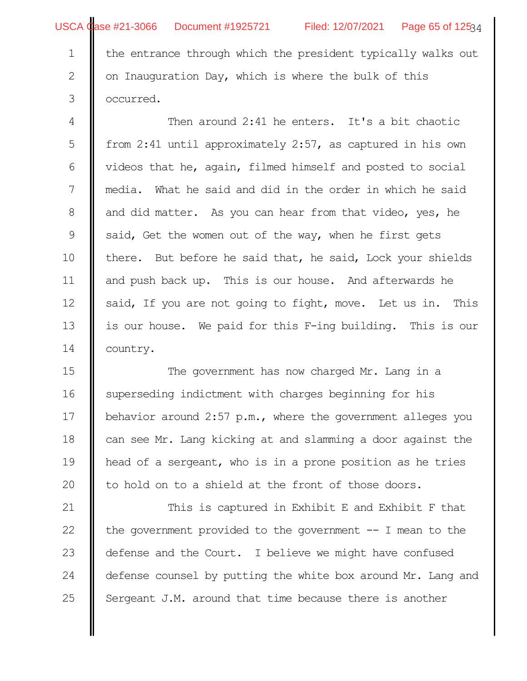2

3

USCA Case #21-3066 Document #1925721 Filed: 12/07/2021 Page 65 of 12534

the entrance through which the president typically walks out on Inauguration Day, which is where the bulk of this occurred.

Then around 2:41 he enters. It's a bit chaotic from 2:41 until approximately 2:57, as captured in his own videos that he, again, filmed himself and posted to social media. What he said and did in the order in which he said and did matter. As you can hear from that video, yes, he said, Get the women out of the way, when he first gets there. But before he said that, he said, Lock your shields and push back up. This is our house. And afterwards he said, If you are not going to fight, move. Let us in. This is our house. We paid for this F-ing building. This is our country. 4 5 6 7 8 9 10 11 12 13 14

The government has now charged Mr. Lang in a superseding indictment with charges beginning for his behavior around 2:57 p.m., where the government alleges you can see Mr. Lang kicking at and slamming a door against the head of a sergeant, who is in a prone position as he tries to hold on to a shield at the front of those doors. 15 16 17 18 19 20

This is captured in Exhibit E and Exhibit F that the government provided to the government -- I mean to the defense and the Court. I believe we might have confused defense counsel by putting the white box around Mr. Lang and Sergeant J.M. around that time because there is another 21 22 23 24 25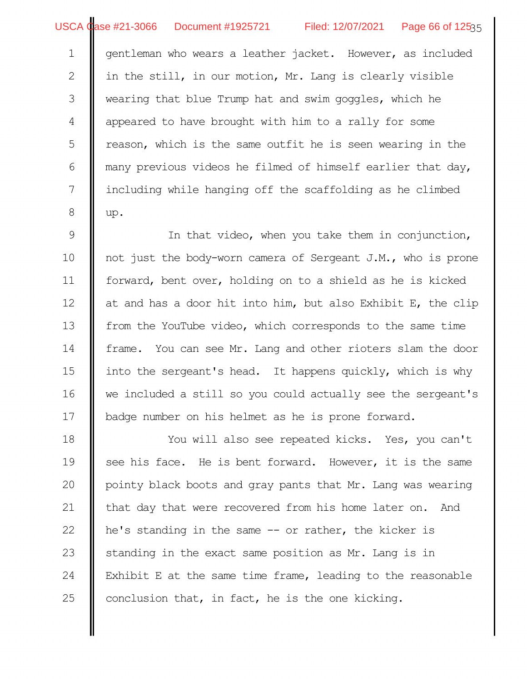USCA Case #21-3066 Document #1925721 Filed: 12/07/2021 Page 66 of 12535

gentleman who wears a leather jacket. However, as included in the still, in our motion, Mr. Lang is clearly visible wearing that blue Trump hat and swim goggles, which he appeared to have brought with him to a rally for some reason, which is the same outfit he is seen wearing in the many previous videos he filmed of himself earlier that day, including while hanging off the scaffolding as he climbed up. 1 2 3 4 5 6 7 8

In that video, when you take them in conjunction, not just the body-worn camera of Sergeant J.M., who is prone forward, bent over, holding on to a shield as he is kicked at and has a door hit into him, but also Exhibit E, the clip from the YouTube video, which corresponds to the same time frame. You can see Mr. Lang and other rioters slam the door into the sergeant's head. It happens quickly, which is why we included a still so you could actually see the sergeant's badge number on his helmet as he is prone forward. 9 10 11 12 13 14 15 16 17

You will also see repeated kicks. Yes, you can't see his face. He is bent forward. However, it is the same pointy black boots and gray pants that Mr. Lang was wearing that day that were recovered from his home later on. And he's standing in the same -- or rather, the kicker is standing in the exact same position as Mr. Lang is in Exhibit E at the same time frame, leading to the reasonable conclusion that, in fact, he is the one kicking. 18 19 20 21 22 23 24 25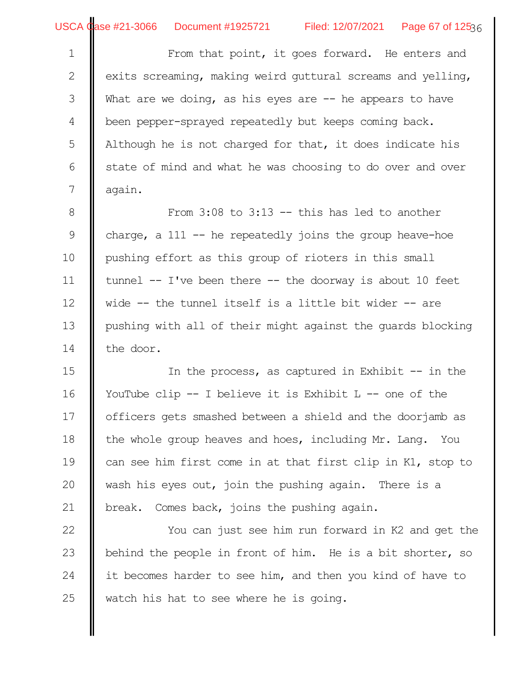From that point, it goes forward. He enters and exits screaming, making weird guttural screams and yelling, What are we doing, as his eyes are  $-$  he appears to have been pepper-sprayed repeatedly but keeps coming back. Although he is not charged for that, it does indicate his state of mind and what he was choosing to do over and over again. 1 2 3 4 5 6 7

From  $3:08$  to  $3:13$  -- this has led to another charge, a 111  $-$  he repeatedly joins the group heave-hoe pushing effort as this group of rioters in this small tunnel -- I've been there -- the doorway is about 10 feet wide -- the tunnel itself is a little bit wider -- are pushing with all of their might against the guards blocking the door. 8 9 10 11 12 13 14

In the process, as captured in Exhibit  $-$  in the YouTube clip -- I believe it is Exhibit L -- one of the officers gets smashed between a shield and the doorjamb as the whole group heaves and hoes, including Mr. Lang. You can see him first come in at that first clip in K1, stop to wash his eyes out, join the pushing again. There is a break. Comes back, joins the pushing again. 15 16 17 18 19 20 21

You can just see him run forward in K2 and get the behind the people in front of him. He is a bit shorter, so it becomes harder to see him, and then you kind of have to watch his hat to see where he is going. 22 23 24 25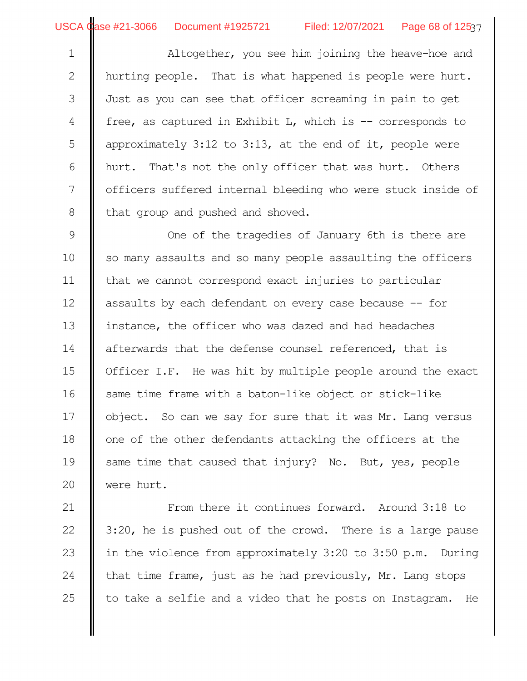Altogether, you see him joining the heave-hoe and hurting people. That is what happened is people were hurt. Just as you can see that officer screaming in pain to get free, as captured in Exhibit L, which is -- corresponds to approximately 3:12 to 3:13, at the end of it, people were hurt. That's not the only officer that was hurt. Others officers suffered internal bleeding who were stuck inside of that group and pushed and shoved. 1 2 3 4 5 6 7 8

One of the tragedies of January 6th is there are so many assaults and so many people assaulting the officers that we cannot correspond exact injuries to particular assaults by each defendant on every case because -- for instance, the officer who was dazed and had headaches afterwards that the defense counsel referenced, that is Officer I.F. He was hit by multiple people around the exact same time frame with a baton-like object or stick-like object. So can we say for sure that it was Mr. Lang versus one of the other defendants attacking the officers at the same time that caused that injury? No. But, yes, people were hurt. 9 10 11 12 13 14 15 16 17 18 19 20

From there it continues forward. Around 3:18 to 3:20, he is pushed out of the crowd. There is a large pause in the violence from approximately 3:20 to 3:50 p.m. During that time frame, just as he had previously, Mr. Lang stops to take a selfie and a video that he posts on Instagram. He 21 22 23 24 25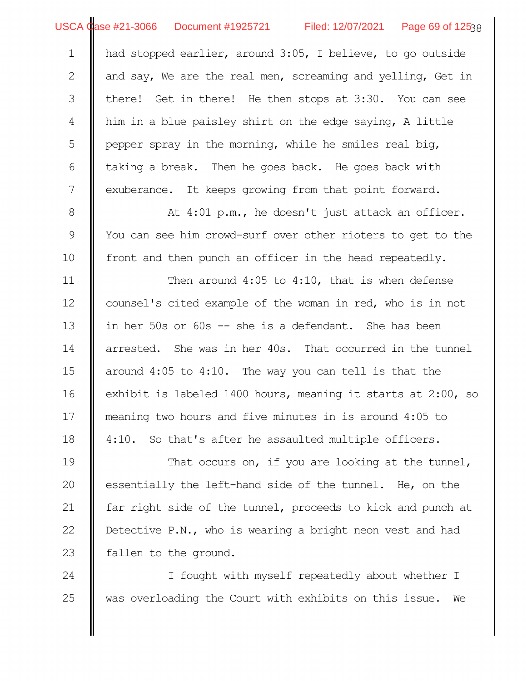USCA Case #21-3066 Document #1925721 Filed: 12/07/2021 Page 69 of 12538

had stopped earlier, around 3:05, I believe, to go outside and say, We are the real men, screaming and yelling, Get in there! Get in there! He then stops at 3:30. You can see him in a blue paisley shirt on the edge saying, A little pepper spray in the morning, while he smiles real big, taking a break. Then he goes back. He goes back with exuberance. It keeps growing from that point forward. 1 2 3 4 5 6 7

At 4:01 p.m., he doesn't just attack an officer. You can see him crowd-surf over other rioters to get to the front and then punch an officer in the head repeatedly. 8 9 10

Then around 4:05 to 4:10, that is when defense counsel's cited example of the woman in red, who is in not in her 50s or 60s -- she is a defendant. She has been arrested. She was in her 40s. That occurred in the tunnel around 4:05 to 4:10. The way you can tell is that the exhibit is labeled 1400 hours, meaning it starts at 2:00, so meaning two hours and five minutes in is around 4:05 to 4:10. So that's after he assaulted multiple officers. 11 12 13 14 15 16 17 18

That occurs on, if you are looking at the tunnel, essentially the left-hand side of the tunnel. He, on the far right side of the tunnel, proceeds to kick and punch at Detective P.N., who is wearing a bright neon vest and had fallen to the ground. 19 20 21 22 23

I fought with myself repeatedly about whether I was overloading the Court with exhibits on this issue. We 24 25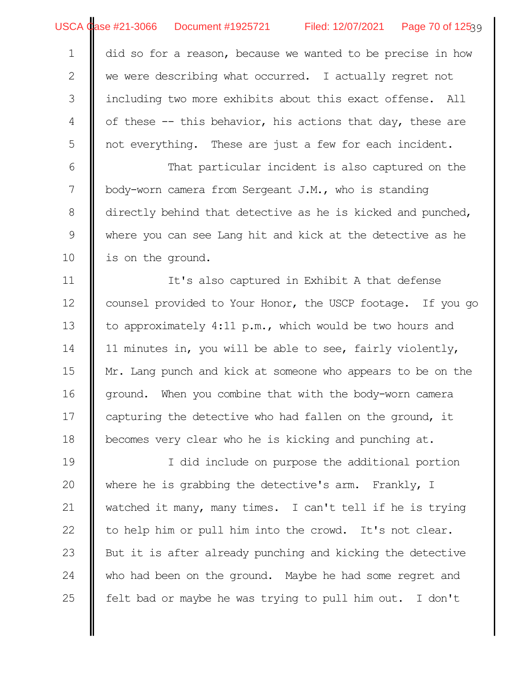did so for a reason, because we wanted to be precise in how we were describing what occurred. I actually regret not including two more exhibits about this exact offense. All of these -- this behavior, his actions that day, these are not everything. These are just a few for each incident. 1 2 3 4 5

That particular incident is also captured on the body-worn camera from Sergeant J.M., who is standing directly behind that detective as he is kicked and punched, where you can see Lang hit and kick at the detective as he is on the ground. 6 7 8 9 10

It's also captured in Exhibit A that defense counsel provided to Your Honor, the USCP footage. If you go to approximately 4:11 p.m., which would be two hours and 11 minutes in, you will be able to see, fairly violently, Mr. Lang punch and kick at someone who appears to be on the ground. When you combine that with the body-worn camera capturing the detective who had fallen on the ground, it becomes very clear who he is kicking and punching at. 11 12 13 14 15 16 17 18

I did include on purpose the additional portion where he is grabbing the detective's arm. Frankly, I watched it many, many times. I can't tell if he is trying to help him or pull him into the crowd. It's not clear. But it is after already punching and kicking the detective who had been on the ground. Maybe he had some regret and felt bad or maybe he was trying to pull him out. I don't 19 20 21 22 23 24 25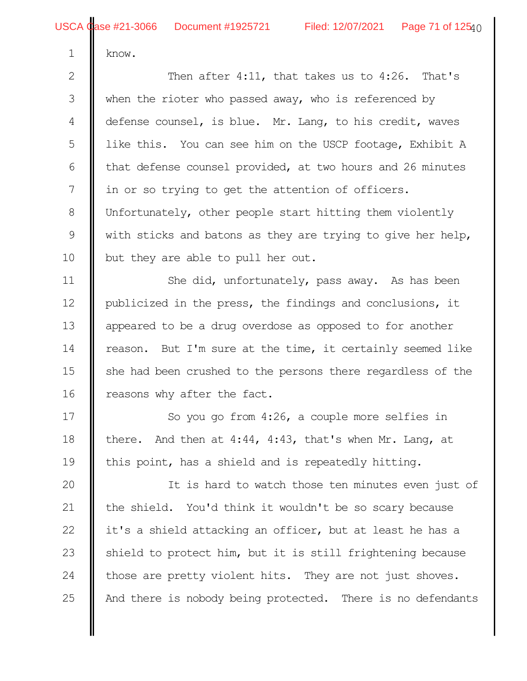know.

1

hen after 4:11, that takes us to 4:26. That's when the rioter who passed away, who is referenced by defense counsel, is blue. Mr. Lang, to his credit, waves like this. You can see him on the USCP footage, Exhibit A that defense counsel provided, at two hours and 26 minutes in or so trying to get the attention of officers. Unfortunately, other people start hitting them violently with sticks and batons as they are trying to give her help, but they are able to pull her out. 2 3 4 5 6 7 8 9 10

She did, unfortunately, pass away. As has been publicized in the press, the findings and conclusions, it appeared to be a drug overdose as opposed to for another reason. But I'm sure at the time, it certainly seemed like she had been crushed to the persons there regardless of the reasons why after the fact. 11 12 13 14 15 16

So you go from 4:26, a couple more selfies in there. And then at 4:44, 4:43, that's when Mr. Lang, at this point, has a shield and is repeatedly hitting. 17 18 19

It is hard to watch those ten minutes even just of the shield. You'd think it wouldn't be so scary because it's a shield attacking an officer, but at least he has a shield to protect him, but it is still frightening because those are pretty violent hits. They are not just shoves. And there is nobody being protected. There is no defendants 20 21 22 23 24 25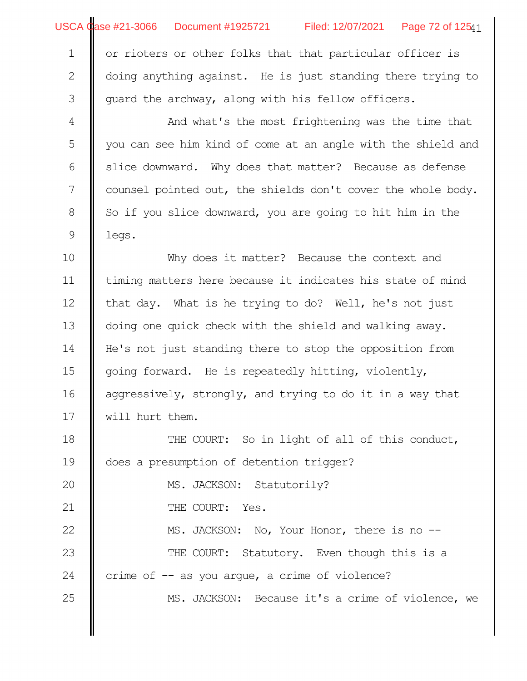|  | USCA Case #21-3066  Document #1925721 | Filed: 12/07/2021 | Page 72 of 125 $41$ |
|--|---------------------------------------|-------------------|---------------------|
|--|---------------------------------------|-------------------|---------------------|

| 1   or rioters or other folks that that particular officer is    |
|------------------------------------------------------------------|
| 2   doing anything against. He is just standing there trying to  |
| $\frac{3}{1}$ quard the archway, along with his fellow officers. |

And what's the most frightening was the time that you can see him kind of come at an angle with the shield and slice downward. Why does that matter? Because as defense counsel pointed out, the shields don't cover the whole body. So if you slice downward, you are going to hit him in the legs. 4 5 6 7 8 9

Why does it matter? Because the context and timing matters here because it indicates his state of mind that day. What is he trying to do? Well, he's not just doing one quick check with the shield and walking away. He's not just standing there to stop the opposition from going forward. He is repeatedly hitting, violently, aggressively, strongly, and trying to do it in a way that will hurt them. 10 11 12 13 14 15 16 17

THE COURT: So in light of all of this conduct, does a presumption of detention trigger? MS. JACKSON: Statutorily? THE COURT: Yes. MS. JACKSON: No, Your Honor, there is no --18 19 20 21 22

THE COURT: Statutory. Even though this is a crime of  $-$  as you argue, a crime of violence? 23 24

25

MS. JACKSON: Because it's a crime of violence, we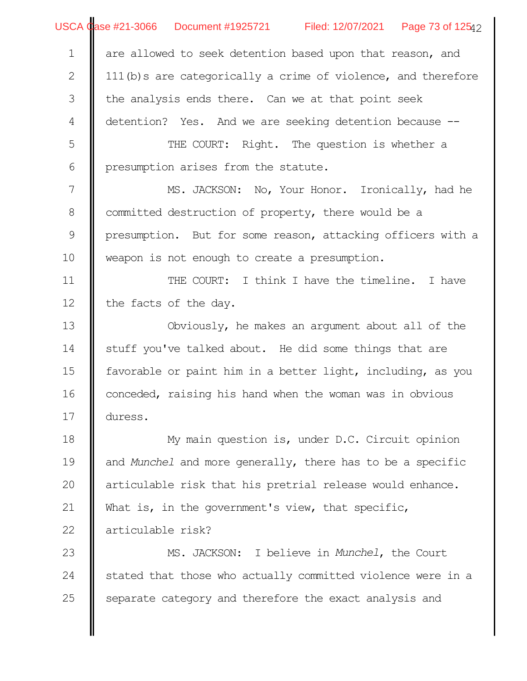|                | USCA Case #21-3066 Document #1925721 Filed: 12/07/2021 Page 73 of 12542 |
|----------------|-------------------------------------------------------------------------|
| $\mathbf 1$    | are allowed to seek detention based upon that reason, and               |
| $\mathbf{2}$   | 111(b) s are categorically a crime of violence, and therefore           |
| 3              | the analysis ends there. Can we at that point seek                      |
| $\overline{4}$ | detention? Yes. And we are seeking detention because --                 |
| 5              | THE COURT: Right. The question is whether a                             |
| 6              | presumption arises from the statute.                                    |
| 7              | MS. JACKSON: No, Your Honor. Ironically, had he                         |
| 8              | committed destruction of property, there would be a                     |
| $\mathcal{G}$  | presumption. But for some reason, attacking officers with a             |
| 10             | weapon is not enough to create a presumption.                           |
| 11             | THE COURT: I think I have the timeline. I have                          |
| 12             | the facts of the day.                                                   |
| 13             | Obviously, he makes an argument about all of the                        |
| 14             | stuff you've talked about. He did some things that are                  |
| 15             | favorable or paint him in a better light, including, as you             |
| 16             | conceded, raising his hand when the woman was in obvious                |
| 17             | duress.                                                                 |
| 18             | My main question is, under D.C. Circuit opinion                         |
| 19             | and Munchel and more generally, there has to be a specific              |
| 20             | articulable risk that his pretrial release would enhance.               |
| 21             | What is, in the government's view, that specific,                       |
| 22             | articulable risk?                                                       |
| 23             | MS. JACKSON: I believe in Munchel, the Court                            |
| 24             | stated that those who actually committed violence were in a             |
| 25             | separate category and therefore the exact analysis and                  |
|                |                                                                         |
|                |                                                                         |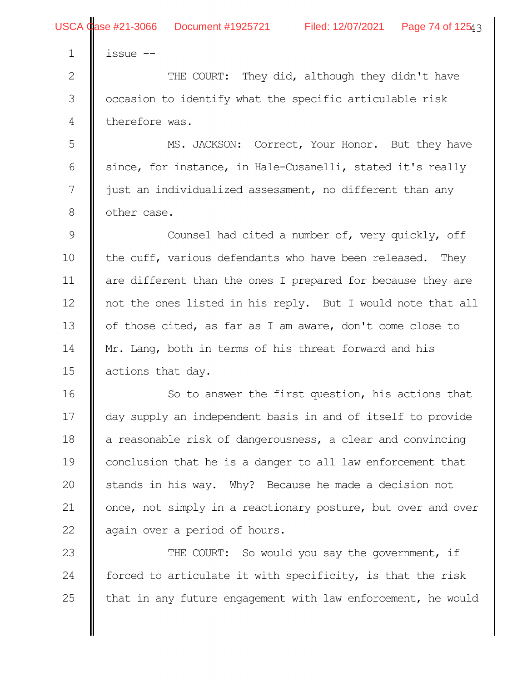2

3

4

issue --

THE COURT: They did, although they didn't have occasion to identify what the specific articulable risk therefore was.

MS. JACKSON: Correct, Your Honor. But they have since, for instance, in Hale-Cusanelli, stated it's really just an individualized assessment, no different than any other case. 5 6 7 8

Counsel had cited a number of, very quickly, off the cuff, various defendants who have been released. They are different than the ones I prepared for because they are not the ones listed in his reply. But I would note that all of those cited, as far as I am aware, don't come close to Mr. Lang, both in terms of his threat forward and his actions that day. 9 10 11 12 13 14 15

So to answer the first question, his actions that day supply an independent basis in and of itself to provide a reasonable risk of dangerousness, a clear and convincing conclusion that he is a danger to all law enforcement that stands in his way. Why? Because he made a decision not once, not simply in a reactionary posture, but over and over again over a period of hours. 16 17 18 19 20 21 22

THE COURT: So would you say the government, if forced to articulate it with specificity, is that the risk that in any future engagement with law enforcement, he would 23 24 25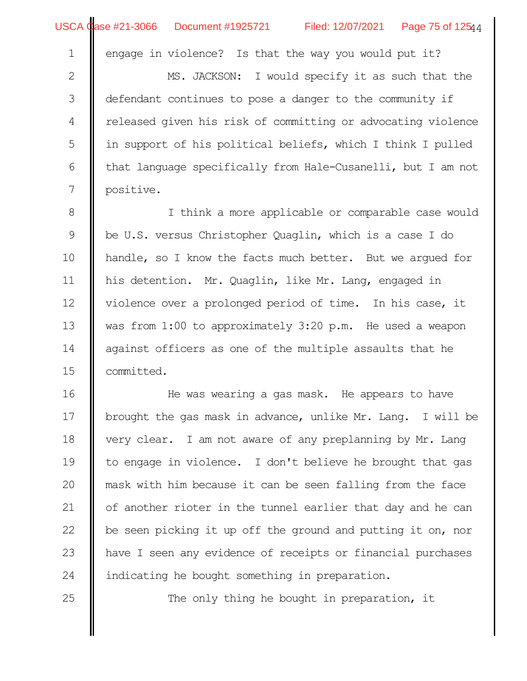|                | USCA Case #21-3066 Document #1925721<br>Filed: 12/07/2021 Page 75 of 12544 |
|----------------|----------------------------------------------------------------------------|
| $\mathbf 1$    | engage in violence? Is that the way you would put it?                      |
| $\mathbf{2}$   | MS. JACKSON: I would specify it as such that the                           |
| $\mathfrak{Z}$ | defendant continues to pose a danger to the community if                   |
| $\overline{4}$ | released given his risk of committing or advocating violence               |
| $\mathsf S$    | in support of his political beliefs, which I think I pulled                |
| $\sqrt{6}$     | that language specifically from Hale-Cusanelli, but I am not               |
| 7              | positive.                                                                  |
| $\,8\,$        | I think a more applicable or comparable case would                         |
| $\mathcal{G}$  | be U.S. versus Christopher Quaglin, which is a case I do                   |
| 10             | handle, so I know the facts much better. But we argued for                 |
| 11             | his detention. Mr. Quaglin, like Mr. Lang, engaged in                      |
| 12             | violence over a prolonged period of time. In his case, it                  |
| 13             | was from 1:00 to approximately 3:20 p.m. He used a weapon                  |
| 14             | against officers as one of the multiple assaults that he                   |
| 15             | committed.                                                                 |
| 16             | He was wearing a gas mask. He appears to have                              |
| 17             | brought the gas mask in advance, unlike Mr. Lang. I will be                |
| 18             | very clear. I am not aware of any preplanning by Mr. Lang                  |
| 19             | to engage in violence. I don't believe he brought that gas                 |
| 20             | mask with him because it can be seen falling from the face                 |
| 21             | of another rioter in the tunnel earlier that day and he can                |
| 22             | be seen picking it up off the ground and putting it on, nor                |
| 23             | have I seen any evidence of receipts or financial purchases                |
| 24             | indicating he bought something in preparation.                             |
| 25             | The only thing he bought in preparation, it                                |
|                |                                                                            |
|                |                                                                            |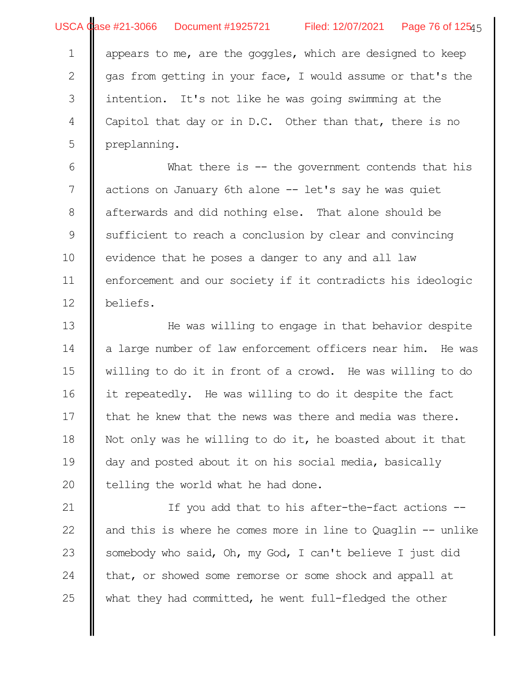appears to me, are the goggles, which are designed to keep as from getting in your face, I would assume or that's the intention. It's not like he was going swimming at the Capitol that day or in D.C. Other than that, there is no preplanning. 1 2 3 4 5

What there is -- the government contends that his actions on January 6th alone -- let's say he was quiet afterwards and did nothing else. That alone should be sufficient to reach a conclusion by clear and convincing evidence that he poses a danger to any and all law enforcement and our society if it contradicts his ideologic beliefs. 6 7 8 9 10 11 12

He was willing to engage in that behavior despite a large number of law enforcement officers near him. He was willing to do it in front of a crowd. He was willing to do it repeatedly. He was willing to do it despite the fact that he knew that the news was there and media was there. Not only was he willing to do it, he boasted about it that day and posted about it on his social media, basically telling the world what he had done. 13 14 15 16 17 18 19 20

If you add that to his after-the-fact actions - and this is where he comes more in line to Quaglin -- unlike somebody who said, Oh, my God, I can't believe I just did that, or showed some remorse or some shock and appall at what they had committed, he went full-fledged the other 21 22 23 24 25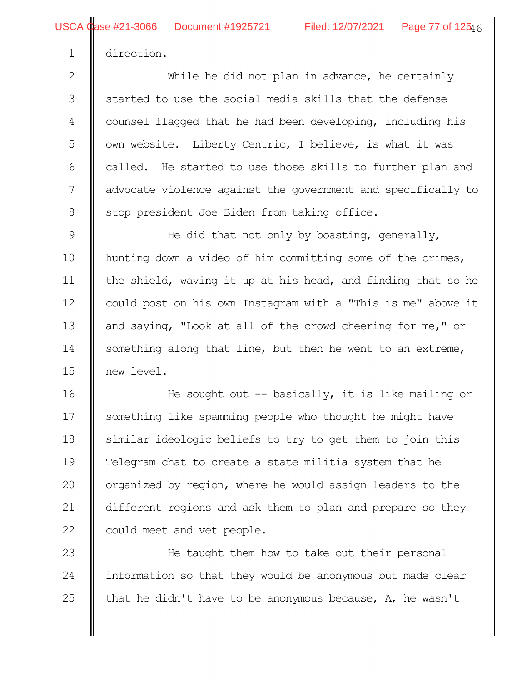direction.

1

While he did not plan in advance, he certainly started to use the social media skills that the defense counsel flagged that he had been developing, including his own website. Liberty Centric, I believe, is what it was called. He started to use those skills to further plan and advocate violence against the government and specifically to stop president Joe Biden from taking office. 2 3 4 5 6 7 8

He did that not only by boasting, generally, hunting down a video of him committing some of the crimes, the shield, waving it up at his head, and finding that so he could post on his own Instagram with a "This is me" above it and saying, "Look at all of the crowd cheering for me," or something along that line, but then he went to an extreme, new level. 9 10 11 12 13 14 15

He sought out  $-$ - basically, it is like mailing or something like spamming people who thought he might have similar ideologic beliefs to try to get them to join this Telegram chat to create a state militia system that he organized by region, where he would assign leaders to the different regions and ask them to plan and prepare so they could meet and vet people. 16 17 18 19 20 21 22

He taught them how to take out their personal information so that they would be anonymous but made clear that he didn't have to be anonymous because, A, he wasn't 23 24 25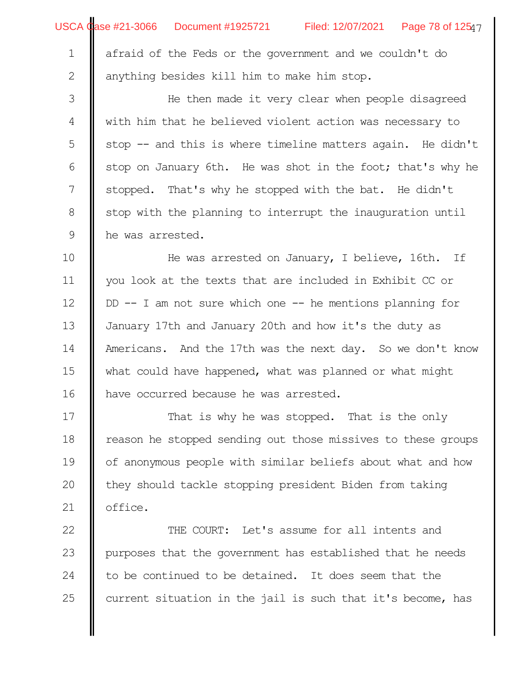|             | USCA Case #21-3066 Document #1925721 Filed: 12/07/2021 Page 78 of 12547 |
|-------------|-------------------------------------------------------------------------|
| $\mathbf 1$ | afraid of the Feds or the government and we couldn't do                 |
| 2           | anything besides kill him to make him stop.                             |
| 3           | He then made it very clear when people disagreed                        |
| 4           | with him that he believed violent action was necessary to               |
| 5           | stop -- and this is where timeline matters again. He didn't             |
| 6           | stop on January 6th. He was shot in the foot; that's why he             |
| 7           | stopped. That's why he stopped with the bat. He didn't                  |
| $\,8\,$     | stop with the planning to interrupt the inauguration until              |
| $\mathsf 9$ | he was arrested.                                                        |
| 10          | He was arrested on January, I believe, 16th. If                         |
| 11          | you look at the texts that are included in Exhibit CC or                |
| 12          | $DD$ -- I am not sure which one -- he mentions planning for             |
| 13          | January 17th and January 20th and how it's the duty as                  |
| 14          | Americans. And the 17th was the next day. So we don't know              |
| 15          | what could have happened, what was planned or what might                |
| 16          | have occurred because he was arrested.                                  |
| 17          | That is why he was stopped. That is the only                            |
| 18          | reason he stopped sending out those missives to these groups            |
| 19          | of anonymous people with similar beliefs about what and how             |
| 20          | they should tackle stopping president Biden from taking                 |
| 21          | office.                                                                 |
| 22          | THE COURT: Let's assume for all intents and                             |
| 23          | purposes that the government has established that he needs              |
| 24          | to be continued to be detained. It does seem that the                   |
| 25          | current situation in the jail is such that it's become, has             |
|             |                                                                         |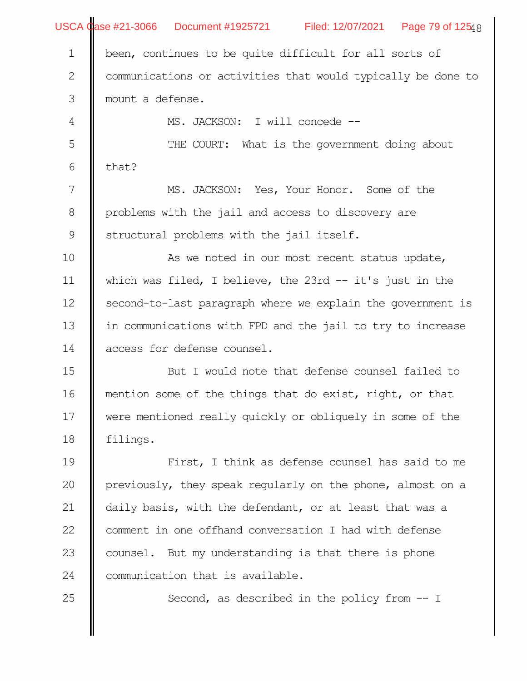|               | USCA Case #21-3066 Document #1925721 Filed: 12/07/2021 Page 79 of 12548 |
|---------------|-------------------------------------------------------------------------|
| $\mathbf 1$   | been, continues to be quite difficult for all sorts of                  |
| $\mathbf{2}$  | communications or activities that would typically be done to            |
| $\mathfrak S$ | mount a defense.                                                        |
| 4             | MS. JACKSON: I will concede --                                          |
| 5             | THE COURT: What is the government doing about                           |
| 6             | that?                                                                   |
| 7             | MS. JACKSON: Yes, Your Honor. Some of the                               |
| $8\,$         | problems with the jail and access to discovery are                      |
| 9             | structural problems with the jail itself.                               |
| 10            | As we noted in our most recent status update,                           |
| 11            | which was filed, I believe, the 23rd $-$ it's just in the               |
| 12            | second-to-last paragraph where we explain the government is             |
| 13            | in communications with FPD and the jail to try to increase              |
| 14            | access for defense counsel.                                             |
| 15            | But I would note that defense counsel failed to                         |
| 16            | mention some of the things that do exist, right, or that                |
| 17            | were mentioned really quickly or obliquely in some of the               |
| 18            | filings.                                                                |
| 19            | First, I think as defense counsel has said to me                        |
| 20            | previously, they speak regularly on the phone, almost on a              |
| 21            | daily basis, with the defendant, or at least that was a                 |
| 22            | comment in one offhand conversation I had with defense                  |
| 23            | counsel. But my understanding is that there is phone                    |
| 24            | communication that is available.                                        |
| 25            | Second, as described in the policy from $-$ I                           |
|               |                                                                         |
|               |                                                                         |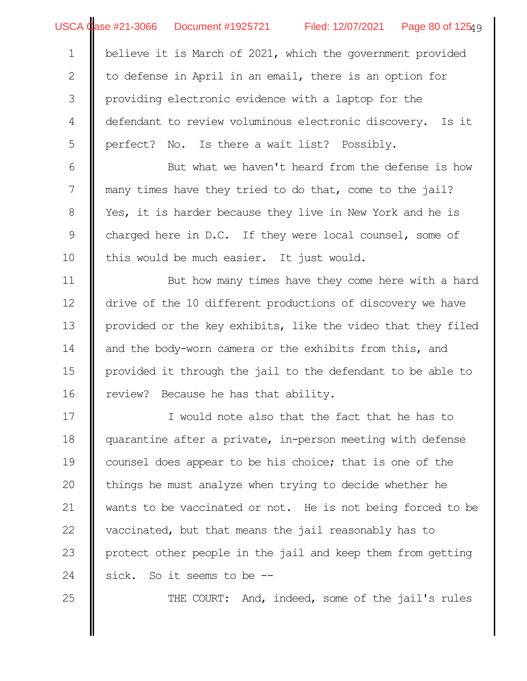|                  | USCA Case #21-3066 Document #1925721 Filed: 12/07/2021 Page 80 of 12549 |
|------------------|-------------------------------------------------------------------------|
| $\mathbf 1$      | believe it is March of 2021, which the government provided              |
| $\mathbf{2}$     | to defense in April in an email, there is an option for                 |
| $\mathcal{S}$    | providing electronic evidence with a laptop for the                     |
| $\overline{4}$   | defendant to review voluminous electronic discovery. Is it              |
| 5                | perfect? No. Is there a wait list? Possibly.                            |
| $\epsilon$       | But what we haven't heard from the defense is how                       |
| $\boldsymbol{7}$ | many times have they tried to do that, come to the jail?                |
| $8\,$            | Yes, it is harder because they live in New York and he is               |
| 9                | charged here in D.C. If they were local counsel, some of                |
| 10               | this would be much easier. It just would.                               |
| 11               | But how many times have they come here with a hard                      |
| 12               | drive of the 10 different productions of discovery we have              |
| 13               | provided or the key exhibits, like the video that they filed            |
| 14               | and the body-worn camera or the exhibits from this, and                 |
| 15               | provided it through the jail to the defendant to be able to             |
| 16               | review?<br>Because he has that ability.                                 |
| 17               | I would note also that the fact that he has to                          |
| 18               | quarantine after a private, in-person meeting with defense              |
| 19               | counsel does appear to be his choice; that is one of the                |
| 20               | things he must analyze when trying to decide whether he                 |
| 21               | wants to be vaccinated or not. He is not being forced to be             |
| 22               | vaccinated, but that means the jail reasonably has to                   |
| 23               | protect other people in the jail and keep them from getting             |
| 24               | So it seems to be $-$<br>sick.                                          |
| 25               | THE COURT: And, indeed, some of the jail's rules                        |
|                  |                                                                         |
|                  |                                                                         |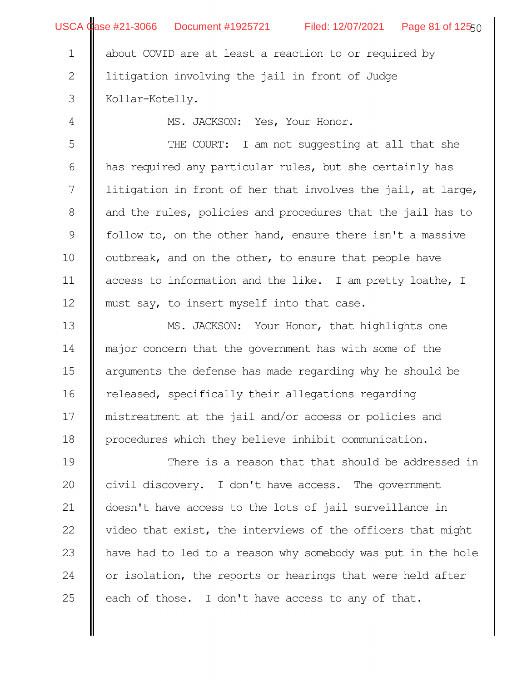|                | USCA Case #21-3066 Document #1925721 Filed: 12/07/2021 Page 81 of 12550 |
|----------------|-------------------------------------------------------------------------|
| $\mathbf 1$    | about COVID are at least a reaction to or required by                   |
| $\mathbf 2$    | litigation involving the jail in front of Judge                         |
| 3              | Kollar-Kotelly.                                                         |
| $\overline{4}$ | MS. JACKSON: Yes, Your Honor.                                           |
| 5              | THE COURT: I am not suggesting at all that she                          |
| 6              | has required any particular rules, but she certainly has                |
| 7              | litigation in front of her that involves the jail, at large,            |
| 8              | and the rules, policies and procedures that the jail has to             |
| 9              | follow to, on the other hand, ensure there isn't a massive              |
| 10             | outbreak, and on the other, to ensure that people have                  |
| 11             | access to information and the like. I am pretty loathe, I               |
| 12             | must say, to insert myself into that case.                              |
| 13             | MS. JACKSON: Your Honor, that highlights one                            |
| 14             | major concern that the government has with some of the                  |
| 15             | arguments the defense has made regarding why he should be               |
| 16             | released, specifically their allegations regarding                      |
| 17             | mistreatment at the jail and/or access or policies and                  |
| 18             | procedures which they believe inhibit communication.                    |
| 19             | There is a reason that that should be addressed in                      |
| 20             | civil discovery. I don't have access. The government                    |
| 21             | doesn't have access to the lots of jail surveillance in                 |
| 22             | video that exist, the interviews of the officers that might             |
| 23             | have had to led to a reason why somebody was put in the hole            |
| 24             | or isolation, the reports or hearings that were held after              |
| 25             | each of those. I don't have access to any of that.                      |
|                |                                                                         |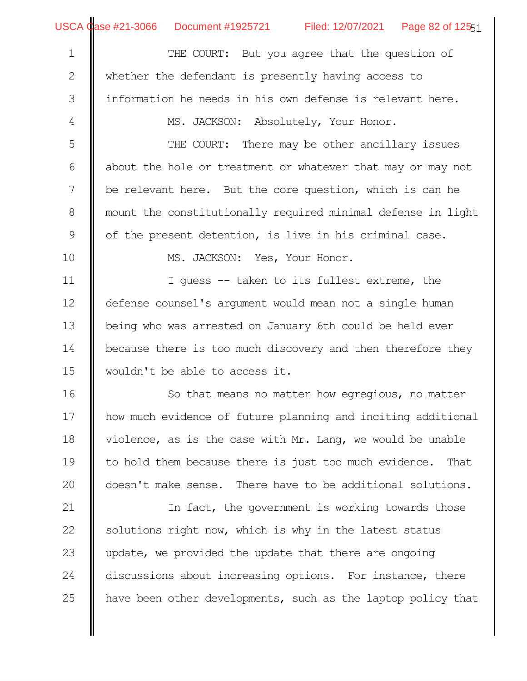∥

USCA Case #21-3066 Document #1925721 Filed: 12/07/2021 Page 82 of 12551

| $\mathbf 1$ | THE COURT: But you agree that the question of                 |
|-------------|---------------------------------------------------------------|
| 2           | whether the defendant is presently having access to           |
| 3           | information he needs in his own defense is relevant here.     |
| 4           | MS. JACKSON: Absolutely, Your Honor.                          |
| 5           | THE COURT: There may be other ancillary issues                |
| 6           | about the hole or treatment or whatever that may or may not   |
| 7           | be relevant here. But the core question, which is can he      |
| 8           | mount the constitutionally required minimal defense in light  |
| $\mathsf 9$ | of the present detention, is live in his criminal case.       |
| 10          | MS. JACKSON: Yes, Your Honor.                                 |
| 11          | I quess -- taken to its fullest extreme, the                  |
| 12          | defense counsel's argument would mean not a single human      |
| 13          | being who was arrested on January 6th could be held ever      |
| 14          | because there is too much discovery and then therefore they   |
| 15          | wouldn't be able to access it.                                |
| 16          | So that means no matter how egregious, no matter              |
| 17          | how much evidence of future planning and inciting additional  |
| 18          | violence, as is the case with Mr. Lang, we would be unable    |
| 19          | to hold them because there is just too much evidence.<br>That |
| 20          | doesn't make sense. There have to be additional solutions.    |
| 21          | In fact, the government is working towards those              |
| 22          | solutions right now, which is why in the latest status        |
| 23          | update, we provided the update that there are ongoing         |
| 24          | discussions about increasing options. For instance, there     |
| 25          | have been other developments, such as the laptop policy that  |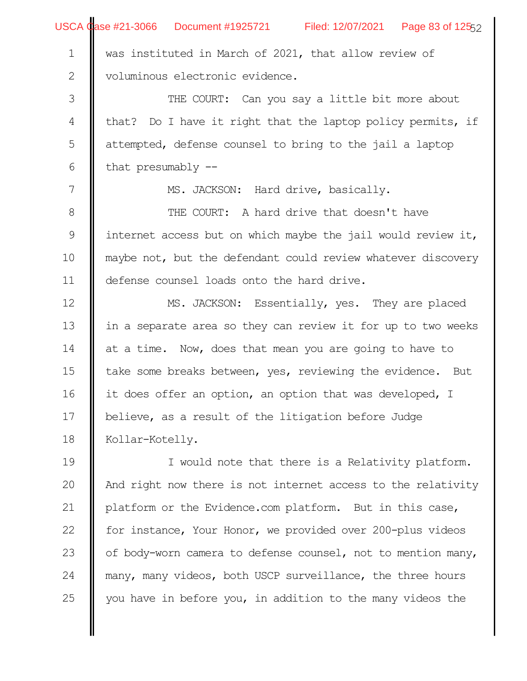|                  | USCA Case #21-3066 Document #1925721 Filed: 12/07/2021 Page 83 of 12552 |
|------------------|-------------------------------------------------------------------------|
| $\mathbf 1$      | was instituted in March of 2021, that allow review of                   |
| $\mathbf{2}$     | voluminous electronic evidence.                                         |
| $\mathfrak{Z}$   | THE COURT: Can you say a little bit more about                          |
| $\overline{4}$   | that? Do I have it right that the laptop policy permits, if             |
| 5                | attempted, defense counsel to bring to the jail a laptop                |
| $\sqrt{6}$       | that presumably $-$                                                     |
| $\boldsymbol{7}$ | MS. JACKSON: Hard drive, basically.                                     |
| $8\,$            | THE COURT: A hard drive that doesn't have                               |
| $\mathcal{G}$    | internet access but on which maybe the jail would review it,            |
| 10               | maybe not, but the defendant could review whatever discovery            |
| 11               | defense counsel loads onto the hard drive.                              |
| 12               | MS. JACKSON: Essentially, yes. They are placed                          |
| 13               | in a separate area so they can review it for up to two weeks            |
| 14               | at a time. Now, does that mean you are going to have to                 |
| 15               | take some breaks between, yes, reviewing the evidence. But              |
| 16               | it does offer an option, an option that was developed, I                |
| 17               | believe, as a result of the litigation before Judge                     |
| 18               | Kollar-Kotelly.                                                         |
| 19               | I would note that there is a Relativity platform.                       |
| 20               | And right now there is not internet access to the relativity            |
| 21               | platform or the Evidence.com platform. But in this case,                |
| 22               | for instance, Your Honor, we provided over 200-plus videos              |
| 23               | of body-worn camera to defense counsel, not to mention many,            |
| 24               | many, many videos, both USCP surveillance, the three hours              |
| 25               | you have in before you, in addition to the many videos the              |
|                  |                                                                         |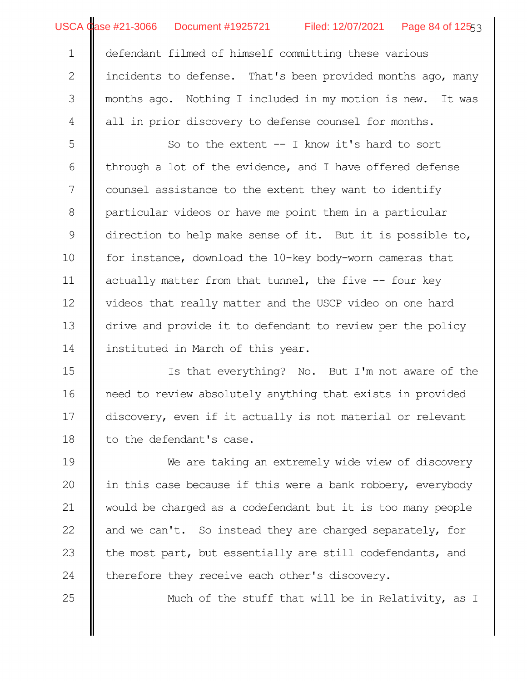## USCA Case #21-3066 Document #1925721

25

Filed: 12/07/2021 Page 84 of 12553

defendant filmed of himself committing these various incidents to defense. That's been provided months ago, many months ago. Nothing I included in my motion is new. It was all in prior discovery to defense counsel for months. 1 2 3 4

So to the extent -- I know it's hard to sort through a lot of the evidence, and I have offered defense counsel assistance to the extent they want to identify particular videos or have me point them in a particular direction to help make sense of it. But it is possible to, for instance, download the 10-key body-worn cameras that actually matter from that tunnel, the five -- four key videos that really matter and the USCP video on one hard drive and provide it to defendant to review per the policy instituted in March of this year. 5 6 7 8 9 10 11 12 13 14

Is that everything? No. But I'm not aware of the need to review absolutely anything that exists in provided discovery, even if it actually is not material or relevant to the defendant's case. 15 16 17 18

We are taking an extremely wide view of discovery in this case because if this were a bank robbery, everybody would be charged as a codefendant but it is too many people and we can't. So instead they are charged separately, for the most part, but essentially are still codefendants, and therefore they receive each other's discovery. 19 20 21 22 23 24

Much of the stuff that will be in Relativity, as I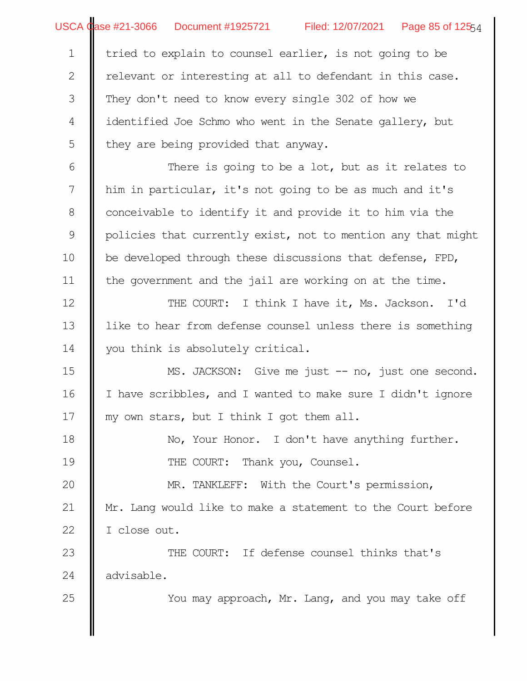USCA Case #21-3066 Document #1925721 Filed: 12/07/2021 Page 85 of 125<sub>54</sub>

tried to explain to counsel earlier, is not going to be elevant or interesting at all to defendant in this case. They don't need to know every single 302 of how we identified Joe Schmo who went in the Senate gallery, but they are being provided that anyway. 1 2 3 4 5

There is going to be a lot, but as it relates to him in particular, it's not going to be as much and it's conceivable to identify it and provide it to him via the policies that currently exist, not to mention any that might be developed through these discussions that defense, FPD, the government and the jail are working on at the time. 6 7 8 9 10 11

THE COURT: I think I have it, Ms. Jackson. I'd like to hear from defense counsel unless there is something you think is absolutely critical. 12 13 14

MS. JACKSON: Give me just -- no, just one second. I have scribbles, and I wanted to make sure I didn't ignore my own stars, but I think I got them all. 15 16 17

No, Your Honor. I don't have anything further. THE COURT: Thank you, Counsel. 18 19

MR. TANKLEFF: With the Court's permission, Mr. Lang would like to make a statement to the Court before I close out. 20 21 22

THE COURT: If defense counsel thinks that's advisable. 23 24

You may approach, Mr. Lang, and you may take off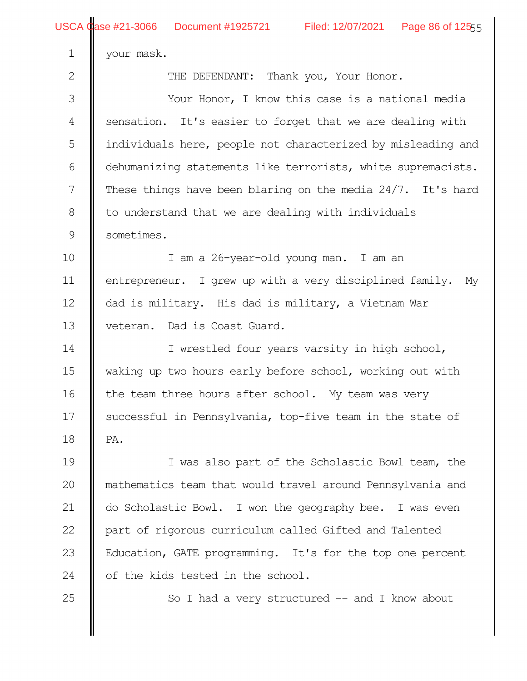2

your mask.

THE DEFENDANT: Thank you, Your Honor.

Your Honor, I know this case is a national media sensation. It's easier to forget that we are dealing with individuals here, people not characterized by misleading and dehumanizing statements like terrorists, white supremacists. These things have been blaring on the media 24/7. It's hard to understand that we are dealing with individuals sometimes. 3 4 5 6 7 8 9

I am a 26-year-old young man. I am an entrepreneur. I grew up with a very disciplined family. My dad is military. His dad is military, a Vietnam War veteran. Dad is Coast Guard. 10 11 12 13

I wrestled four years varsity in high school, waking up two hours early before school, working out with the team three hours after school. My team was very successful in Pennsylvania, top-five team in the state of PA. 14 15 16 17 18

I was also part of the Scholastic Bowl team, the mathematics team that would travel around Pennsylvania and do Scholastic Bowl. I won the geography bee. I was even part of rigorous curriculum called Gifted and Talented Education, GATE programming. It's for the top one percent of the kids tested in the school. 19 20 21 22 23 24

25

So I had a very structured  $--$  and I know about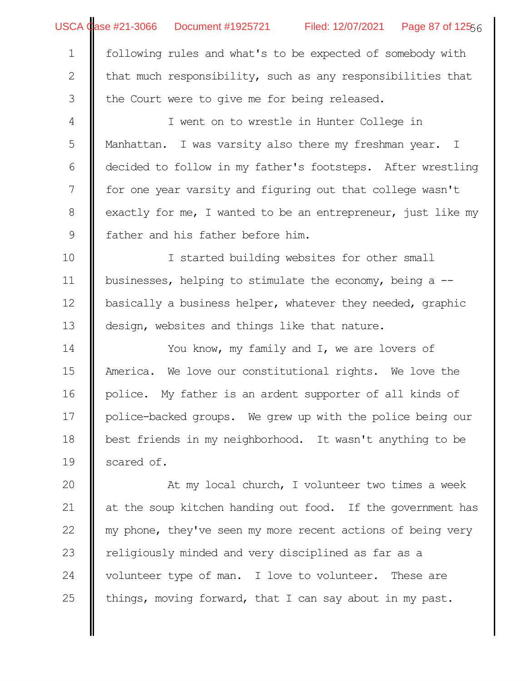USCA Case #21-3066 Document #1925721 Filed: 12/07/2021 Page 87 of 125<sub>56</sub>

following rules and what's to be expected of somebody with

hat much responsibility, such as any responsibilities that the Court were to give me for being released. 2 3

I went on to wrestle in Hunter College in Manhattan. I was varsity also there my freshman year. I decided to follow in my father's footsteps. After wrestling for one year varsity and figuring out that college wasn't exactly for me, I wanted to be an entrepreneur, just like my father and his father before him. 4 5 6 7 8 9

I started building websites for other small businesses, helping to stimulate the economy, being a - basically a business helper, whatever they needed, graphic design, websites and things like that nature. 10 11 12 13

You know, my family and I, we are lovers of America. We love our constitutional rights. We love the police. My father is an ardent supporter of all kinds of police-backed groups. We grew up with the police being our best friends in my neighborhood. It wasn't anything to be scared of. 14 15 16 17 18 19

At my local church, I volunteer two times a week at the soup kitchen handing out food. If the government has my phone, they've seen my more recent actions of being very religiously minded and very disciplined as far as a volunteer type of man. I love to volunteer. These are things, moving forward, that I can say about in my past. 20 21 22 23 24 25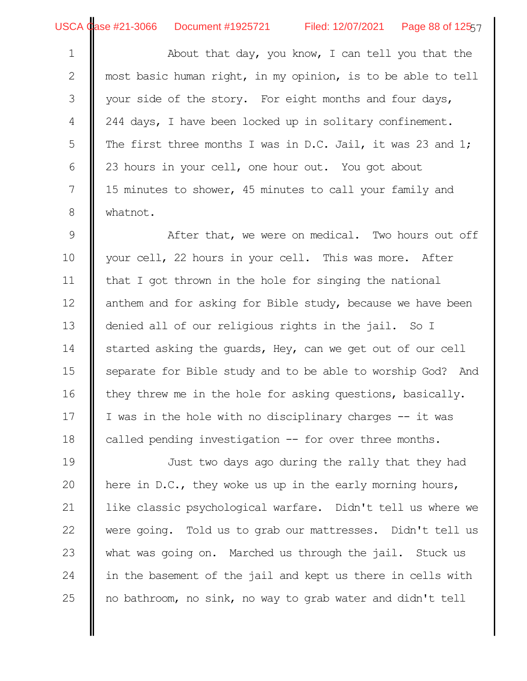About that day, you know, I can tell you that the most basic human right, in my opinion, is to be able to tell your side of the story. For eight months and four days, 244 days, I have been locked up in solitary confinement. The first three months I was in D.C. Jail, it was 23 and 1; 23 hours in your cell, one hour out. You got about 15 minutes to shower, 45 minutes to call your family and whatnot. 1 2 3 4 5 6 7 8

After that, we were on medical. Two hours out off your cell, 22 hours in your cell. This was more. After that I got thrown in the hole for singing the national anthem and for asking for Bible study, because we have been denied all of our religious rights in the jail. So I started asking the guards, Hey, can we get out of our cell separate for Bible study and to be able to worship God? And they threw me in the hole for asking questions, basically. I was in the hole with no disciplinary charges -- it was called pending investigation -- for over three months. 9 10 11 12 13 14 15 16 17 18

Just two days ago during the rally that they had here in D.C., they woke us up in the early morning hours, like classic psychological warfare. Didn't tell us where we were going. Told us to grab our mattresses. Didn't tell us what was going on. Marched us through the jail. Stuck us in the basement of the jail and kept us there in cells with no bathroom, no sink, no way to grab water and didn't tell 19 20 21 22 23 24 25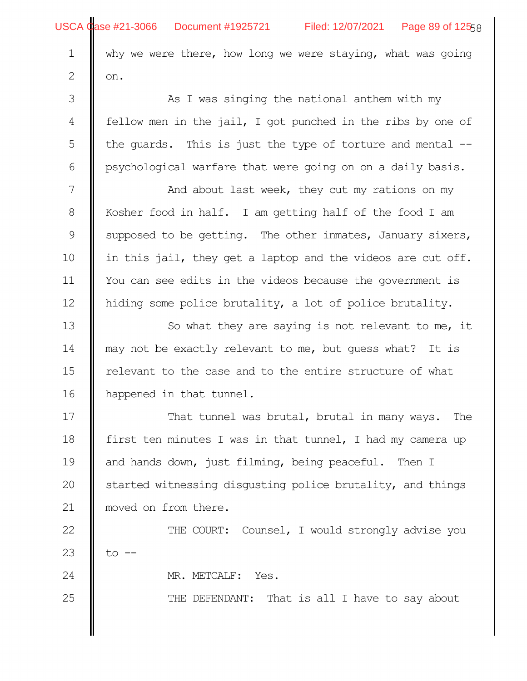|               | USCA Case #21-3066 Document #1925721 Filed: 12/07/2021 Page 89 of 12558 |
|---------------|-------------------------------------------------------------------------|
| $\mathbf 1$   | why we were there, how long we were staying, what was going             |
| $\mathbf{2}$  | on.                                                                     |
| $\mathcal{S}$ | As I was singing the national anthem with my                            |
| 4             | fellow men in the jail, I got punched in the ribs by one of             |
| 5             | the quards. This is just the type of torture and mental $-$             |
| $\sqrt{6}$    | psychological warfare that were going on on a daily basis.              |
| 7             | And about last week, they cut my rations on my                          |
| $8\,$         | Kosher food in half. I am getting half of the food I am                 |
| $\mathcal{G}$ | supposed to be getting. The other inmates, January sixers,              |
| 10            | in this jail, they get a laptop and the videos are cut off.             |
| 11            | You can see edits in the videos because the government is               |
| 12            | hiding some police brutality, a lot of police brutality.                |
| 13            | So what they are saying is not relevant to me, it                       |
| 14            | may not be exactly relevant to me, but quess what? It is                |
| 15            | relevant to the case and to the entire structure of what                |
| 16            | happened in that tunnel.                                                |
| 17            | That tunnel was brutal, brutal in many ways. The                        |
| 18            | first ten minutes I was in that tunnel, I had my camera up              |
| 19            | and hands down, just filming, being peaceful.<br>Then I                 |
| 20            | started witnessing disgusting police brutality, and things              |
| 21            | moved on from there.                                                    |
| 22            | THE COURT: Counsel, I would strongly advise you                         |
| 23            | to                                                                      |
| 24            | MR. METCALF:<br>Yes.                                                    |
| 25            | THE DEFENDANT: That is all I have to say about                          |
|               |                                                                         |
|               |                                                                         |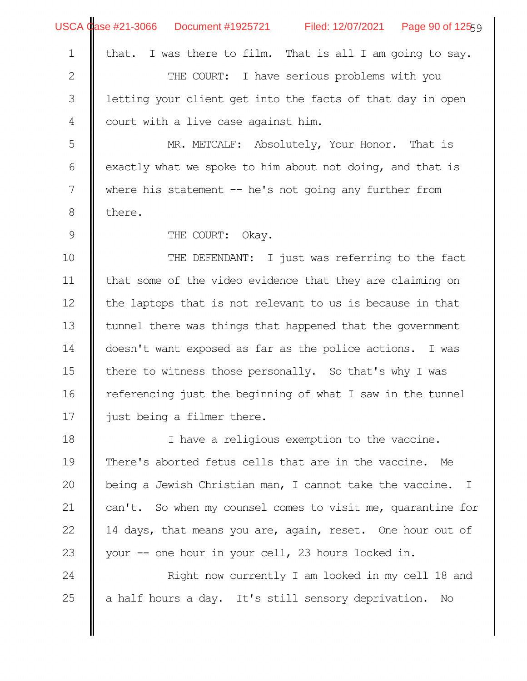|                | USCA Case #21-3066 Document #1925721 Filed: 12/07/2021 Page 90 of 12559 |
|----------------|-------------------------------------------------------------------------|
| $\mathbf 1$    | that. I was there to film. That is all I am going to say.               |
| $\sqrt{2}$     | THE COURT: I have serious problems with you                             |
| $\mathfrak{Z}$ | letting your client get into the facts of that day in open              |
| $\overline{4}$ | court with a live case against him.                                     |
| 5              | MR. METCALF: Absolutely, Your Honor. That is                            |
| 6              | exactly what we spoke to him about not doing, and that is               |
| 7              | where his statement $-$ he's not going any further from                 |
| $\,8\,$        | there.                                                                  |
| $\mathsf 9$    | THE COURT: Okay.                                                        |
| 10             | THE DEFENDANT: I just was referring to the fact                         |
| 11             | that some of the video evidence that they are claiming on               |
| 12             | the laptops that is not relevant to us is because in that               |
| 13             | tunnel there was things that happened that the government               |
| 14             | doesn't want exposed as far as the police actions. I was                |
| 15             | there to witness those personally. So that's why I was                  |
| 16             | referencing just the beginning of what I saw in the tunnel              |
| 17             | just being a filmer there.                                              |
| 18             | I have a religious exemption to the vaccine.                            |
| 19             | There's aborted fetus cells that are in the vaccine. Me                 |
| 20             | being a Jewish Christian man, I cannot take the vaccine. I              |
| 21             | can't. So when my counsel comes to visit me, quarantine for             |
| 22             | 14 days, that means you are, again, reset. One hour out of              |
| 23             | your -- one hour in your cell, 23 hours locked in.                      |
| 24             | Right now currently I am looked in my cell 18 and                       |
| 25             | a half hours a day. It's still sensory deprivation. No                  |
|                |                                                                         |
|                |                                                                         |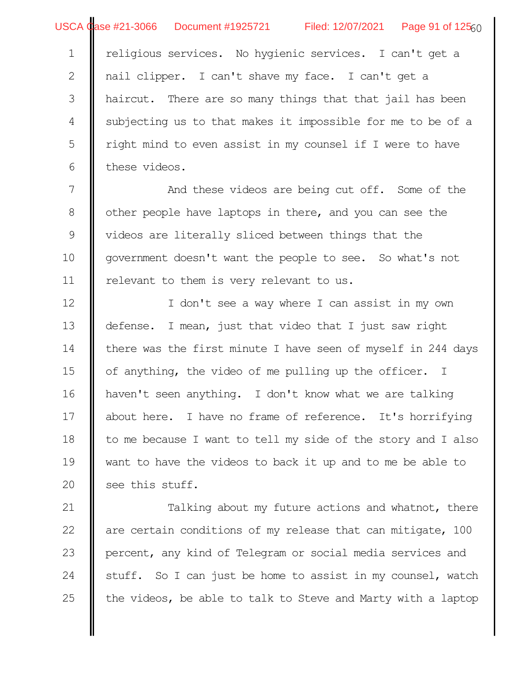USCA Case #21-3066 Document #1925721 Filed: 12/07/2021 Page 91 of 125<sub>60</sub>

religious services. No hygienic services. I can't get a ail clipper. I can't shave my face. I can't get a haircut. There are so many things that that jail has been subjecting us to that makes it impossible for me to be of a right mind to even assist in my counsel if I were to have these videos. 1 2 3 4 5 6

And these videos are being cut off. Some of the other people have laptops in there, and you can see the videos are literally sliced between things that the government doesn't want the people to see. So what's not relevant to them is very relevant to us. 7 8 9 10 11

I don't see a way where I can assist in my own defense. I mean, just that video that I just saw right there was the first minute I have seen of myself in 244 days of anything, the video of me pulling up the officer. I haven't seen anything. I don't know what we are talking about here. I have no frame of reference. It's horrifying to me because I want to tell my side of the story and I also want to have the videos to back it up and to me be able to see this stuff. 12 13 14 15 16 17 18 19 20

Talking about my future actions and whatnot, there are certain conditions of my release that can mitigate, 100 percent, any kind of Telegram or social media services and stuff. So I can just be home to assist in my counsel, watch the videos, be able to talk to Steve and Marty with a laptop 21 22 23 24 25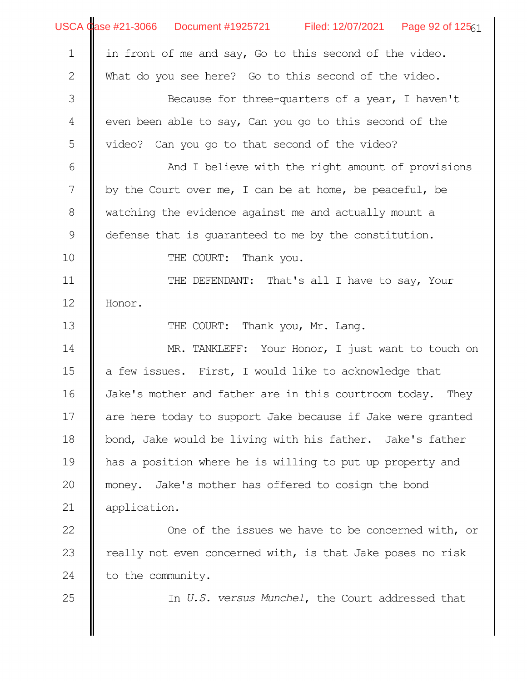|                  | USCA Case #21-3066 Document #1925721 Filed: 12/07/2021 Page 92 of 12561 |
|------------------|-------------------------------------------------------------------------|
| $\mathbf 1$      | in front of me and say, Go to this second of the video.                 |
| $\mathbf{2}$     | What do you see here? Go to this second of the video.                   |
| $\mathfrak{Z}$   | Because for three-quarters of a year, I haven't                         |
| 4                | even been able to say, Can you go to this second of the                 |
| 5                | video? Can you go to that second of the video?                          |
| 6                | And I believe with the right amount of provisions                       |
| $\boldsymbol{7}$ | by the Court over me, I can be at home, be peaceful, be                 |
| $8\,$            | watching the evidence against me and actually mount a                   |
| 9                | defense that is quaranteed to me by the constitution.                   |
| 10               | THE COURT: Thank you.                                                   |
| 11               | THE DEFENDANT: That's all I have to say, Your                           |
| 12               | Honor.                                                                  |
| 13               | THE COURT: Thank you, Mr. Lang.                                         |
| 14               | MR. TANKLEFF: Your Honor, I just want to touch on                       |
| 15               | a few issues. First, I would like to acknowledge that                   |
| 16               | Jake's mother and father are in this courtroom today. They              |
| 17               | are here today to support Jake because if Jake were granted             |
| 18               | bond, Jake would be living with his father. Jake's father               |
| 19               | has a position where he is willing to put up property and               |
| 20               | money. Jake's mother has offered to cosign the bond                     |
| 21               | application.                                                            |
| 22               | One of the issues we have to be concerned with, or                      |
| 23               | really not even concerned with, is that Jake poses no risk              |
| 24               | to the community.                                                       |
| 25               | In U.S. versus Munchel, the Court addressed that                        |
|                  |                                                                         |
|                  |                                                                         |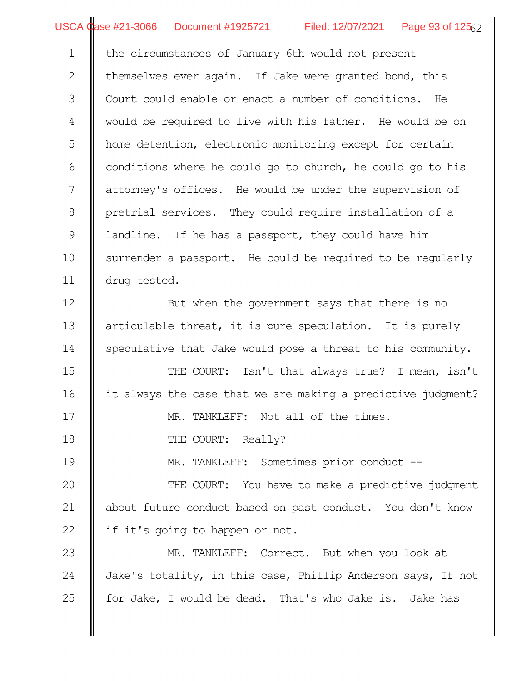USCA Case #21-3066 Document #1925721 Filed: 12/07/2021 Page 93 of 125<sub>62</sub>

the circumstances of January 6th would not present

hemselves ever again. If Jake were granted bond, this Court could enable or enact a number of conditions. He would be required to live with his father. He would be on home detention, electronic monitoring except for certain conditions where he could go to church, he could go to his attorney's offices. He would be under the supervision of pretrial services. They could require installation of a landline. If he has a passport, they could have him surrender a passport. He could be required to be regularly drug tested. But when the government says that there is no articulable threat, it is pure speculation. It is purely speculative that Jake would pose a threat to his community. THE COURT: Isn't that always true? I mean, isn't it always the case that we are making a predictive judgment? MR. TANKLEFF: Not all of the times. THE COURT: Really? MR. TANKLEFF: Sometimes prior conduct --THE COURT: You have to make a predictive judgment about future conduct based on past conduct. You don't know if it's going to happen or not. MR. TANKLEFF: Correct. But when you look at Jake's totality, in this case, Phillip Anderson says, If not for Jake, I would be dead. That's who Jake is. Jake has 1 2 3 4 5 6 7 8 9 10 11 12 13 14 15 16 17 18 19 20 21 22 23 24 25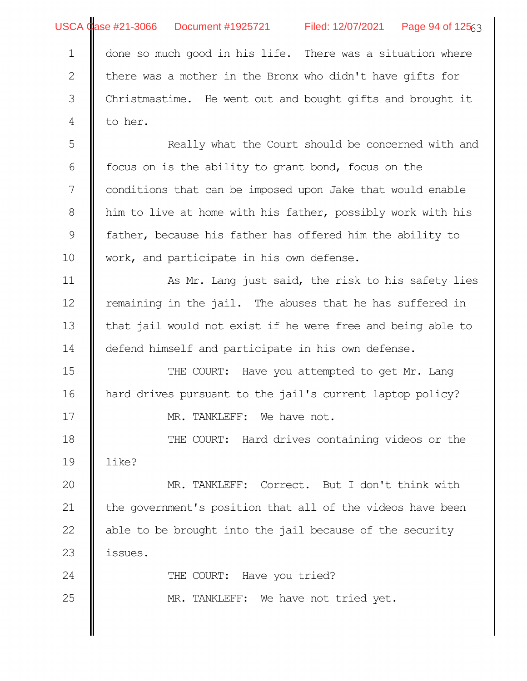|                  | USCA Case #21-3066 Document #1925721 Filed: 12/07/2021 Page 94 of 12563 |
|------------------|-------------------------------------------------------------------------|
| $\mathbf 1$      | done so much good in his life. There was a situation where              |
| $\mathbf{2}$     | there was a mother in the Bronx who didn't have gifts for               |
| 3                | Christmastime. He went out and bought gifts and brought it              |
| 4                | to her.                                                                 |
| 5                | Really what the Court should be concerned with and                      |
| 6                | focus on is the ability to grant bond, focus on the                     |
| $\boldsymbol{7}$ | conditions that can be imposed upon Jake that would enable              |
| $8\,$            | him to live at home with his father, possibly work with his             |
| $\mathsf 9$      | father, because his father has offered him the ability to               |
| 10               | work, and participate in his own defense.                               |
| 11               | As Mr. Lang just said, the risk to his safety lies                      |
| 12               | remaining in the jail. The abuses that he has suffered in               |
| 13               | that jail would not exist if he were free and being able to             |
| 14               | defend himself and participate in his own defense.                      |
| 15               | THE COURT: Have you attempted to get Mr. Lang                           |
| 16               | hard drives pursuant to the jail's current laptop policy?               |
| 17               | MR. TANKLEFF: We have not.                                              |
| 18               | THE COURT: Hard drives containing videos or the                         |
| 19               | like?                                                                   |
| 20               | MR. TANKLEFF: Correct. But I don't think with                           |
| 21               | the government's position that all of the videos have been              |
| 22               | able to be brought into the jail because of the security                |
| 23               | issues.                                                                 |
| 24               | THE COURT: Have you tried?                                              |
| 25               | MR. TANKLEFF: We have not tried yet.                                    |
|                  |                                                                         |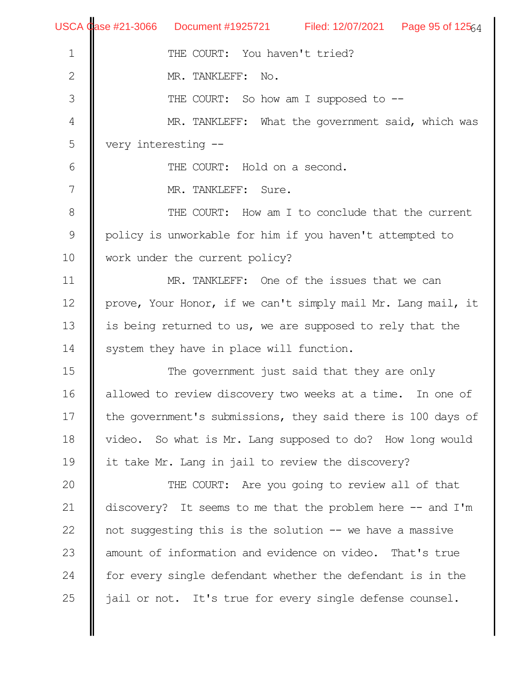|                | USCA Case #21-3066 Document #1925721 Filed: 12/07/2021 Page 95 of 12564 |  |  |  |  |  |  |
|----------------|-------------------------------------------------------------------------|--|--|--|--|--|--|
| $\mathbf 1$    | THE COURT: You haven't tried?                                           |  |  |  |  |  |  |
| $\mathbf{2}$   | MR. TANKLEFF: No.                                                       |  |  |  |  |  |  |
| 3              | THE COURT: So how am I supposed to --                                   |  |  |  |  |  |  |
| $\overline{4}$ | MR. TANKLEFF: What the government said, which was                       |  |  |  |  |  |  |
| 5              | very interesting --                                                     |  |  |  |  |  |  |
| 6              | THE COURT: Hold on a second.                                            |  |  |  |  |  |  |
| 7              | MR. TANKLEFF: Sure.                                                     |  |  |  |  |  |  |
| 8              | THE COURT: How am I to conclude that the current                        |  |  |  |  |  |  |
| $\mathsf 9$    | policy is unworkable for him if you haven't attempted to                |  |  |  |  |  |  |
| 10             | work under the current policy?                                          |  |  |  |  |  |  |
| 11             | MR. TANKLEFF: One of the issues that we can                             |  |  |  |  |  |  |
| 12             | prove, Your Honor, if we can't simply mail Mr. Lang mail, it            |  |  |  |  |  |  |
| 13             | is being returned to us, we are supposed to rely that the               |  |  |  |  |  |  |
| 14             | system they have in place will function.                                |  |  |  |  |  |  |
| 15             | The government just said that they are only                             |  |  |  |  |  |  |
| 16             | allowed to review discovery two weeks at a time. In one of              |  |  |  |  |  |  |
| 17             | the government's submissions, they said there is 100 days of            |  |  |  |  |  |  |
| 18             | video. So what is Mr. Lang supposed to do? How long would               |  |  |  |  |  |  |
| 19             | it take Mr. Lang in jail to review the discovery?                       |  |  |  |  |  |  |
| 20             | THE COURT: Are you going to review all of that                          |  |  |  |  |  |  |
| 21             | discovery? It seems to me that the problem here -- and I'm              |  |  |  |  |  |  |
| 22             | not suggesting this is the solution -- we have a massive                |  |  |  |  |  |  |
| 23             | amount of information and evidence on video. That's true                |  |  |  |  |  |  |
| 24             | for every single defendant whether the defendant is in the              |  |  |  |  |  |  |
| 25             | jail or not. It's true for every single defense counsel.                |  |  |  |  |  |  |
|                |                                                                         |  |  |  |  |  |  |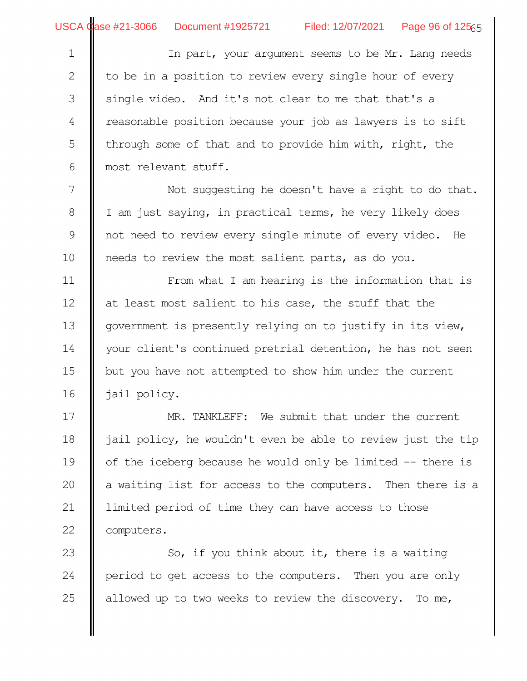| $\mathbf 1$   | In part, your argument seems to be Mr. Lang needs            |  |  |  |  |  |  |  |
|---------------|--------------------------------------------------------------|--|--|--|--|--|--|--|
| $\mathbf{2}$  | to be in a position to review every single hour of every     |  |  |  |  |  |  |  |
| 3             | single video. And it's not clear to me that that's a         |  |  |  |  |  |  |  |
| 4             | reasonable position because your job as lawyers is to sift   |  |  |  |  |  |  |  |
| 5             | through some of that and to provide him with, right, the     |  |  |  |  |  |  |  |
| 6             | most relevant stuff.                                         |  |  |  |  |  |  |  |
| 7             | Not suggesting he doesn't have a right to do that.           |  |  |  |  |  |  |  |
| $8\,$         | I am just saying, in practical terms, he very likely does    |  |  |  |  |  |  |  |
| $\mathcal{G}$ | not need to review every single minute of every video. He    |  |  |  |  |  |  |  |
| 10            | needs to review the most salient parts, as do you.           |  |  |  |  |  |  |  |
| 11            | From what I am hearing is the information that is            |  |  |  |  |  |  |  |
| 12            | at least most salient to his case, the stuff that the        |  |  |  |  |  |  |  |
| 13            | government is presently relying on to justify in its view,   |  |  |  |  |  |  |  |
| 14            | your client's continued pretrial detention, he has not seen  |  |  |  |  |  |  |  |
| 15            | but you have not attempted to show him under the current     |  |  |  |  |  |  |  |
| 16            | jail policy.                                                 |  |  |  |  |  |  |  |
| 17            | MR. TANKLEFF: We submit that under the current               |  |  |  |  |  |  |  |
| 18            | jail policy, he wouldn't even be able to review just the tip |  |  |  |  |  |  |  |
| 19            | of the iceberg because he would only be limited -- there is  |  |  |  |  |  |  |  |
| 20            | a waiting list for access to the computers. Then there is a  |  |  |  |  |  |  |  |
| 21            | limited period of time they can have access to those         |  |  |  |  |  |  |  |
| 22            | computers.                                                   |  |  |  |  |  |  |  |
| 23            | So, if you think about it, there is a waiting                |  |  |  |  |  |  |  |
| 24            | period to get access to the computers. Then you are only     |  |  |  |  |  |  |  |

allowed up to two weeks to review the discovery. To me,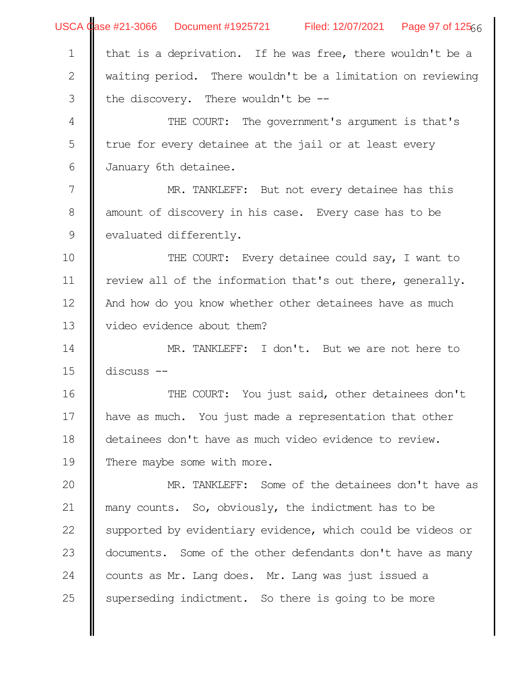|                | USCA Case #21-3066 Document #1925721 Filed: 12/07/2021 Page 97 of 12566 |  |  |  |  |  |  |  |
|----------------|-------------------------------------------------------------------------|--|--|--|--|--|--|--|
| $\mathbf{1}$   | that is a deprivation. If he was free, there wouldn't be a              |  |  |  |  |  |  |  |
| $\mathbf{2}$   | waiting period. There wouldn't be a limitation on reviewing             |  |  |  |  |  |  |  |
| $\mathfrak{Z}$ | the discovery. There wouldn't be --                                     |  |  |  |  |  |  |  |
| $\overline{4}$ | THE COURT: The government's argument is that's                          |  |  |  |  |  |  |  |
| 5              | true for every detainee at the jail or at least every                   |  |  |  |  |  |  |  |
| 6              | January 6th detainee.                                                   |  |  |  |  |  |  |  |
| 7              | MR. TANKLEFF: But not every detainee has this                           |  |  |  |  |  |  |  |
| $8\,$          | amount of discovery in his case. Every case has to be                   |  |  |  |  |  |  |  |
| 9              | evaluated differently.                                                  |  |  |  |  |  |  |  |
| 10             | THE COURT: Every detainee could say, I want to                          |  |  |  |  |  |  |  |
| 11             | review all of the information that's out there, generally.              |  |  |  |  |  |  |  |
| 12             | And how do you know whether other detainees have as much                |  |  |  |  |  |  |  |
| 13             | video evidence about them?                                              |  |  |  |  |  |  |  |
| 14             | MR. TANKLEFF: I don't. But we are not here to                           |  |  |  |  |  |  |  |
| 15             | discuss --                                                              |  |  |  |  |  |  |  |
| 16             | THE COURT: You just said, other detainees don't                         |  |  |  |  |  |  |  |
| 17             | have as much. You just made a representation that other                 |  |  |  |  |  |  |  |
| 18             | detainees don't have as much video evidence to review.                  |  |  |  |  |  |  |  |
| 19             | There maybe some with more.                                             |  |  |  |  |  |  |  |
| 20             | MR. TANKLEFF: Some of the detainees don't have as                       |  |  |  |  |  |  |  |
| 21             | many counts. So, obviously, the indictment has to be                    |  |  |  |  |  |  |  |
| 22             | supported by evidentiary evidence, which could be videos or             |  |  |  |  |  |  |  |
| 23             | documents. Some of the other defendants don't have as many              |  |  |  |  |  |  |  |
| 24             | counts as Mr. Lang does. Mr. Lang was just issued a                     |  |  |  |  |  |  |  |
| 25             | superseding indictment. So there is going to be more                    |  |  |  |  |  |  |  |
|                |                                                                         |  |  |  |  |  |  |  |
|                |                                                                         |  |  |  |  |  |  |  |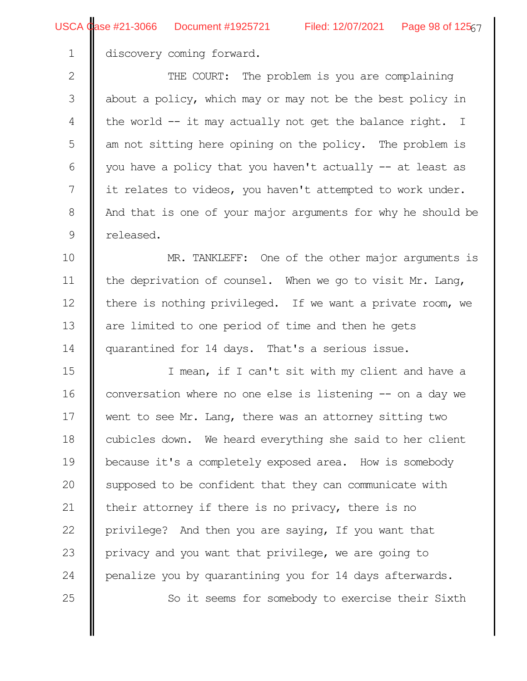discovery coming forward.

THE COURT: The problem is you are complaining about a policy, which may or may not be the best policy in the world -- it may actually not get the balance right. I am not sitting here opining on the policy. The problem is you have a policy that you haven't actually -- at least as it relates to videos, you haven't attempted to work under. And that is one of your major arguments for why he should be released. 2 3 4 5 6 7 8 9

MR. TANKLEFF: One of the other major arguments is the deprivation of counsel. When we go to visit Mr. Lang, there is nothing privileged. If we want a private room, we are limited to one period of time and then he gets quarantined for 14 days. That's a serious issue. 10 11 12 13 14

I mean, if I can't sit with my client and have a conversation where no one else is listening -- on a day we went to see Mr. Lang, there was an attorney sitting two cubicles down. We heard everything she said to her client because it's a completely exposed area. How is somebody supposed to be confident that they can communicate with their attorney if there is no privacy, there is no privilege? And then you are saying, If you want that privacy and you want that privilege, we are going to penalize you by quarantining you for 14 days afterwards. So it seems for somebody to exercise their Sixth 15 16 17 18 19 20 21 22 23 24 25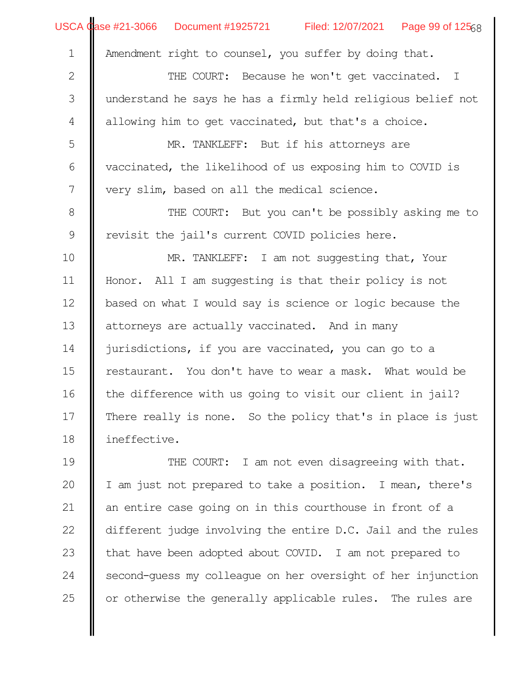|                | USCA Case #21-3066 Document #1925721 Filed: 12/07/2021 Page 99 of 12568 |  |  |  |  |  |  |  |
|----------------|-------------------------------------------------------------------------|--|--|--|--|--|--|--|
| $\mathbf 1$    | Amendment right to counsel, you suffer by doing that.                   |  |  |  |  |  |  |  |
| $\mathbf{2}$   | THE COURT: Because he won't get vaccinated. I                           |  |  |  |  |  |  |  |
| $\mathfrak{Z}$ | understand he says he has a firmly held religious belief not            |  |  |  |  |  |  |  |
| $\overline{4}$ | allowing him to get vaccinated, but that's a choice.                    |  |  |  |  |  |  |  |
| 5              | MR. TANKLEFF: But if his attorneys are                                  |  |  |  |  |  |  |  |
| $\sqrt{6}$     | vaccinated, the likelihood of us exposing him to COVID is               |  |  |  |  |  |  |  |
| 7              | very slim, based on all the medical science.                            |  |  |  |  |  |  |  |
| $\,8\,$        | THE COURT: But you can't be possibly asking me to                       |  |  |  |  |  |  |  |
| $\mathsf 9$    | revisit the jail's current COVID policies here.                         |  |  |  |  |  |  |  |
| 10             | MR. TANKLEFF: I am not suggesting that, Your                            |  |  |  |  |  |  |  |
| 11             | Honor. All I am suggesting is that their policy is not                  |  |  |  |  |  |  |  |
| 12             | based on what I would say is science or logic because the               |  |  |  |  |  |  |  |
| 13             | attorneys are actually vaccinated. And in many                          |  |  |  |  |  |  |  |
| 14             | jurisdictions, if you are vaccinated, you can go to a                   |  |  |  |  |  |  |  |
| 15             | restaurant. You don't have to wear a mask. What would be                |  |  |  |  |  |  |  |
| 16             | the difference with us going to visit our client in jail?               |  |  |  |  |  |  |  |
| 17             | There really is none. So the policy that's in place is just             |  |  |  |  |  |  |  |
| 18             | ineffective.                                                            |  |  |  |  |  |  |  |
| 19             | THE COURT: I am not even disagreeing with that.                         |  |  |  |  |  |  |  |
| 20             | I am just not prepared to take a position. I mean, there's              |  |  |  |  |  |  |  |
| 21             | an entire case going on in this courthouse in front of a                |  |  |  |  |  |  |  |
| 22             | different judge involving the entire D.C. Jail and the rules            |  |  |  |  |  |  |  |

that have been adopted about COVID. I am not prepared to second-guess my colleague on her oversight of her injunction or otherwise the generally applicable rules. The rules are 23 24 25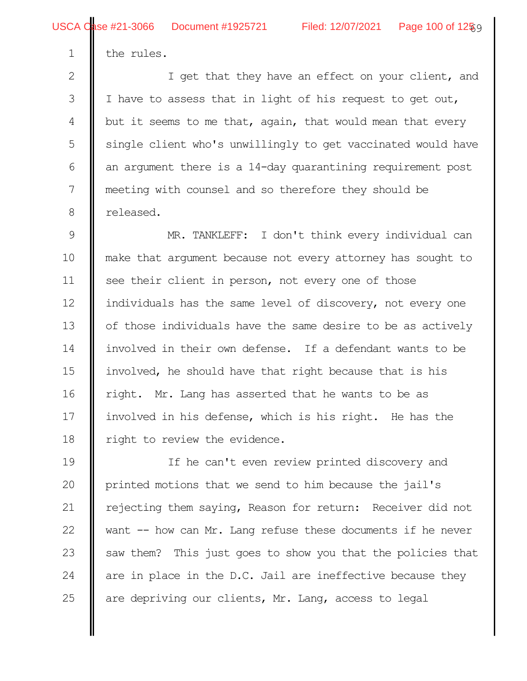the rules.

1

I get that they have an effect on your client, and I have to assess that in light of his request to get out, but it seems to me that, again, that would mean that every single client who's unwillingly to get vaccinated would have an argument there is a 14-day quarantining requirement post meeting with counsel and so therefore they should be released. 2 3 4 5 6 7 8

MR. TANKLEFF: I don't think every individual can make that argument because not every attorney has sought to see their client in person, not every one of those individuals has the same level of discovery, not every one of those individuals have the same desire to be as actively involved in their own defense. If a defendant wants to be involved, he should have that right because that is his right. Mr. Lang has asserted that he wants to be as involved in his defense, which is his right. He has the right to review the evidence. 9 10 11 12 13 14 15 16 17 18

If he can't even review printed discovery and printed motions that we send to him because the jail's rejecting them saying, Reason for return: Receiver did not want -- how can Mr. Lang refuse these documents if he never saw them? This just goes to show you that the policies that are in place in the D.C. Jail are ineffective because they are depriving our clients, Mr. Lang, access to legal 19 20 21 22 23 24 25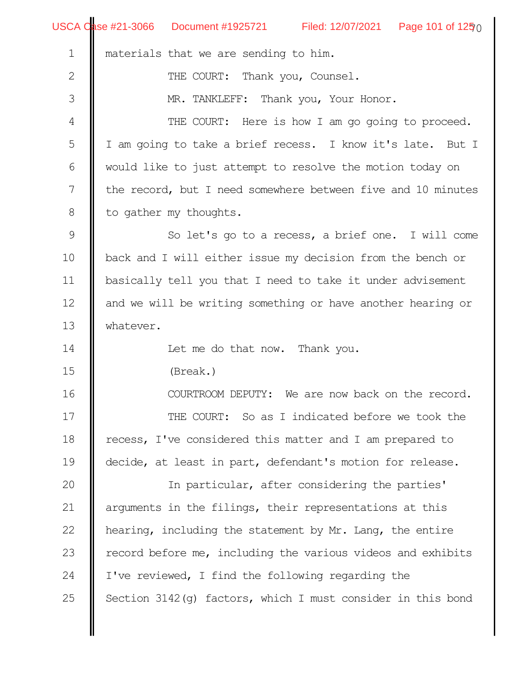|                  | USCA Case #21-3066 Document #1925721 Filed: 12/07/2021 Page 101 of 1250 |  |  |  |  |  |  |  |
|------------------|-------------------------------------------------------------------------|--|--|--|--|--|--|--|
| $\mathbf 1$      | materials that we are sending to him.                                   |  |  |  |  |  |  |  |
| $\sqrt{2}$       | THE COURT: Thank you, Counsel.                                          |  |  |  |  |  |  |  |
| $\mathfrak{Z}$   | MR. TANKLEFF: Thank you, Your Honor.                                    |  |  |  |  |  |  |  |
| $\sqrt{4}$       | THE COURT: Here is how I am go going to proceed.                        |  |  |  |  |  |  |  |
| 5                | I am going to take a brief recess. I know it's late. But I              |  |  |  |  |  |  |  |
| $\sqrt{6}$       | would like to just attempt to resolve the motion today on               |  |  |  |  |  |  |  |
| $\boldsymbol{7}$ | the record, but I need somewhere between five and 10 minutes            |  |  |  |  |  |  |  |
| $\,8\,$          | to gather my thoughts.                                                  |  |  |  |  |  |  |  |
| $\mathsf 9$      | So let's go to a recess, a brief one. I will come                       |  |  |  |  |  |  |  |
| 10               | back and I will either issue my decision from the bench or              |  |  |  |  |  |  |  |
| 11               | basically tell you that I need to take it under advisement              |  |  |  |  |  |  |  |
| 12               | and we will be writing something or have another hearing or             |  |  |  |  |  |  |  |
| 13               | whatever.                                                               |  |  |  |  |  |  |  |
| 14               | Let me do that now. Thank you.                                          |  |  |  |  |  |  |  |
| 15               | (Break.)                                                                |  |  |  |  |  |  |  |
| 16               | COURTROOM DEPUTY:<br>We are now back on the record.                     |  |  |  |  |  |  |  |
| 17               | THE COURT: So as I indicated before we took the                         |  |  |  |  |  |  |  |
| 18               | recess, I've considered this matter and I am prepared to                |  |  |  |  |  |  |  |
| 19               | decide, at least in part, defendant's motion for release.               |  |  |  |  |  |  |  |
| 20               | In particular, after considering the parties'                           |  |  |  |  |  |  |  |
| 21               | arguments in the filings, their representations at this                 |  |  |  |  |  |  |  |
| 22               | hearing, including the statement by Mr. Lang, the entire                |  |  |  |  |  |  |  |
| 23               | record before me, including the various videos and exhibits             |  |  |  |  |  |  |  |
| 24               | I've reviewed, I find the following regarding the                       |  |  |  |  |  |  |  |
| 25               | Section $3142$ (q) factors, which I must consider in this bond          |  |  |  |  |  |  |  |
|                  |                                                                         |  |  |  |  |  |  |  |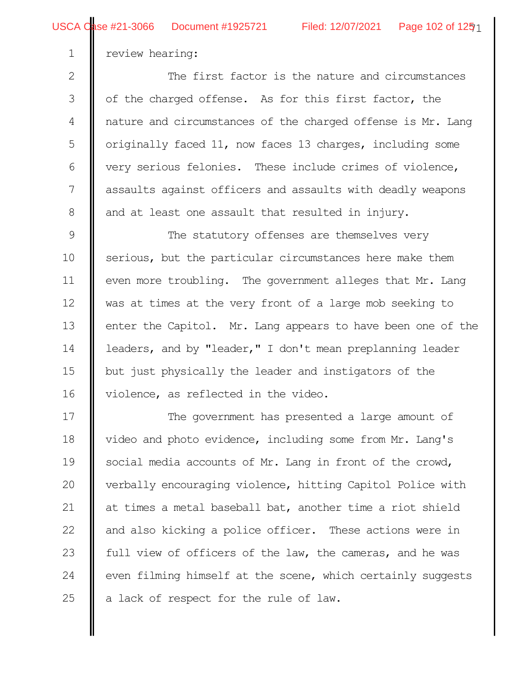review hearing:

1

he first factor is the nature and circumstances of the charged offense. As for this first factor, the nature and circumstances of the charged offense is Mr. Lang originally faced 11, now faces 13 charges, including some very serious felonies. These include crimes of violence, assaults against officers and assaults with deadly weapons and at least one assault that resulted in injury. 2 3 4 5 6 7 8

The statutory offenses are themselves very serious, but the particular circumstances here make them even more troubling. The government alleges that Mr. Lang was at times at the very front of a large mob seeking to enter the Capitol. Mr. Lang appears to have been one of the leaders, and by "leader," I don't mean preplanning leader but just physically the leader and instigators of the violence, as reflected in the video. 9 10 11 12 13 14 15 16

The government has presented a large amount of video and photo evidence, including some from Mr. Lang's social media accounts of Mr. Lang in front of the crowd, verbally encouraging violence, hitting Capitol Police with at times a metal baseball bat, another time a riot shield and also kicking a police officer. These actions were in full view of officers of the law, the cameras, and he was even filming himself at the scene, which certainly suggests a lack of respect for the rule of law. 17 18 19 20 21 22 23 24 25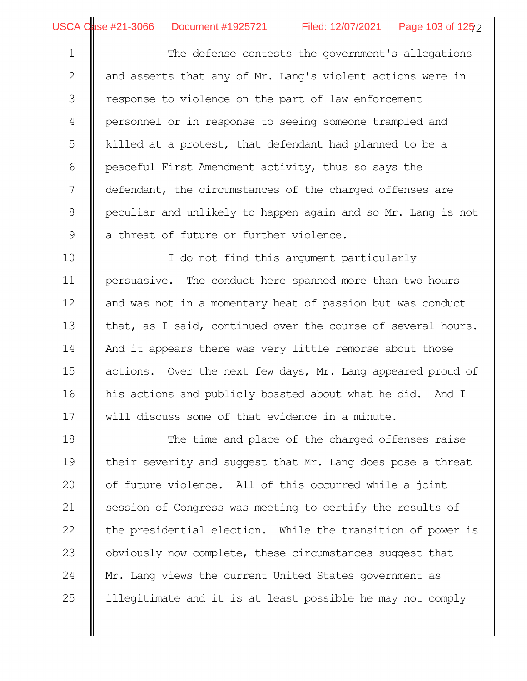The defense contests the government's allegations and asserts that any of Mr. Lang's violent actions were in response to violence on the part of law enforcement personnel or in response to seeing someone trampled and killed at a protest, that defendant had planned to be a peaceful First Amendment activity, thus so says the defendant, the circumstances of the charged offenses are peculiar and unlikely to happen again and so Mr. Lang is not a threat of future or further violence. 1 2 3 4 5 6 7 8 9

I do not find this argument particularly persuasive. The conduct here spanned more than two hours and was not in a momentary heat of passion but was conduct that, as I said, continued over the course of several hours. And it appears there was very little remorse about those actions. Over the next few days, Mr. Lang appeared proud of his actions and publicly boasted about what he did. And I will discuss some of that evidence in a minute. 10 11 12 13 14 15 16 17

The time and place of the charged offenses raise their severity and suggest that Mr. Lang does pose a threat of future violence. All of this occurred while a joint session of Congress was meeting to certify the results of the presidential election. While the transition of power is obviously now complete, these circumstances suggest that Mr. Lang views the current United States government as illegitimate and it is at least possible he may not comply 18 19 20 21 22 23 24 25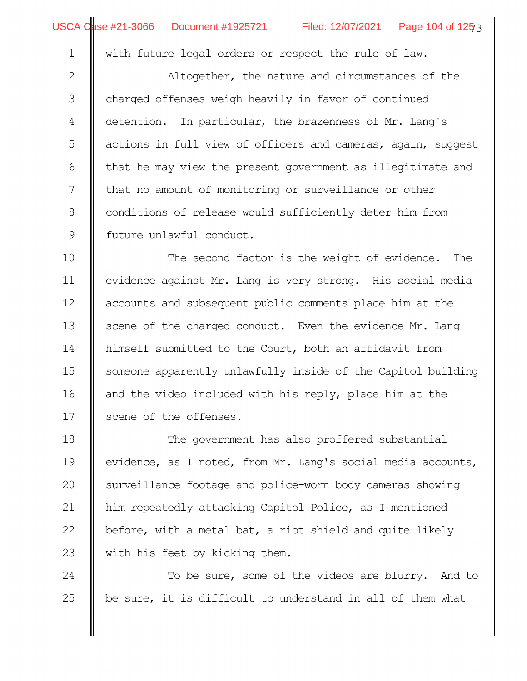with future legal orders or respect the rule of law.

Altogether, the nature and circumstances of the charged offenses weigh heavily in favor of continued detention. In particular, the brazenness of Mr. Lang's actions in full view of officers and cameras, again, suggest that he may view the present government as illegitimate and that no amount of monitoring or surveillance or other conditions of release would sufficiently deter him from future unlawful conduct. 2 3 4 5 6 7 8 9

The second factor is the weight of evidence. The evidence against Mr. Lang is very strong. His social media accounts and subsequent public comments place him at the scene of the charged conduct. Even the evidence Mr. Lang himself submitted to the Court, both an affidavit from someone apparently unlawfully inside of the Capitol building and the video included with his reply, place him at the scene of the offenses. 10 11 12 13 14 15 16 17

The government has also proffered substantial evidence, as I noted, from Mr. Lang's social media accounts, surveillance footage and police-worn body cameras showing him repeatedly attacking Capitol Police, as I mentioned before, with a metal bat, a riot shield and quite likely with his feet by kicking them. 18 19 20 21 22 23

To be sure, some of the videos are blurry. And to be sure, it is difficult to understand in all of them what 24 25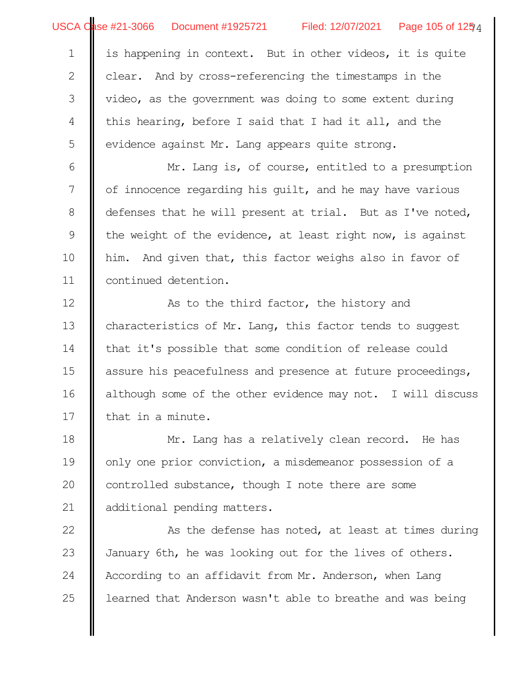is happening in context. But in other videos, it is quite clear. And by cross-referencing the timestamps in the video, as the government was doing to some extent during this hearing, before I said that I had it all, and the evidence against Mr. Lang appears quite strong. 1 2 3 4 5

Mr. Lang is, of course, entitled to a presumption of innocence regarding his guilt, and he may have various defenses that he will present at trial. But as I've noted, the weight of the evidence, at least right now, is against him. And given that, this factor weighs also in favor of continued detention. 6 7 8 9 10 11

As to the third factor, the history and characteristics of Mr. Lang, this factor tends to suggest that it's possible that some condition of release could assure his peacefulness and presence at future proceedings, although some of the other evidence may not. I will discuss that in a minute. 12 13 14 15 16 17

Mr. Lang has a relatively clean record. He has only one prior conviction, a misdemeanor possession of a controlled substance, though I note there are some additional pending matters. 18 19 20 21

As the defense has noted, at least at times during January 6th, he was looking out for the lives of others. According to an affidavit from Mr. Anderson, when Lang learned that Anderson wasn't able to breathe and was being 22 23 24 25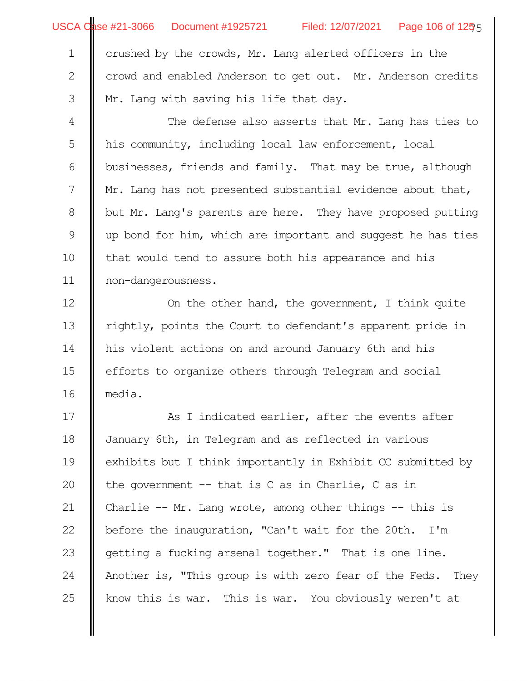2

3

USCA Qase #21-3066 Document #1925721 Filed: 12/07/2021 Page 106 of 1255

crowd and enabled Anderson to get out. Mr. Anderson credits Mr. Lang with saving his life that day.

The defense also asserts that Mr. Lang has ties to his community, including local law enforcement, local businesses, friends and family. That may be true, although Mr. Lang has not presented substantial evidence about that, but Mr. Lang's parents are here. They have proposed putting up bond for him, which are important and suggest he has ties that would tend to assure both his appearance and his non-dangerousness. 4 5 6 7 8 9 10 11

On the other hand, the government, I think quite rightly, points the Court to defendant's apparent pride in his violent actions on and around January 6th and his efforts to organize others through Telegram and social media. 12 13 14 15 16

As I indicated earlier, after the events after January 6th, in Telegram and as reflected in various exhibits but I think importantly in Exhibit CC submitted by the government -- that is C as in Charlie, C as in Charlie -- Mr. Lang wrote, among other things -- this is before the inauguration, "Can't wait for the 20th. I'm getting a fucking arsenal together." That is one line. Another is, "This group is with zero fear of the Feds. They know this is war. This is war. You obviously weren't at 17 18 19 20 21 22 23 24 25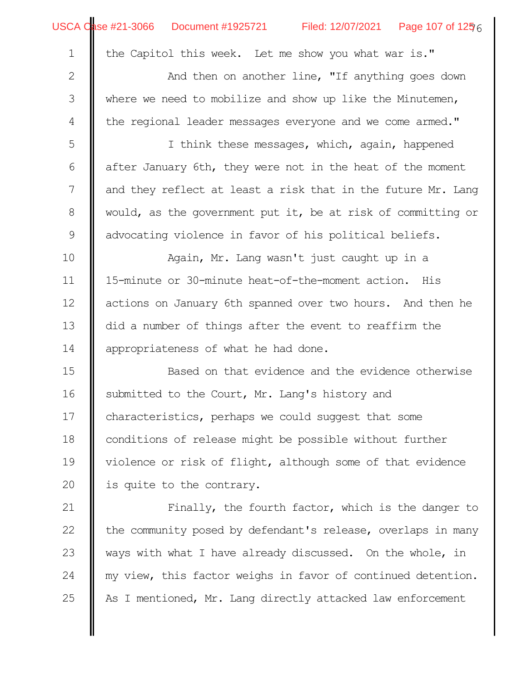| USCA Case #21-3066  Document #1925721                    |  |  | Filed: 12/07/2021   Page 107 of 1256 |  |
|----------------------------------------------------------|--|--|--------------------------------------|--|
| 1   the Capitol this week. Let me show you what war is." |  |  |                                      |  |

3

4

And then on another line, "If anything goes down where we need to mobilize and show up like the Minutemen, the regional leader messages everyone and we come armed."

I think these messages, which, again, happened after January 6th, they were not in the heat of the moment and they reflect at least a risk that in the future Mr. Lang would, as the government put it, be at risk of committing or advocating violence in favor of his political beliefs. 5 6 7 8 9

Again, Mr. Lang wasn't just caught up in a 15-minute or 30-minute heat-of-the-moment action. His actions on January 6th spanned over two hours. And then he did a number of things after the event to reaffirm the appropriateness of what he had done. 10 11 12 13 14

Based on that evidence and the evidence otherwise submitted to the Court, Mr. Lang's history and characteristics, perhaps we could suggest that some conditions of release might be possible without further violence or risk of flight, although some of that evidence is quite to the contrary. 15 16 17 18 19 20

Finally, the fourth factor, which is the danger to the community posed by defendant's release, overlaps in many ways with what I have already discussed. On the whole, in my view, this factor weighs in favor of continued detention. As I mentioned, Mr. Lang directly attacked law enforcement 21 22 23 24 25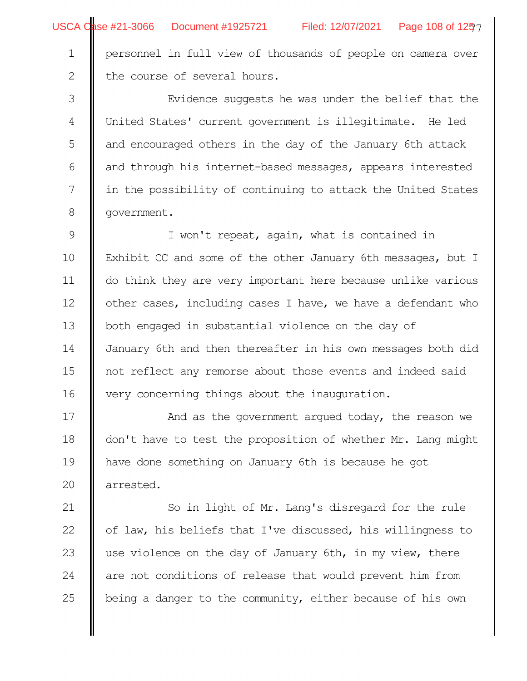Filed: 12/07/2021 Page 108 of 1257

personnel in full view of thousands of people on camera over the course of several hours. 1 2

Evidence suggests he was under the belief that the United States' current government is illegitimate. He led and encouraged others in the day of the January 6th attack and through his internet-based messages, appears interested in the possibility of continuing to attack the United States government. 3 4 5 6 7 8

I won't repeat, again, what is contained in Exhibit CC and some of the other January 6th messages, but I do think they are very important here because unlike various other cases, including cases I have, we have a defendant who both engaged in substantial violence on the day of January 6th and then thereafter in his own messages both did not reflect any remorse about those events and indeed said very concerning things about the inauguration. 9 10 11 12 13 14 15 16

And as the government argued today, the reason we don't have to test the proposition of whether Mr. Lang might have done something on January 6th is because he got arrested. 17 18 19 20

So in light of Mr. Lang's disregard for the rule of law, his beliefs that I've discussed, his willingness to use violence on the day of January 6th, in my view, there are not conditions of release that would prevent him from being a danger to the community, either because of his own 21 22 23 24 25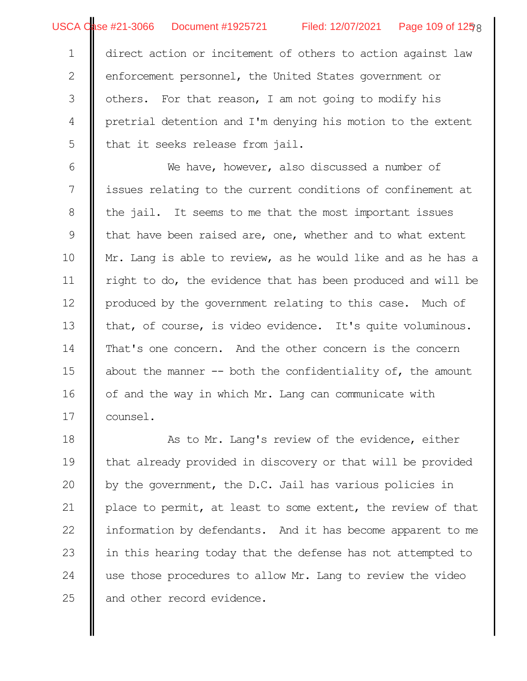direct action or incitement of others to action against law enforcement personnel, the United States government or others. For that reason, I am not going to modify his pretrial detention and I'm denying his motion to the extent that it seeks release from jail. 1 2 3 4 5

We have, however, also discussed a number of issues relating to the current conditions of confinement at the jail. It seems to me that the most important issues that have been raised are, one, whether and to what extent Mr. Lang is able to review, as he would like and as he has a right to do, the evidence that has been produced and will be produced by the government relating to this case. Much of that, of course, is video evidence. It's quite voluminous. That's one concern. And the other concern is the concern about the manner  $-$  both the confidentiality of, the amount of and the way in which Mr. Lang can communicate with counsel. 6 7 8 9 10 11 12 13 14 15 16 17

As to Mr. Lang's review of the evidence, either that already provided in discovery or that will be provided by the government, the D.C. Jail has various policies in place to permit, at least to some extent, the review of that information by defendants. And it has become apparent to me in this hearing today that the defense has not attempted to use those procedures to allow Mr. Lang to review the video and other record evidence. 18 19 20 21 22 23 24 25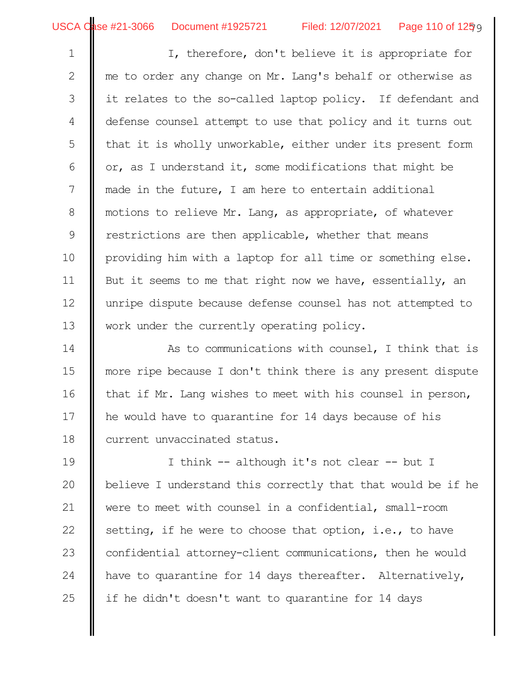I, therefore, don't believe it is appropriate for me to order any change on Mr. Lang's behalf or otherwise as it relates to the so-called laptop policy. If defendant and defense counsel attempt to use that policy and it turns out that it is wholly unworkable, either under its present form or, as I understand it, some modifications that might be made in the future, I am here to entertain additional motions to relieve Mr. Lang, as appropriate, of whatever restrictions are then applicable, whether that means providing him with a laptop for all time or something else. But it seems to me that right now we have, essentially, an unripe dispute because defense counsel has not attempted to work under the currently operating policy. 1 2 3 4 5 6 7 8 9 10 11 12 13

As to communications with counsel, I think that is more ripe because I don't think there is any present dispute that if Mr. Lang wishes to meet with his counsel in person, he would have to quarantine for 14 days because of his current unvaccinated status. 14 15 16 17 18

I think -- although it's not clear -- but I believe I understand this correctly that that would be if he were to meet with counsel in a confidential, small-room setting, if he were to choose that option, i.e., to have confidential attorney-client communications, then he would have to quarantine for 14 days thereafter. Alternatively, if he didn't doesn't want to quarantine for 14 days 19 20 21 22 23 24 25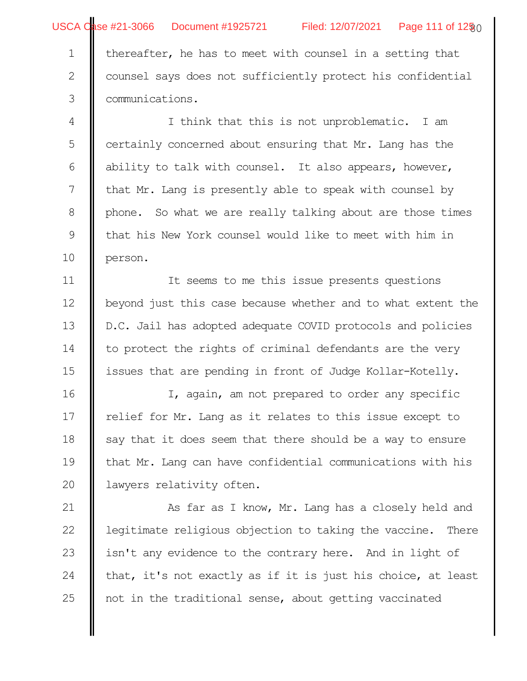USCA Qase #21-3066 Document #1925721 Filed: 12/07/2021 Page 111 of 12§0

thereafter, he has to meet with counsel in a setting that ounsel says does not sufficiently protect his confidential communications. I think that this is not unproblematic. I am certainly concerned about ensuring that Mr. Lang has the ability to talk with counsel. It also appears, however, that Mr. Lang is presently able to speak with counsel by phone. So what we are really talking about are those times that his New York counsel would like to meet with him in person. It seems to me this issue presents questions beyond just this case because whether and to what extent the D.C. Jail has adopted adequate COVID protocols and policies to protect the rights of criminal defendants are the very issues that are pending in front of Judge Kollar-Kotelly. I, again, am not prepared to order any specific relief for Mr. Lang as it relates to this issue except to say that it does seem that there should be a way to ensure that Mr. Lang can have confidential communications with his lawyers relativity often. As far as I know, Mr. Lang has a closely held and legitimate religious objection to taking the vaccine. There isn't any evidence to the contrary here. And in light of that, it's not exactly as if it is just his choice, at least not in the traditional sense, about getting vaccinated 1 2 3 4 5 6 7 8 9 10 11 12 13 14 15 16 17 18 19 20 21 22 23 24 25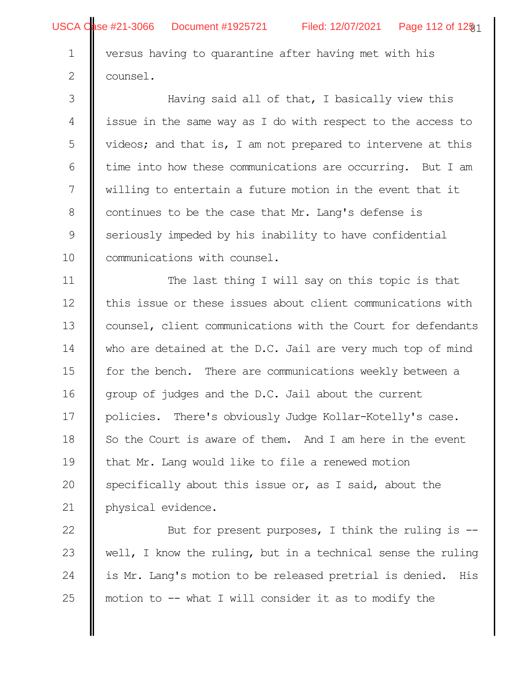2

USCA Qase #21-3066 Document #1925721 Filed: 12/07/2021 Page 112 of 12§1

versus having to quarantine after having met with his ounsel.

Having said all of that, I basically view this issue in the same way as I do with respect to the access to videos; and that is, I am not prepared to intervene at this time into how these communications are occurring. But I am willing to entertain a future motion in the event that it continues to be the case that Mr. Lang's defense is seriously impeded by his inability to have confidential communications with counsel. 3 4 5 6 7 8 9 10

The last thing I will say on this topic is that this issue or these issues about client communications with counsel, client communications with the Court for defendants who are detained at the D.C. Jail are very much top of mind for the bench. There are communications weekly between a group of judges and the D.C. Jail about the current policies. There's obviously Judge Kollar-Kotelly's case. So the Court is aware of them. And I am here in the event that Mr. Lang would like to file a renewed motion specifically about this issue or, as I said, about the physical evidence. 11 12 13 14 15 16 17 18 19 20 21

But for present purposes, I think the ruling is - well, I know the ruling, but in a technical sense the ruling is Mr. Lang's motion to be released pretrial is denied. His motion to  $-$ - what I will consider it as to modify the 22 23 24 25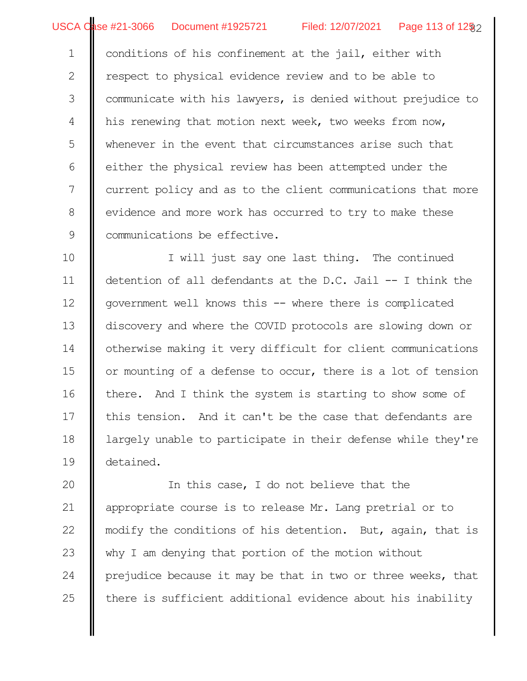USCA Case #21-3066 Document #1925721 Filed: 12/07/2021 Page 113 of 12§2

conditions of his confinement at the jail, either with espect to physical evidence review and to be able to communicate with his lawyers, is denied without prejudice to his renewing that motion next week, two weeks from now, whenever in the event that circumstances arise such that either the physical review has been attempted under the current policy and as to the client communications that more evidence and more work has occurred to try to make these communications be effective. 1 2 3 4 5 6 7 8 9

I will just say one last thing. The continued detention of all defendants at the D.C. Jail -- I think the government well knows this -- where there is complicated discovery and where the COVID protocols are slowing down or otherwise making it very difficult for client communications or mounting of a defense to occur, there is a lot of tension there. And I think the system is starting to show some of this tension. And it can't be the case that defendants are largely unable to participate in their defense while they're detained. 10 11 12 13 14 15 16 17 18 19

In this case, I do not believe that the appropriate course is to release Mr. Lang pretrial or to modify the conditions of his detention. But, again, that is why I am denying that portion of the motion without prejudice because it may be that in two or three weeks, that there is sufficient additional evidence about his inability 20 21 22 23 24 25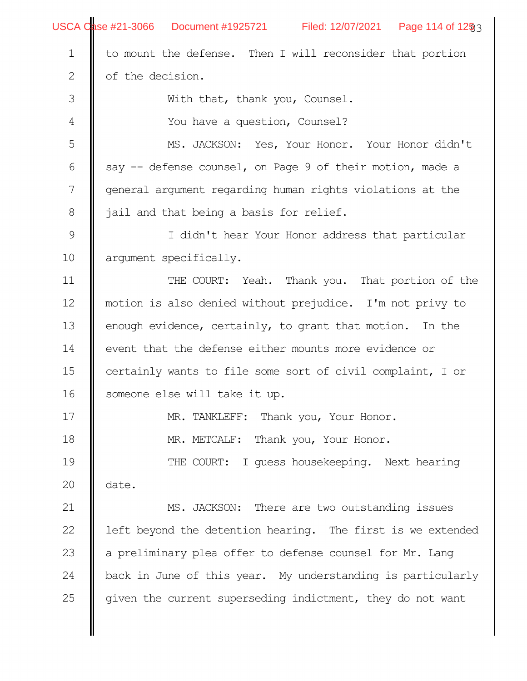|                | USCA Case #21-3066 Document #1925721 Filed: 12/07/2021 Page 114 of 12§3 |  |  |  |  |  |
|----------------|-------------------------------------------------------------------------|--|--|--|--|--|
| $\mathbf 1$    | to mount the defense. Then I will reconsider that portion               |  |  |  |  |  |
| $\mathbf{2}$   | of the decision.                                                        |  |  |  |  |  |
| 3              | With that, thank you, Counsel.                                          |  |  |  |  |  |
| $\overline{4}$ | You have a question, Counsel?                                           |  |  |  |  |  |
| 5              | MS. JACKSON: Yes, Your Honor. Your Honor didn't                         |  |  |  |  |  |
| 6              | say -- defense counsel, on Page 9 of their motion, made a               |  |  |  |  |  |
| $\overline{7}$ | general argument regarding human rights violations at the               |  |  |  |  |  |
| $\,8\,$        | jail and that being a basis for relief.                                 |  |  |  |  |  |
| $\mathsf 9$    | I didn't hear Your Honor address that particular                        |  |  |  |  |  |
| 10             | argument specifically.                                                  |  |  |  |  |  |
| 11             | THE COURT: Yeah. Thank you. That portion of the                         |  |  |  |  |  |
| 12             | motion is also denied without prejudice. I'm not privy to               |  |  |  |  |  |
| 13             | enough evidence, certainly, to grant that motion. In the                |  |  |  |  |  |
| 14             | event that the defense either mounts more evidence or                   |  |  |  |  |  |
| 15             | certainly wants to file some sort of civil complaint, I or              |  |  |  |  |  |
| 16             | someone else will take it up.                                           |  |  |  |  |  |
| 17             | MR. TANKLEFF: Thank you, Your Honor.                                    |  |  |  |  |  |
| 18             | MR. METCALF: Thank you, Your Honor.                                     |  |  |  |  |  |
| 19             | THE COURT: I quess housekeeping. Next hearing                           |  |  |  |  |  |
| 20             | date.                                                                   |  |  |  |  |  |
| 21             | MS. JACKSON: There are two outstanding issues                           |  |  |  |  |  |
| 22             | left beyond the detention hearing. The first is we extended             |  |  |  |  |  |
| 23             | a preliminary plea offer to defense counsel for Mr. Lang                |  |  |  |  |  |
| 24             | back in June of this year. My understanding is particularly             |  |  |  |  |  |
| 25             | given the current superseding indictment, they do not want              |  |  |  |  |  |
|                |                                                                         |  |  |  |  |  |
|                |                                                                         |  |  |  |  |  |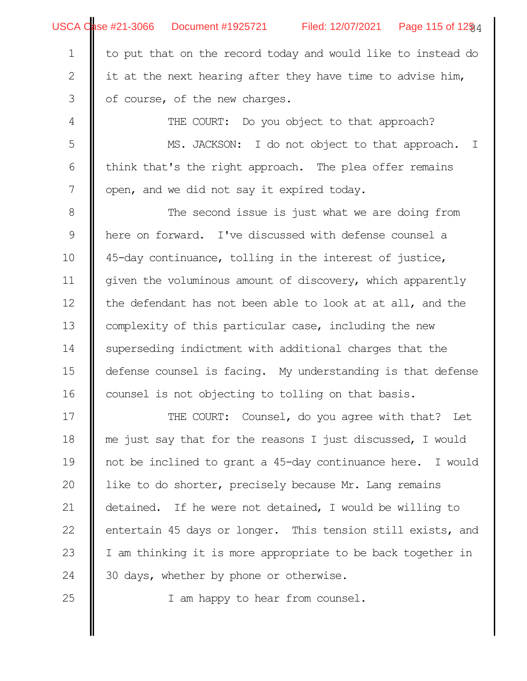to put that on the record today and would like to instead do it at the next hearing after they have time to advise him, of course, of the new charges. 1 2 3

THE COURT: Do you object to that approach?

MS. JACKSON: I do not object to that approach. I think that's the right approach. The plea offer remains open, and we did not say it expired today. 5 6 7

The second issue is just what we are doing from here on forward. I've discussed with defense counsel a 45-day continuance, tolling in the interest of justice, given the voluminous amount of discovery, which apparently the defendant has not been able to look at at all, and the complexity of this particular case, including the new superseding indictment with additional charges that the defense counsel is facing. My understanding is that defense counsel is not objecting to tolling on that basis. 8 9 10 11 12 13 14 15 16

THE COURT: Counsel, do you agree with that? Let me just say that for the reasons I just discussed, I would not be inclined to grant a 45-day continuance here. I would like to do shorter, precisely because Mr. Lang remains detained. If he were not detained, I would be willing to entertain 45 days or longer. This tension still exists, and I am thinking it is more appropriate to be back together in 30 days, whether by phone or otherwise. 17 18 19 20 21 22 23 24

25

I am happy to hear from counsel.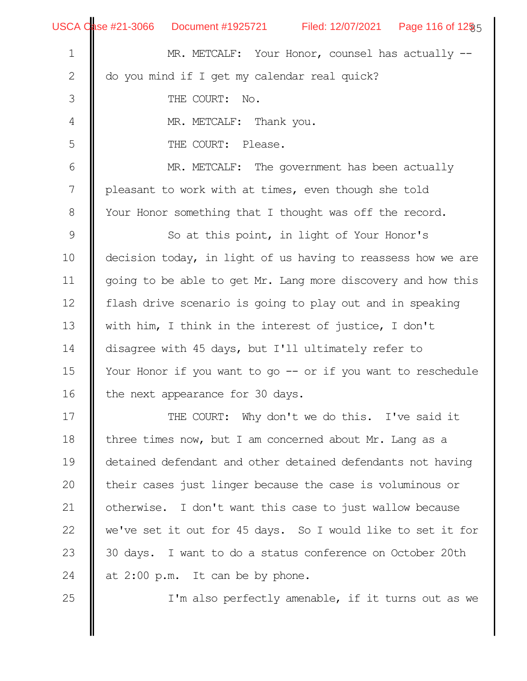|                  | USCA Case #21-3066 Document #1925721 Filed: 12/07/2021 Page 116 of 12§5 |  |  |  |  |  |
|------------------|-------------------------------------------------------------------------|--|--|--|--|--|
| $\mathbf 1$      | MR. METCALF: Your Honor, counsel has actually --                        |  |  |  |  |  |
| $\mathbf{2}$     | do you mind if I get my calendar real quick?                            |  |  |  |  |  |
| $\mathcal{S}$    | THE COURT: No.                                                          |  |  |  |  |  |
| $\overline{4}$   | MR. METCALF: Thank you.                                                 |  |  |  |  |  |
| 5                | THE COURT: Please.                                                      |  |  |  |  |  |
| $\sqrt{6}$       | MR. METCALF: The government has been actually                           |  |  |  |  |  |
| $\boldsymbol{7}$ | pleasant to work with at times, even though she told                    |  |  |  |  |  |
| $\,8\,$          | Your Honor something that I thought was off the record.                 |  |  |  |  |  |
| $\mathsf 9$      | So at this point, in light of Your Honor's                              |  |  |  |  |  |
| 10               | decision today, in light of us having to reassess how we are            |  |  |  |  |  |
| 11               | going to be able to get Mr. Lang more discovery and how this            |  |  |  |  |  |
| 12               | flash drive scenario is going to play out and in speaking               |  |  |  |  |  |
| 13               | with him, I think in the interest of justice, I don't                   |  |  |  |  |  |
| 14               | disagree with 45 days, but I'll ultimately refer to                     |  |  |  |  |  |
| 15               | Your Honor if you want to go -- or if you want to reschedule            |  |  |  |  |  |
| 16               | the next appearance for 30 days.                                        |  |  |  |  |  |
| 17               | THE COURT: Why don't we do this. I've said it                           |  |  |  |  |  |
| 18               | three times now, but I am concerned about Mr. Lang as a                 |  |  |  |  |  |
| 19               | detained defendant and other detained defendants not having             |  |  |  |  |  |
| 20               | their cases just linger because the case is voluminous or               |  |  |  |  |  |
| 21               | otherwise. I don't want this case to just wallow because                |  |  |  |  |  |
| 22               | we've set it out for 45 days. So I would like to set it for             |  |  |  |  |  |
| 23               | 30 days. I want to do a status conference on October 20th               |  |  |  |  |  |
| 24               | at 2:00 p.m. It can be by phone.                                        |  |  |  |  |  |
| 25               | I'm also perfectly amenable, if it turns out as we                      |  |  |  |  |  |
|                  |                                                                         |  |  |  |  |  |
|                  |                                                                         |  |  |  |  |  |

..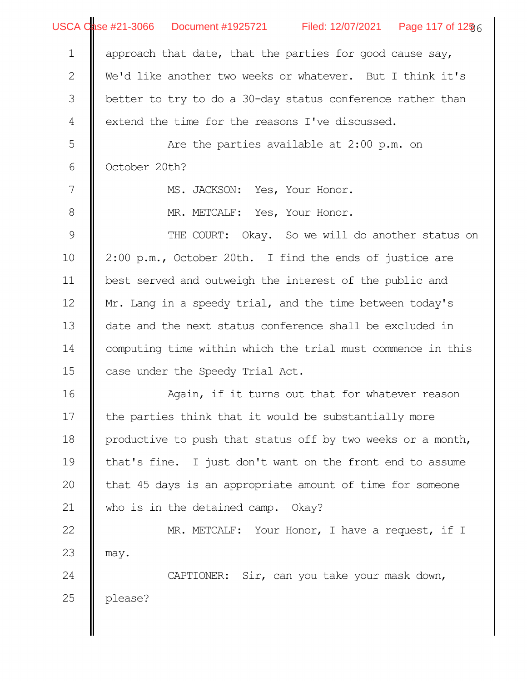|                  | USCA Qase #21-3066   Document #1925721     Filed: 12/07/2021   Page 117 of 12 $\S_6$ |  |  |  |  |  |
|------------------|--------------------------------------------------------------------------------------|--|--|--|--|--|
| $\mathbf 1$      | approach that date, that the parties for good cause say,                             |  |  |  |  |  |
| $\mathbf{2}$     | We'd like another two weeks or whatever. But I think it's                            |  |  |  |  |  |
| 3                | better to try to do a 30-day status conference rather than                           |  |  |  |  |  |
| $\overline{4}$   | extend the time for the reasons I've discussed.                                      |  |  |  |  |  |
| 5                | Are the parties available at $2:00$ p.m. on                                          |  |  |  |  |  |
| $\sqrt{6}$       | October 20th?                                                                        |  |  |  |  |  |
| $\boldsymbol{7}$ | MS. JACKSON: Yes, Your Honor.                                                        |  |  |  |  |  |
| $\,8\,$          | MR. METCALF: Yes, Your Honor.                                                        |  |  |  |  |  |
| $\mathcal{G}$    | THE COURT: Okay. So we will do another status on                                     |  |  |  |  |  |
| 10               | 2:00 p.m., October 20th. I find the ends of justice are                              |  |  |  |  |  |
| 11               | best served and outweigh the interest of the public and                              |  |  |  |  |  |
| 12               | Mr. Lang in a speedy trial, and the time between today's                             |  |  |  |  |  |
| 13               | date and the next status conference shall be excluded in                             |  |  |  |  |  |
| 14               | computing time within which the trial must commence in this                          |  |  |  |  |  |
| 15               | case under the Speedy Trial Act.                                                     |  |  |  |  |  |
| 16               | Again, if it turns out that for whatever reason                                      |  |  |  |  |  |
| $17$             | the parties think that it would be substantially more                                |  |  |  |  |  |
| 18               | productive to push that status off by two weeks or a month,                          |  |  |  |  |  |
| 19               | that's fine. I just don't want on the front end to assume                            |  |  |  |  |  |
| 20               | that 45 days is an appropriate amount of time for someone                            |  |  |  |  |  |
| 21               | who is in the detained camp. Okay?                                                   |  |  |  |  |  |
| 22               | MR. METCALF: Your Honor, I have a request, if I                                      |  |  |  |  |  |
| 23               | may.                                                                                 |  |  |  |  |  |
| 24               | CAPTIONER: Sir, can you take your mask down,                                         |  |  |  |  |  |
| 25               | please?                                                                              |  |  |  |  |  |
|                  |                                                                                      |  |  |  |  |  |
|                  |                                                                                      |  |  |  |  |  |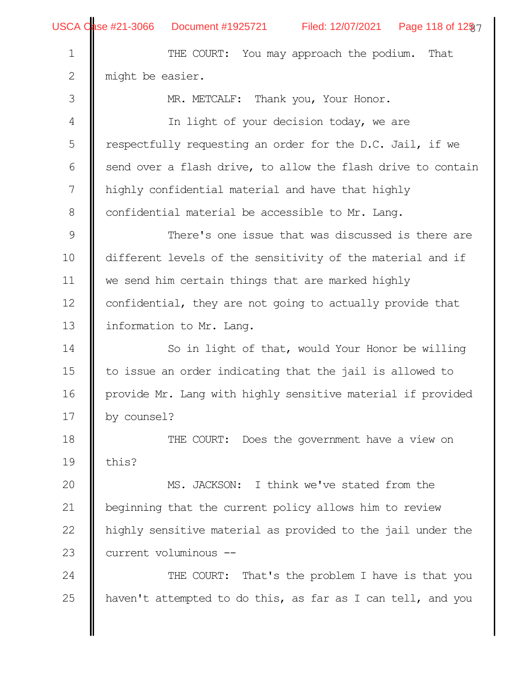|  | <b>USCA Case #21-3066</b> |  |
|--|---------------------------|--|
|--|---------------------------|--|

∥

USCA Qase #21-3066 Document #1925721 Filed: 12/07/2021 Page 118 of 12§7

| $\mathbf 1$   | THE COURT: You may approach the podium. That                 |  |  |  |  |  |  |
|---------------|--------------------------------------------------------------|--|--|--|--|--|--|
| $\mathbf{2}$  | might be easier.                                             |  |  |  |  |  |  |
| 3             | MR. METCALF: Thank you, Your Honor.                          |  |  |  |  |  |  |
| 4             | In light of your decision today, we are                      |  |  |  |  |  |  |
| 5             | respectfully requesting an order for the D.C. Jail, if we    |  |  |  |  |  |  |
| 6             | send over a flash drive, to allow the flash drive to contain |  |  |  |  |  |  |
| 7             | highly confidential material and have that highly            |  |  |  |  |  |  |
| $\,8\,$       | confidential material be accessible to Mr. Lang.             |  |  |  |  |  |  |
| $\mathcal{G}$ | There's one issue that was discussed is there are            |  |  |  |  |  |  |
| 10            | different levels of the sensitivity of the material and if   |  |  |  |  |  |  |
| 11            | we send him certain things that are marked highly            |  |  |  |  |  |  |
| 12            | confidential, they are not going to actually provide that    |  |  |  |  |  |  |
| 13            | information to Mr. Lang.                                     |  |  |  |  |  |  |
| 14            | So in light of that, would Your Honor be willing             |  |  |  |  |  |  |
| 15            | to issue an order indicating that the jail is allowed to     |  |  |  |  |  |  |
| 16            | provide Mr. Lang with highly sensitive material if provided  |  |  |  |  |  |  |
| 17            | by counsel?                                                  |  |  |  |  |  |  |
| 18            | THE COURT: Does the government have a view on                |  |  |  |  |  |  |
| 19            | this?                                                        |  |  |  |  |  |  |
| 20            | MS. JACKSON: I think we've stated from the                   |  |  |  |  |  |  |
| 21            | beginning that the current policy allows him to review       |  |  |  |  |  |  |
| 22            | highly sensitive material as provided to the jail under the  |  |  |  |  |  |  |
| 23            | current voluminous --                                        |  |  |  |  |  |  |
| 24            | THE COURT: That's the problem I have is that you             |  |  |  |  |  |  |
| 25            | haven't attempted to do this, as far as I can tell, and you  |  |  |  |  |  |  |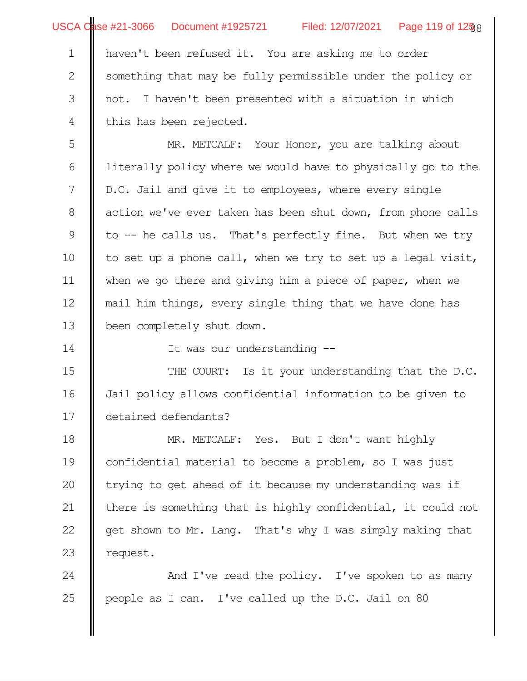haven't been refused it. You are asking me to order something that may be fully permissible under the policy or not. I haven't been presented with a situation in which this has been rejected. 1 2 3 4

MR. METCALF: Your Honor, you are talking about literally policy where we would have to physically go to the D.C. Jail and give it to employees, where every single action we've ever taken has been shut down, from phone calls to -- he calls us. That's perfectly fine. But when we try to set up a phone call, when we try to set up a legal visit, when we go there and giving him a piece of paper, when we mail him things, every single thing that we have done has been completely shut down. 5 6 7 8 9 10 11 12 13

It was our understanding --

THE COURT: Is it your understanding that the D.C. Jail policy allows confidential information to be given to detained defendants? 15 16 17

MR. METCALF: Yes. But I don't want highly confidential material to become a problem, so I was just trying to get ahead of it because my understanding was if there is something that is highly confidential, it could not get shown to Mr. Lang. That's why I was simply making that request. 18 19 20 21 22 23

And I've read the policy. I've spoken to as many people as I can. I've called up the D.C. Jail on 80 24 25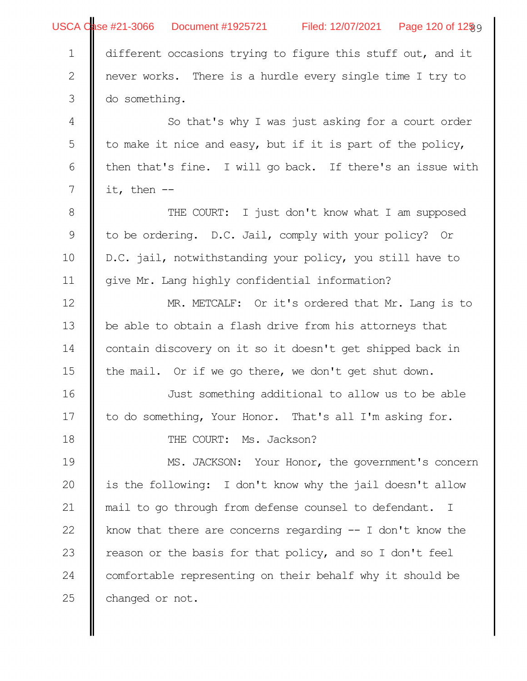|                  | Filed: 12/07/2021 Page 120 of 12§9                          |  |  |  |  |  |
|------------------|-------------------------------------------------------------|--|--|--|--|--|
| $\mathbf 1$      | different occasions trying to figure this stuff out, and it |  |  |  |  |  |
| $\mathbf{2}$     | never works. There is a hurdle every single time I try to   |  |  |  |  |  |
| $\mathfrak{Z}$   | do something.                                               |  |  |  |  |  |
| $\overline{4}$   | So that's why I was just asking for a court order           |  |  |  |  |  |
| $\mathsf S$      | to make it nice and easy, but if it is part of the policy,  |  |  |  |  |  |
| $\sqrt{6}$       | then that's fine. I will go back. If there's an issue with  |  |  |  |  |  |
| $\boldsymbol{7}$ | it, then $-$                                                |  |  |  |  |  |
| $\,8\,$          | THE COURT: I just don't know what I am supposed             |  |  |  |  |  |
| $\mathsf 9$      | to be ordering. D.C. Jail, comply with your policy? Or      |  |  |  |  |  |
| 10               | D.C. jail, notwithstanding your policy, you still have to   |  |  |  |  |  |
| 11               | give Mr. Lang highly confidential information?              |  |  |  |  |  |
| 12               | MR. METCALF: Or it's ordered that Mr. Lang is to            |  |  |  |  |  |
| 13               | be able to obtain a flash drive from his attorneys that     |  |  |  |  |  |
| 14               | contain discovery on it so it doesn't get shipped back in   |  |  |  |  |  |
| 15               | the mail. Or if we go there, we don't get shut down.        |  |  |  |  |  |
| 16               | Just something additional to allow us to be able            |  |  |  |  |  |
| 17               | to do something, Your Honor. That's all I'm asking for.     |  |  |  |  |  |
| 18               | THE COURT: Ms. Jackson?                                     |  |  |  |  |  |
| 19               | MS. JACKSON: Your Honor, the government's concern           |  |  |  |  |  |
| 20               | is the following: I don't know why the jail doesn't allow   |  |  |  |  |  |
| 21               | mail to go through from defense counsel to defendant. I     |  |  |  |  |  |
| 22               | know that there are concerns regarding $-$ I don't know the |  |  |  |  |  |
| 23               | reason or the basis for that policy, and so I don't feel    |  |  |  |  |  |
| 24               | comfortable representing on their behalf why it should be   |  |  |  |  |  |
| 25               | changed or not.                                             |  |  |  |  |  |
|                  |                                                             |  |  |  |  |  |
|                  |                                                             |  |  |  |  |  |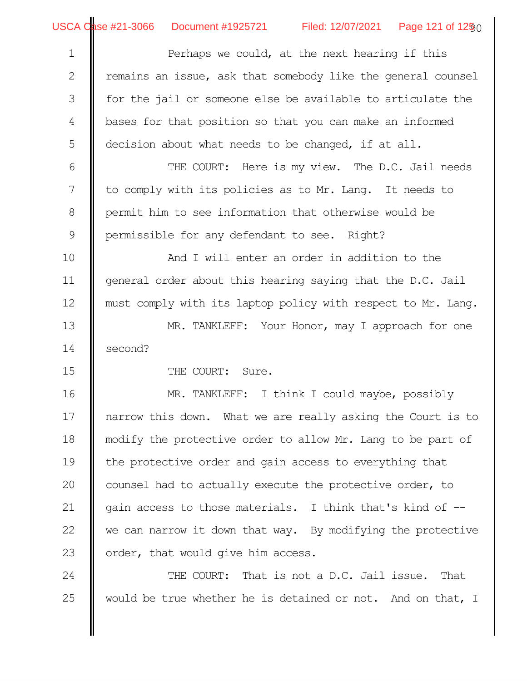Perhaps we could, at the next hearing if this emains an issue, ask that somebody like the general counsel for the jail or someone else be available to articulate the bases for that position so that you can make an informed decision about what needs to be changed, if at all. 1 2 3 4 5

THE COURT: Here is my view. The D.C. Jail needs to comply with its policies as to Mr. Lang. It needs to permit him to see information that otherwise would be permissible for any defendant to see. Right? 6 7 8 9

And I will enter an order in addition to the general order about this hearing saying that the D.C. Jail must comply with its laptop policy with respect to Mr. Lang. MR. TANKLEFF: Your Honor, may I approach for one 10 11 12 13

second? 14

15

THE COURT: Sure.

MR. TANKLEFF: I think I could maybe, possibly narrow this down. What we are really asking the Court is to modify the protective order to allow Mr. Lang to be part of the protective order and gain access to everything that counsel had to actually execute the protective order, to gain access to those materials. I think that's kind of - we can narrow it down that way. By modifying the protective order, that would give him access. 16 17 18 19 20 21 22 23

THE COURT: That is not a D.C. Jail issue. That would be true whether he is detained or not. And on that, I 24 25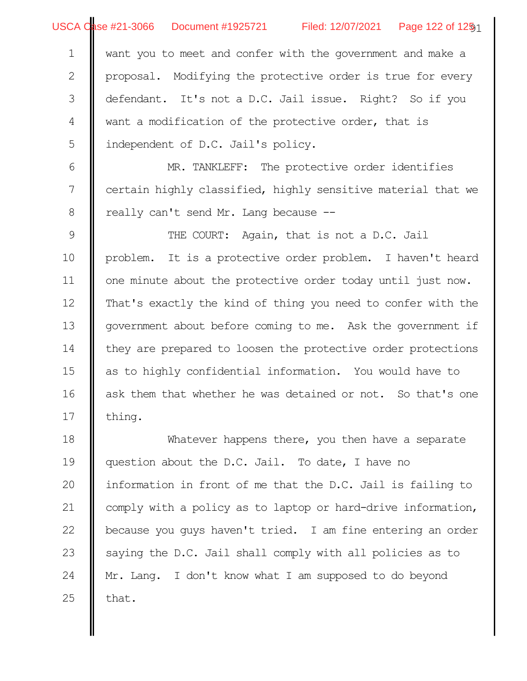| <b>USCA Case #21-3066</b> |  |  |  |
|---------------------------|--|--|--|
|---------------------------|--|--|--|

USCA Qase #21-3066 Document #1925721 Filed: 12/07/2021 Page 122 of 125 1

want you to meet and confer with the government and make a proposal. Modifying the protective order is true for every defendant. It's not a D.C. Jail issue. Right? So if you want a modification of the protective order, that is independent of D.C. Jail's policy. 1 2 3 4 5

MR. TANKLEFF: The protective order identifies certain highly classified, highly sensitive material that we really can't send Mr. Lang because -- 6 7 8

THE COURT: Again, that is not a D.C. Jail problem. It is a protective order problem. I haven't heard one minute about the protective order today until just now. That's exactly the kind of thing you need to confer with the government about before coming to me. Ask the government if they are prepared to loosen the protective order protections as to highly confidential information. You would have to ask them that whether he was detained or not. So that's one thing. 9 10 11 12 13 14 15 16 17

Whatever happens there, you then have a separate question about the D.C. Jail. To date, I have no information in front of me that the D.C. Jail is failing to comply with a policy as to laptop or hard-drive information, because you guys haven't tried. I am fine entering an order saying the D.C. Jail shall comply with all policies as to Mr. Lang. I don't know what I am supposed to do beyond that. 18 19 20 21 22 23 24 25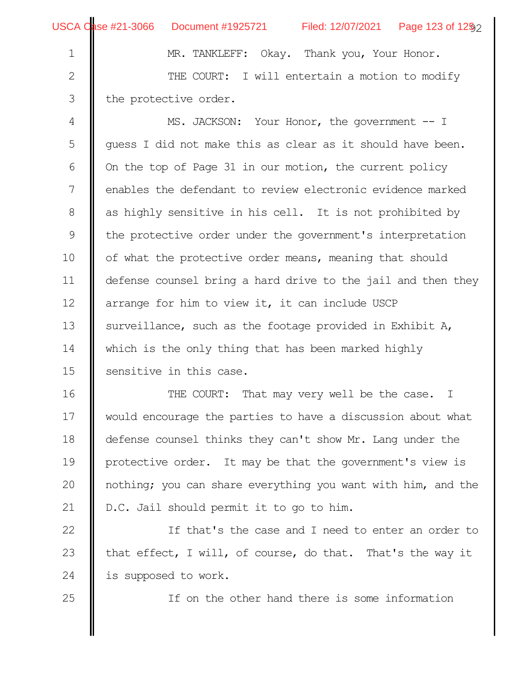2

3

25

MR. TANKLEFF: Okay. Thank you, Your Honor. THE COURT: I will entertain a motion to modify the protective order.

MS. JACKSON: Your Honor, the government -- I guess I did not make this as clear as it should have been. On the top of Page 31 in our motion, the current policy enables the defendant to review electronic evidence marked as highly sensitive in his cell. It is not prohibited by the protective order under the government's interpretation of what the protective order means, meaning that should defense counsel bring a hard drive to the jail and then they arrange for him to view it, it can include USCP surveillance, such as the footage provided in Exhibit A, which is the only thing that has been marked highly sensitive in this case. 4 5 6 7 8 9 10 11 12 13 14 15

THE COURT: That may very well be the case. I would encourage the parties to have a discussion about what defense counsel thinks they can't show Mr. Lang under the protective order. It may be that the government's view is nothing; you can share everything you want with him, and the D.C. Jail should permit it to go to him. 16 17 18 19 20 21

If that's the case and I need to enter an order to that effect, I will, of course, do that. That's the way it is supposed to work. 22 23 24

If on the other hand there is some information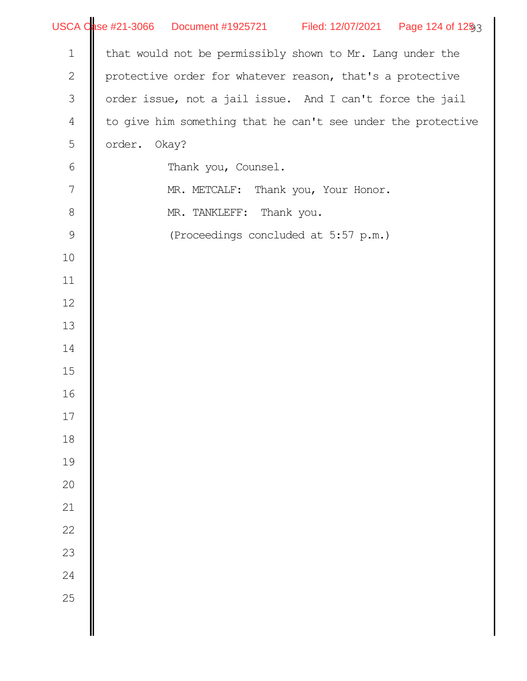|                  | USCA Case #21-3066 Document #1925721 Filed: 12/07/2021 Page 124 of 1253 |
|------------------|-------------------------------------------------------------------------|
| $1\,$            | that would not be permissibly shown to Mr. Lang under the               |
| $\sqrt{2}$       | protective order for whatever reason, that's a protective               |
| $\mathfrak{Z}$   | order issue, not a jail issue. And I can't force the jail               |
| $\overline{4}$   | to give him something that he can't see under the protective            |
| 5                | order.<br>Okay?                                                         |
| $\sqrt{6}$       | Thank you, Counsel.                                                     |
| $\boldsymbol{7}$ | MR. METCALF: Thank you, Your Honor.                                     |
| $\,8\,$          | MR. TANKLEFF: Thank you.                                                |
| $\mathcal{G}$    | (Proceedings concluded at 5:57 p.m.)                                    |
| 10               |                                                                         |
| 11               |                                                                         |
| 12               |                                                                         |
| 13               |                                                                         |
| 14               |                                                                         |
| 15               |                                                                         |
| 16               |                                                                         |
| $17\,$           |                                                                         |
| 18               |                                                                         |
| 19               |                                                                         |
| 20               |                                                                         |
| 21               |                                                                         |
| 22               |                                                                         |
| 23               |                                                                         |
| $\overline{24}$  |                                                                         |
| 25               |                                                                         |
|                  |                                                                         |